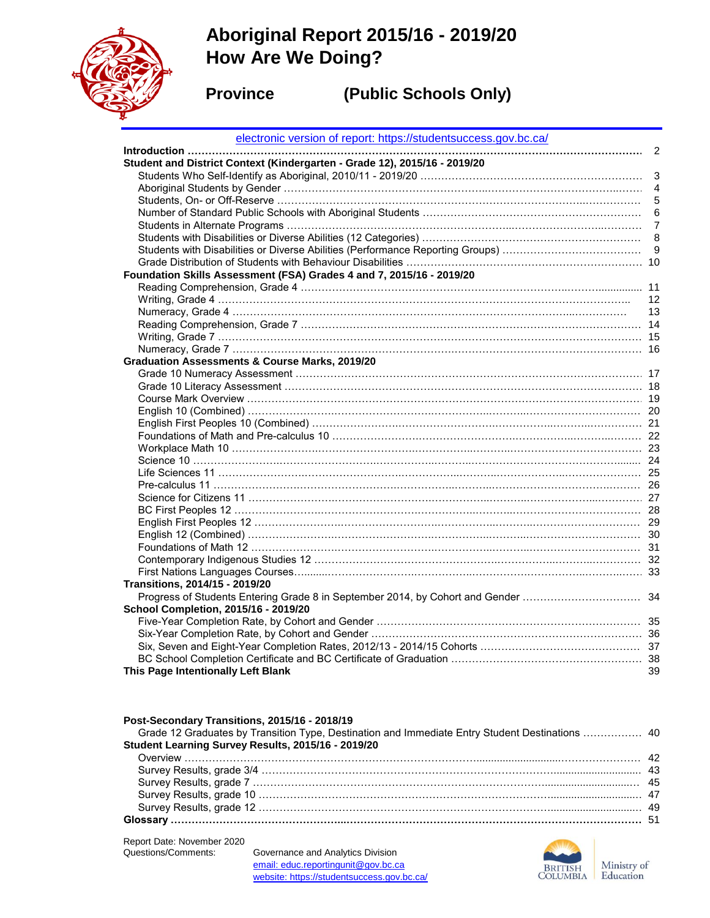# **Aboriginal Report 2015/16 - 2019/20 How Are We Doing?**



**Province (Public Schools Only)**

| electronic version of report: https://studentsuccess.gov.bc.ca/           |    |
|---------------------------------------------------------------------------|----|
|                                                                           |    |
| Student and District Context (Kindergarten - Grade 12), 2015/16 - 2019/20 |    |
|                                                                           |    |
|                                                                           |    |
|                                                                           |    |
|                                                                           |    |
|                                                                           |    |
|                                                                           |    |
|                                                                           |    |
|                                                                           |    |
| Foundation Skills Assessment (FSA) Grades 4 and 7, 2015/16 - 2019/20      |    |
|                                                                           |    |
|                                                                           | 12 |
|                                                                           | 13 |
|                                                                           |    |
|                                                                           |    |
|                                                                           |    |
| Graduation Assessments & Course Marks, 2019/20                            |    |
|                                                                           |    |
|                                                                           |    |
|                                                                           |    |
|                                                                           |    |
|                                                                           |    |
|                                                                           |    |
|                                                                           |    |
|                                                                           |    |
|                                                                           |    |
|                                                                           |    |
|                                                                           |    |
|                                                                           |    |
|                                                                           |    |
|                                                                           |    |
|                                                                           |    |
|                                                                           |    |
|                                                                           |    |
| Transitions, 2014/15 - 2019/20                                            |    |
|                                                                           |    |
| School Completion, 2015/16 - 2019/20                                      |    |
|                                                                           |    |
|                                                                           |    |
|                                                                           |    |
|                                                                           |    |
| This Page Intentionally Left Blank                                        | 39 |
|                                                                           |    |

## **Post-Secondary Transitions, 2015/16 - 2018/19**

| Grade 12 Graduates by Transition Type, Destination and Immediate Entry Student Destinations  40 |  |
|-------------------------------------------------------------------------------------------------|--|
| Student Learning Survey Results, 2015/16 - 2019/20                                              |  |
|                                                                                                 |  |
|                                                                                                 |  |
|                                                                                                 |  |
|                                                                                                 |  |
|                                                                                                 |  |
|                                                                                                 |  |
|                                                                                                 |  |

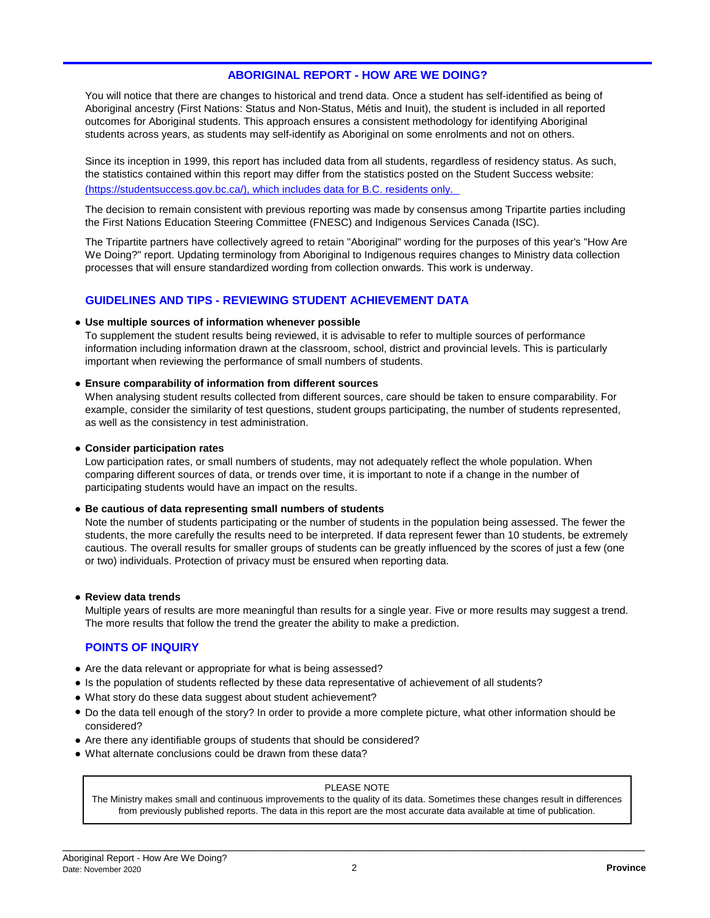## **ABORIGINAL REPORT - HOW ARE WE DOING?**

You will notice that there are changes to historical and trend data. Once a student has self-identified as being of Aboriginal ancestry (First Nations: Status and Non-Status, Métis and Inuit), the student is included in all reported outcomes for Aboriginal students. This approach ensures a consistent methodology for identifying Aboriginal students across years, as students may self-identify as Aboriginal on some enrolments and not on others.

Since its inception in 1999, this report has included data from all students, regardless of residency status. As such, the statistics contained within this report may differ from the statistics posted on the Student Success website: [\(https://stud](https://studentsuccess.gov.bc.ca/)entsuccess.gov.bc.ca/), which includes data for B.C. residents only.

The decision to remain consistent with previous reporting was made by consensus among Tripartite parties including the First Nations Education Steering Committee (FNESC) and Indigenous Services Canada (ISC).

The Tripartite partners have collectively agreed to retain "Aboriginal" wording for the purposes of this year's "How Are We Doing?" report. Updating terminology from Aboriginal to Indigenous requires changes to Ministry data collection processes that will ensure standardized wording from collection onwards. This work is underway.

## **GUIDELINES AND TIPS - REVIEWING STUDENT ACHIEVEMENT DATA**

### ● **Use multiple sources of information whenever possible**

To supplement the student results being reviewed, it is advisable to refer to multiple sources of performance information including information drawn at the classroom, school, district and provincial levels. This is particularly important when reviewing the performance of small numbers of students.

### ● **Ensure comparability of information from different sources**

When analysing student results collected from different sources, care should be taken to ensure comparability. For example, consider the similarity of test questions, student groups participating, the number of students represented, as well as the consistency in test administration.

### ● **Consider participation rates**

Low participation rates, or small numbers of students, may not adequately reflect the whole population. When comparing different sources of data, or trends over time, it is important to note if a change in the number of participating students would have an impact on the results.

### ● **Be cautious of data representing small numbers of students**

Note the number of students participating or the number of students in the population being assessed. The fewer the students, the more carefully the results need to be interpreted. If data represent fewer than 10 students, be extremely cautious. The overall results for smaller groups of students can be greatly influenced by the scores of just a few (one or two) individuals. Protection of privacy must be ensured when reporting data.

### ● **Review data trends**

Multiple years of results are more meaningful than results for a single year. Five or more results may suggest a trend. The more results that follow the trend the greater the ability to make a prediction.

## **POINTS OF INQUIRY**

- Are the data relevant or appropriate for what is being assessed?
- Is the population of students reflected by these data representative of achievement of all students?
- What story do these data suggest about student achievement?
- Do the data tell enough of the story? In order to provide a more complete picture, what other information should be considered?
- Are there any identifiable groups of students that should be considered?
- What alternate conclusions could be drawn from these data?

### PLEASE NOTE

The Ministry makes small and continuous improvements to the quality of its data. Sometimes these changes result in differences from previously published reports. The data in this report are the most accurate data available at time of publication.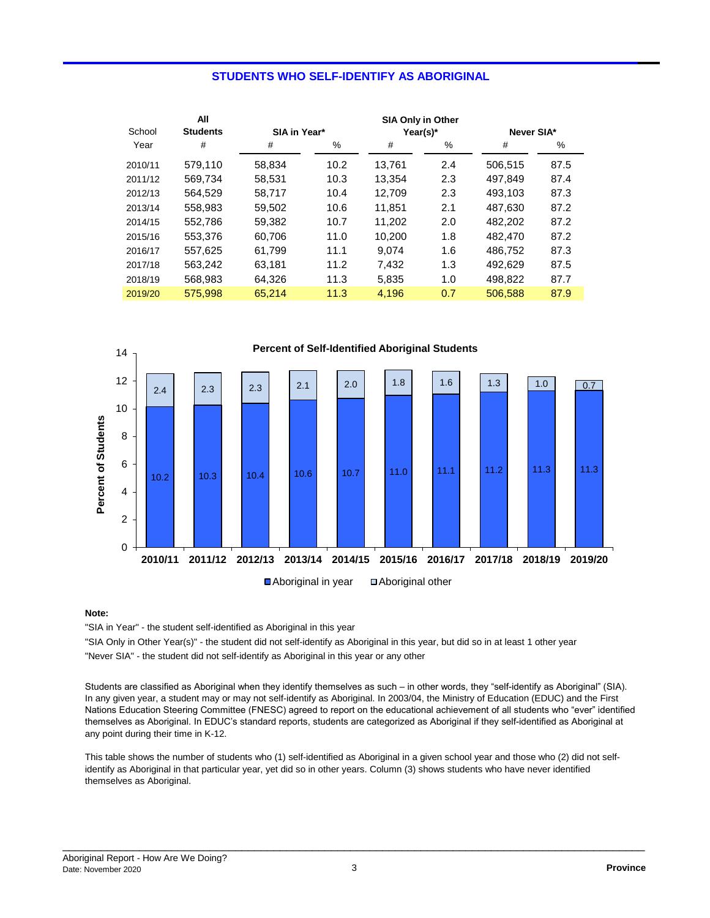## **STUDENTS WHO SELF-IDENTIFY AS ABORIGINAL**

|         | All             |              |      | <b>SIA Only in Other</b> |      |            |      |
|---------|-----------------|--------------|------|--------------------------|------|------------|------|
| School  | <b>Students</b> | SIA in Year* |      | Year(s) $*$              |      | Never SIA* |      |
| Year    | #               | #            | %    | #                        | $\%$ | #          | %    |
| 2010/11 | 579,110         | 58.834       | 10.2 | 13.761                   | 2.4  | 506.515    | 87.5 |
| 2011/12 | 569.734         | 58,531       | 10.3 | 13.354                   | 2.3  | 497.849    | 87.4 |
| 2012/13 | 564.529         | 58.717       | 10.4 | 12.709                   | 2.3  | 493.103    | 87.3 |
| 2013/14 | 558,983         | 59,502       | 10.6 | 11,851                   | 2.1  | 487,630    | 87.2 |
| 2014/15 | 552,786         | 59,382       | 10.7 | 11,202                   | 2.0  | 482,202    | 87.2 |
| 2015/16 | 553,376         | 60,706       | 11.0 | 10,200                   | 1.8  | 482,470    | 87.2 |
| 2016/17 | 557,625         | 61,799       | 11.1 | 9.074                    | 1.6  | 486,752    | 87.3 |
| 2017/18 | 563.242         | 63,181       | 11.2 | 7.432                    | 1.3  | 492.629    | 87.5 |
| 2018/19 | 568,983         | 64,326       | 11.3 | 5,835                    | 1.0  | 498,822    | 87.7 |
| 2019/20 | 575.998         | 65,214       | 11.3 | 4,196                    | 0.7  | 506,588    | 87.9 |



### **Note:**

"SIA in Year" - the student self-identified as Aboriginal in this year

"SIA Only in Other Year(s)" - the student did not self-identify as Aboriginal in this year, but did so in at least 1 other year "Never SIA" - the student did not self-identify as Aboriginal in this year or any other

Students are classified as Aboriginal when they identify themselves as such – in other words, they "self-identify as Aboriginal" (SIA). In any given year, a student may or may not self-identify as Aboriginal. In 2003/04, the Ministry of Education (EDUC) and the First Nations Education Steering Committee (FNESC) agreed to report on the educational achievement of all students who "ever" identified themselves as Aboriginal. In EDUC's standard reports, students are categorized as Aboriginal if they self-identified as Aboriginal at any point during their time in K-12.

This table shows the number of students who (1) self-identified as Aboriginal in a given school year and those who (2) did not selfidentify as Aboriginal in that particular year, yet did so in other years. Column (3) shows students who have never identified themselves as Aboriginal.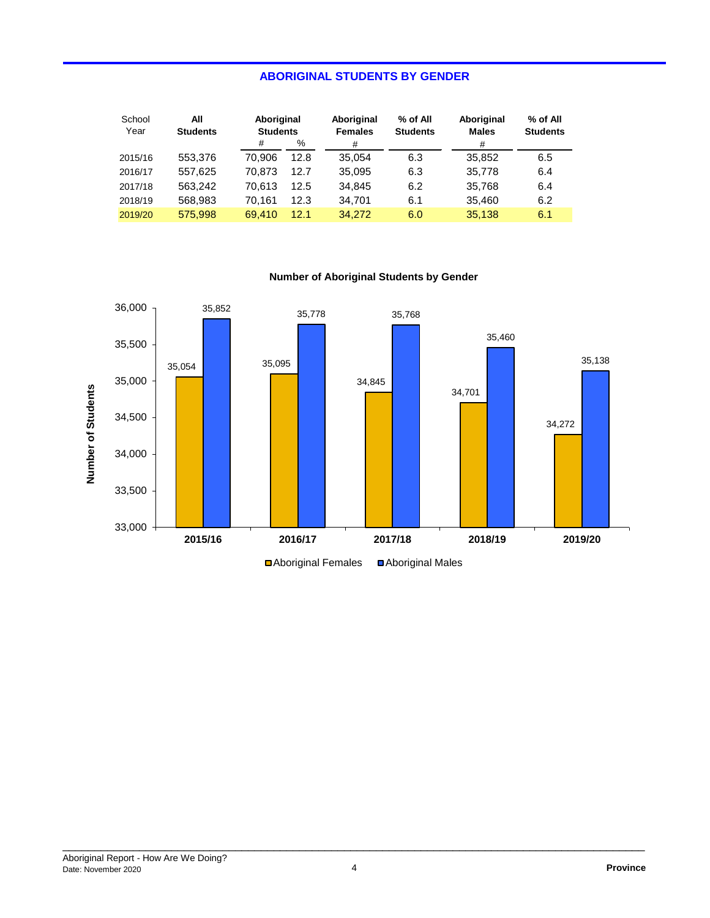## **ABORIGINAL STUDENTS BY GENDER**

| School<br>Year | All<br><b>Students</b> | Aboriginal<br><b>Students</b> |      | Aboriginal<br><b>Females</b> | % of All<br><b>Students</b> | Aboriginal<br><b>Males</b> | % of All<br><b>Students</b> |
|----------------|------------------------|-------------------------------|------|------------------------------|-----------------------------|----------------------------|-----------------------------|
|                |                        | #                             | %    | #                            |                             | #                          |                             |
| 2015/16        | 553,376                | 70.906                        | 12.8 | 35.054                       | 6.3                         | 35,852                     | 6.5                         |
| 2016/17        | 557.625                | 70.873                        | 12.7 | 35.095                       | 6.3                         | 35,778                     | 6.4                         |
| 2017/18        | 563.242                | 70.613                        | 12.5 | 34.845                       | 6.2                         | 35.768                     | 6.4                         |
| 2018/19        | 568.983                | 70.161                        | 12.3 | 34.701                       | 6.1                         | 35.460                     | 6.2                         |
| 2019/20        | 575.998                | 69.410                        | 12.1 | 34.272                       | 6.0                         | 35.138                     | 6.1                         |

## **Number of Aboriginal Students by Gender**

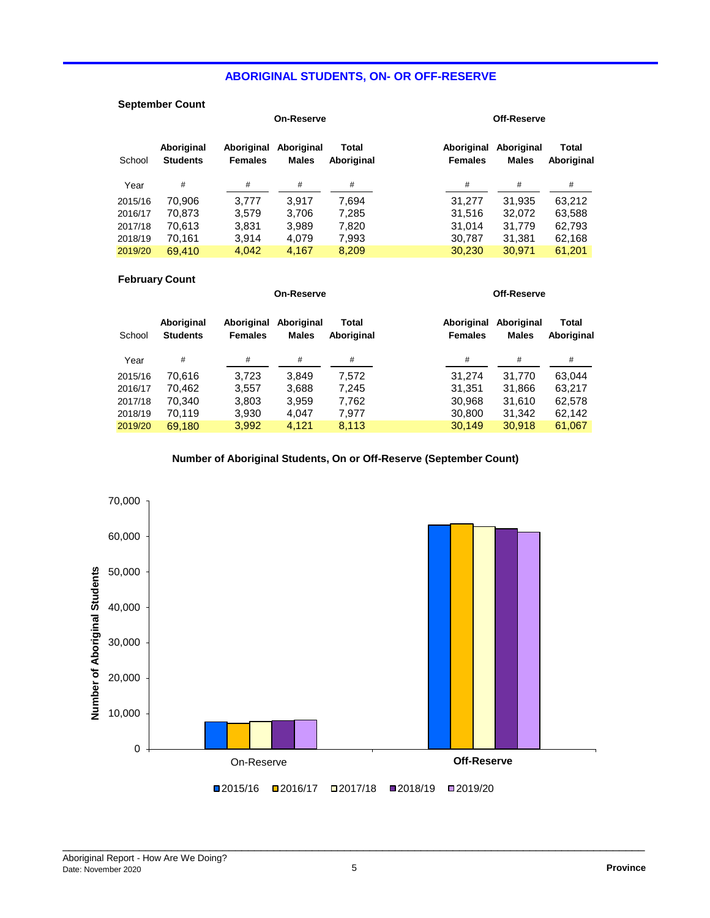## **ABORIGINAL STUDENTS, ON- OR OFF-RESERVE**

## **September Count**

|         |                               |                              | <b>On-Reserve</b>          |                     |                              | Off-Reserve                |                            |
|---------|-------------------------------|------------------------------|----------------------------|---------------------|------------------------------|----------------------------|----------------------------|
| School  | Aboriginal<br><b>Students</b> | Aboriginal<br><b>Females</b> | Aboriginal<br><b>Males</b> | Total<br>Aboriginal | Aboriginal<br><b>Females</b> | Aboriginal<br><b>Males</b> | <b>Total</b><br>Aboriginal |
| Year    | #                             | #                            | #                          | #                   | #                            | #                          | #                          |
| 2015/16 | 70,906                        | 3.777                        | 3.917                      | 7,694               | 31,277                       | 31,935                     | 63,212                     |
| 2016/17 | 70,873                        | 3.579                        | 3.706                      | 7,285               | 31,516                       | 32,072                     | 63,588                     |
| 2017/18 | 70,613                        | 3,831                        | 3,989                      | 7,820               | 31,014                       | 31,779                     | 62,793                     |
| 2018/19 | 70,161                        | 3.914                        | 4.079                      | 7,993               | 30,787                       | 31,381                     | 62,168                     |
| 2019/20 | 69.410                        | 4.042                        | 4.167                      | 8.209               | 30,230                       | 30.971                     | 61,201                     |

### **February Count**

| School  | Aboriginal<br><b>Students</b> | Aboriginal<br><b>Females</b> | Aboriginal<br><b>Males</b> | Total<br>Aboriginal | Aboriginal<br><b>Females</b> | Aboriginal<br><b>Males</b> | Total<br>Aboriginal |
|---------|-------------------------------|------------------------------|----------------------------|---------------------|------------------------------|----------------------------|---------------------|
| Year    | #                             | #                            | #                          | #                   | #                            | #                          | #                   |
| 2015/16 | 70.616                        | 3.723                        | 3.849                      | 7.572               | 31.274                       | 31.770                     | 63,044              |
| 2016/17 | 70,462                        | 3,557                        | 3,688                      | 7,245               | 31,351                       | 31,866                     | 63,217              |
| 2017/18 | 70,340                        | 3,803                        | 3,959                      | 7.762               | 30,968                       | 31.610                     | 62,578              |
| 2018/19 | 70.119                        | 3,930                        | 4.047                      | 7.977               | 30,800                       | 31,342                     | 62,142              |
| 2019/20 | 69.180                        | 3,992                        | 4.121                      | 8.113               | 30.149                       | 30.918                     | 61,067              |

**On-Reserve Off-Reserve**

## **Number of Aboriginal Students, On or Off-Reserve (September Count)**

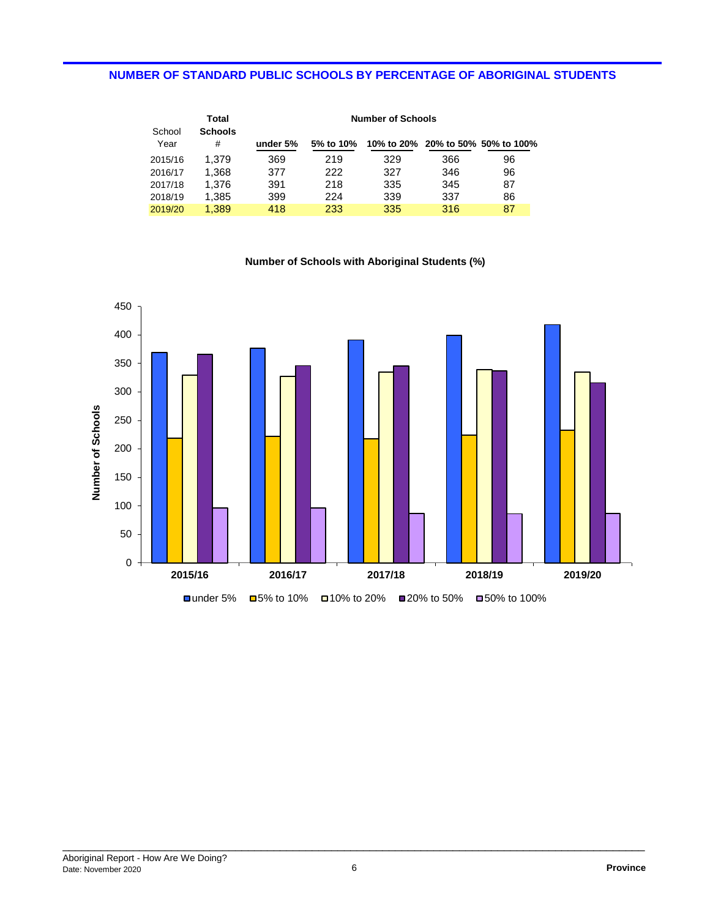## **NUMBER OF STANDARD PUBLIC SCHOOLS BY PERCENTAGE OF ABORIGINAL STUDENTS**

|         | Total          |          |           | <b>Number of Schools</b> |     |                        |
|---------|----------------|----------|-----------|--------------------------|-----|------------------------|
| School  | <b>Schools</b> |          |           |                          |     |                        |
| Year    | #              | under 5% | 5% to 10% | 10% to 20%               |     | 20% to 50% 50% to 100% |
| 2015/16 | 1.379          | 369      | 219       | 329                      | 366 | 96                     |
| 2016/17 | 1.368          | 377      | 222       | 327                      | 346 | 96                     |
| 2017/18 | 1.376          | 391      | 218       | 335                      | 345 | 87                     |
| 2018/19 | 1.385          | 399      | 224       | 339                      | 337 | 86                     |
| 2019/20 | 1.389          | 418      | 233       | 335                      | 316 | 87                     |

## **Number of Schools with Aboriginal Students (%)**

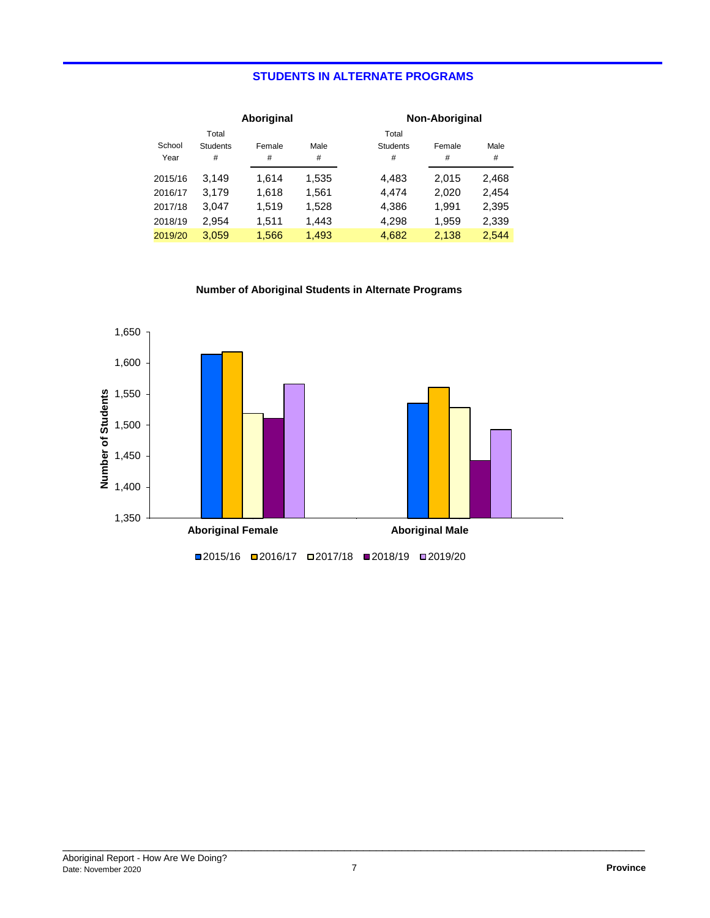## **STUDENTS IN ALTERNATE PROGRAMS**

|         |                 | Aboriginal |       |                 | Non-Aboriginal |       |
|---------|-----------------|------------|-------|-----------------|----------------|-------|
|         | Total           |            |       | Total           |                |       |
| School  | <b>Students</b> | Female     | Male  | <b>Students</b> | Female         | Male  |
| Year    | #               | #          | #     | #               | #              | #     |
| 2015/16 | 3.149           | 1,614      | 1,535 | 4.483           | 2,015          | 2,468 |
| 2016/17 | 3,179           | 1,618      | 1,561 | 4,474           | 2,020          | 2,454 |
| 2017/18 | 3.047           | 1,519      | 1,528 | 4,386           | 1.991          | 2,395 |
| 2018/19 | 2,954           | 1,511      | 1,443 | 4,298           | 1,959          | 2,339 |
| 2019/20 | 3,059           | 1,566      | 1,493 | 4,682           | 2,138          | 2,544 |

## **Number of Aboriginal Students in Alternate Programs**

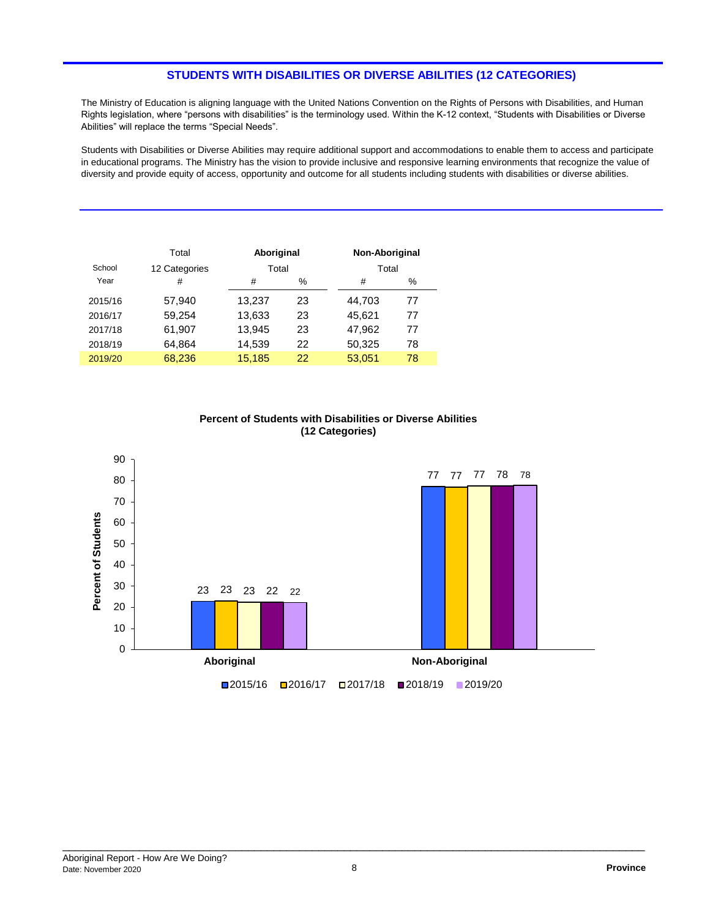## **STUDENTS WITH DISABILITIES OR DIVERSE ABILITIES (12 CATEGORIES)**

The Ministry of Education is aligning language with the United Nations Convention on the Rights of Persons with Disabilities, and Human Rights legislation, where "persons with disabilities" is the terminology used. Within the K-12 context, "Students with Disabilities or Diverse Abilities" will replace the terms "Special Needs".

Students with Disabilities or Diverse Abilities may require additional support and accommodations to enable them to access and participate in educational programs. The Ministry has the vision to provide inclusive and responsive learning environments that recognize the value of diversity and provide equity of access, opportunity and outcome for all students including students with disabilities or diverse abilities.

|         | Total         | Aboriginal |    | Non-Aboriginal |    |
|---------|---------------|------------|----|----------------|----|
| School  | 12 Categories | Total      |    | Total          |    |
| Year    | #             | #          | %  | #              | %  |
| 2015/16 | 57,940        | 13,237     | 23 | 44,703         | 77 |
| 2016/17 | 59,254        | 13,633     | 23 | 45.621         | 77 |
| 2017/18 | 61,907        | 13,945     | 23 | 47.962         | 77 |
| 2018/19 | 64,864        | 14,539     | 22 | 50,325         | 78 |
| 2019/20 | 68,236        | 15,185     | 22 | 53,051         | 78 |



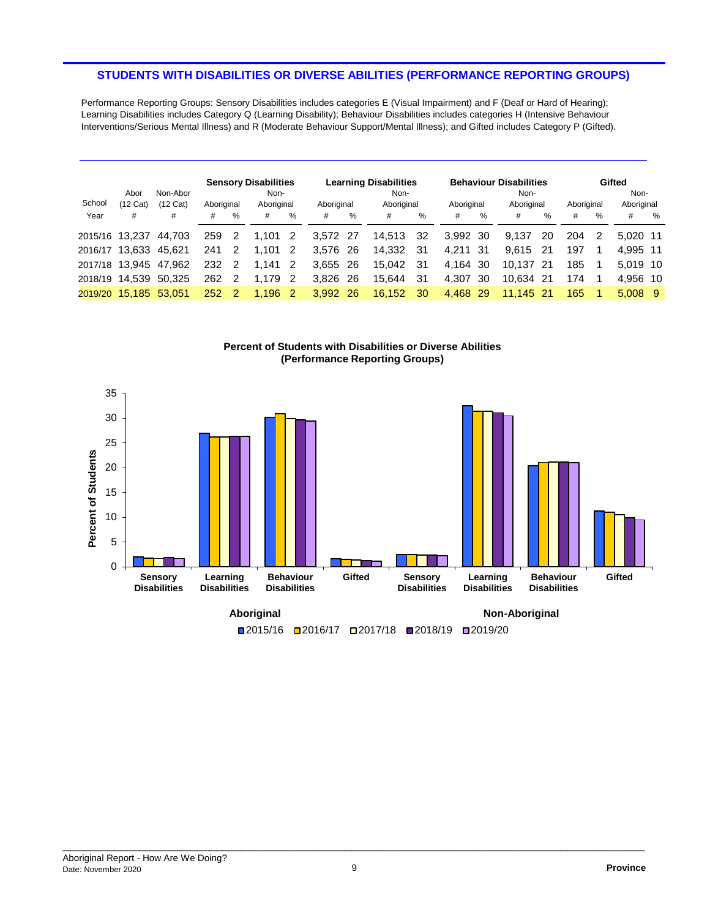## **STUDENTS WITH DISABILITIES OR DIVERSE ABILITIES (PERFORMANCE REPORTING GROUPS)**

Performance Reporting Groups: Sensory Disabilities includes categories E (Visual Impairment) and F (Deaf or Hard of Hearing); Learning Disabilities includes Category Q (Learning Disability); Behaviour Disabilities includes categories H (Intensive Behaviour Interventions/Serious Mental Illness) and R (Moderate Behaviour Support/Mental Illness); and Gifted includes Category P (Gifted).

|                       |          |                       |            |      | <b>Sensory Disabilities</b> |                |            |   | <b>Learning Disabilities</b> |     |            |     | <b>Behaviour Disabilities</b> |     |            |    | Gifted     |   |
|-----------------------|----------|-----------------------|------------|------|-----------------------------|----------------|------------|---|------------------------------|-----|------------|-----|-------------------------------|-----|------------|----|------------|---|
|                       | Abor     | Non-Abor              |            |      | Non-                        |                |            |   | Non-                         |     |            |     | Non-                          |     |            |    | Non-       |   |
| School                | (12 Cat) | (12 Cat)              | Aboriginal |      | Aboriginal                  |                | Aboriginal |   | Aboriginal                   |     | Aboriginal |     | Aboriginal                    |     | Aboriginal |    | Aboriginal |   |
| Year                  | #        | #                     | #          | $\%$ | #                           | $\%$           | #          | % | #                            | %   | #          | %   | #                             | %   | #          | %  | #          | % |
|                       |          | 2015/16 13.237 44.703 | 259        | 2    | 1,101                       | -2             | 3,572 27   |   | 14,513                       | 32  | 3.992 30   |     | 9.137                         | 20  | 204        | -2 | 5,020 11   |   |
| 2016/17 13.633 45.621 |          |                       | 241        | 2    | 1.101                       | $\overline{2}$ | 3.576 26   |   | 14,332                       | -31 | 4.211 31   |     | 9.615                         | -21 | 197        |    | 4,995 11   |   |
|                       |          | 2017/18 13.945 47.962 | 232        | 2    | 1.141                       | $\overline{2}$ | 3.655 26   |   | 15.042                       | -31 | 4.164 30   |     | 10.137 21                     |     | 185        |    | 5,019 10   |   |
|                       |          | 2018/19 14.539 50.325 | 262        | 2    | 1.179                       | -2             | 3.826 26   |   | 15.644                       | -31 | 4.307      | -30 | 10.634 21                     |     | 174        |    | 4,956 10   |   |
| 2019/20 15.185 53.051 |          |                       | 252        | 2    | 1.196                       | $\overline{2}$ | 3,992 26   |   | 16.152                       | 30  | 4.468 29   |     | 11.145 21                     |     | 165        |    | $5.008$ 9  |   |





2015/16 2016/17 2017/18 2018/19 2019/20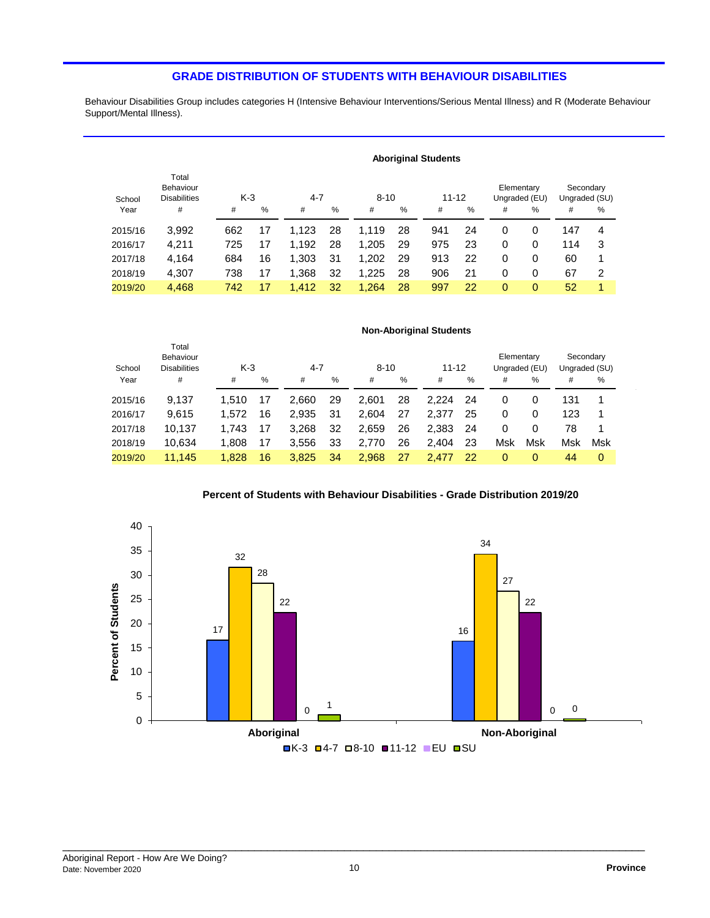## **GRADE DISTRIBUTION OF STUDENTS WITH BEHAVIOUR DISABILITIES**

Behaviour Disabilities Group includes categories H (Intensive Behaviour Interventions/Serious Mental Illness) and R (Moderate Behaviour Support/Mental Illness).

|         |                                           |     |    |       |    |          |    | <b>Aboriginal Students</b> |    |            |               |                            |   |
|---------|-------------------------------------------|-----|----|-------|----|----------|----|----------------------------|----|------------|---------------|----------------------------|---|
| School  | Total<br>Behaviour<br><b>Disabilities</b> | K-3 |    | 4-7   |    | $8 - 10$ |    | $11 - 12$                  |    | Elementary | Ungraded (EU) | Secondary<br>Ungraded (SU) |   |
| Year    | #                                         | #   | %  | #     | %  | #        | %  | #                          | %  | #          | %             | #                          | % |
| 2015/16 | 3,992                                     | 662 | 17 | 1.123 | 28 | 1,119    | 28 | 941                        | 24 | 0          | 0             | 147                        | 4 |
| 2016/17 | 4,211                                     | 725 | 17 | 1,192 | 28 | 1,205    | 29 | 975                        | 23 | 0          | 0             | 114                        | 3 |
| 2017/18 | 4,164                                     | 684 | 16 | 1,303 | 31 | 1,202    | 29 | 913                        | 22 | 0          | 0             | 60                         | 1 |
| 2018/19 | 4,307                                     | 738 | 17 | 1,368 | 32 | 1,225    | 28 | 906                        | 21 | 0          | 0             | 67                         | 2 |
| 2019/20 | 4,468                                     | 742 | 17 | 1,412 | 32 | 1,264    | 28 | 997                        | 22 | 0          | 0             | 52                         | 1 |

| School  | Total<br>Behaviour<br><b>Disabilities</b> | $K-3$ |    | $4 - 7$ |    | $8 - 10$ |    | $11 - 12$ |    | Elementary | Ungraded (EU) |     | Secondary<br>Ungraded (SU) |
|---------|-------------------------------------------|-------|----|---------|----|----------|----|-----------|----|------------|---------------|-----|----------------------------|
| Year    | #                                         | #     | %  | #       | %  | #        | %  | #         | %  | #          | %             | #   | %                          |
| 2015/16 | 9,137                                     | 1.510 | 17 | 2,660   | 29 | 2,601    | 28 | 2.224     | 24 | 0          |               | 131 |                            |
| 2016/17 | 9.615                                     | 1.572 | 16 | 2.935   | 31 | 2.604    | 27 | 2.377     | 25 | 0          | 0             | 123 |                            |
| 2017/18 | 10.137                                    | 1.743 | 17 | 3,268   | 32 | 2,659    | 26 | 2.383     | 24 | 0          | 0             | 78  |                            |
| 2018/19 | 10.634                                    | 1.808 | 17 | 3.556   | 33 | 2.770    | 26 | 2,404     | 23 | Msk        | Msk           | Msk | Msk                        |
| 2019/20 | 11.145                                    | 1.828 | 16 | 3.825   | 34 | 2,968    | 27 | 2.477     | 22 | 0          |               | 44  | $\Omega$                   |

### **Non-Aboriginal Students**

## **Percent of Students with Behaviour Disabilities - Grade Distribution 2019/20**



 $\overline{a}$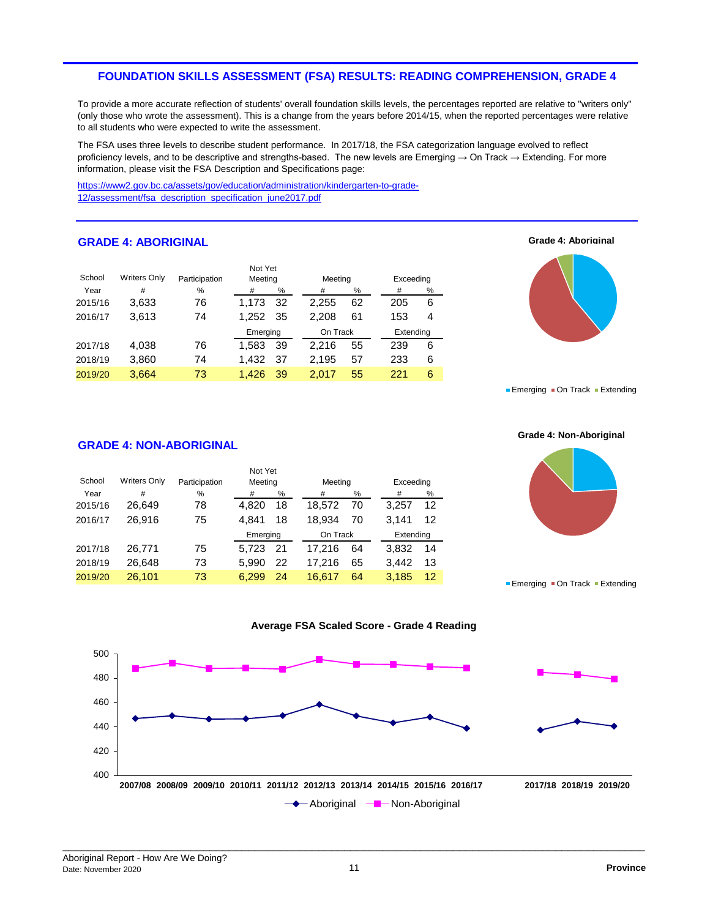## **FOUNDATION SKILLS ASSESSMENT (FSA) RESULTS: READING COMPREHENSION, GRADE 4**

To provide a more accurate reflection of students' overall foundation skills levels, the percentages reported are relative to "writers only" (only those who wrote the assessment). This is a change from the years before 2014/15, when the reported percentages were relative to all students who were expected to write the assessment.

The FSA uses three levels to describe student performance. In 2017/18, the FSA categorization language evolved to reflect proficiency levels, and to be descriptive and strengths-based. The new levels are Emerging → On Track → Extending. For more information, please visit the FSA Description and Specifications page:

[https://w](https://www2.gov.bc.ca/assets/gov/education/administration/kindergarten-to-grade-12/assessment/fsa_description_specification_june2017.pdf)ww2.gov.bc.ca/assets/gov/education/administration/kindergarten-to-grade-[12/asse](https://www2.gov.bc.ca/assets/gov/education/administration/kindergarten-to-grade-12/assessment/fsa_description_specification_june2017.pdf)ssment/fsa\_description\_specification\_june2017.pdf

## **GRADE 4: ABORIGINAL**

|         |                     |               | Not Yet  |    |          |    |           |   |
|---------|---------------------|---------------|----------|----|----------|----|-----------|---|
| School  | <b>Writers Only</b> | Participation | Meeting  |    | Meeting  |    | Exceeding |   |
| Year    | #                   | %             | #        | %  | #        | %  | #         | % |
| 2015/16 | 3,633               | 76            | 1.173    | 32 | 2.255    | 62 | 205       | 6 |
| 2016/17 | 3.613               | 74            | 1.252    | 35 | 2.208    | 61 | 153       | 4 |
|         |                     |               | Emerging |    | On Track |    | Extending |   |
| 2017/18 | 4.038               | 76            | 1.583    | 39 | 2.216    | 55 | 239       | 6 |
| 2018/19 | 3,860               | 74            | 1.432    | 37 | 2.195    | 57 | 233       | 6 |
| 2019/20 | 3.664               | 73            | 1.426    | 39 | 2.017    | 55 | 221       | 6 |

Year # % <u># % # % # %</u> 2015/16 26,649 78 4,820 18 18,572 70 3,257 12 2016/17 26,916 75 4,841 18 18,934 70 3,141 12

Not Yet<br>Meeting

2017/18 26,771 75 5,723 21 17,216 64 3,832 14 2018/19 26,648 73 5,990 22 17,216 65 3,442 13 2019/20 26,101 73 6,299 24 16,617 64 3,185 12

### **Grade 4: Aboriginal**



**Emerging On Track Extending** 



Emerging  $\blacksquare$  On Track  $\blacksquare$  Extending



Emerging On Track Extending

Meeting **Exceeding** 

### **GRADE 4: NON-ABORIGINAL**

School Writers Only Participation

### Aboriginal Report - How Are We Doing? Date: November 2020

 $\_$  ,  $\_$  ,  $\_$  ,  $\_$  ,  $\_$  ,  $\_$  ,  $\_$  ,  $\_$  ,  $\_$  ,  $\_$  ,  $\_$  ,  $\_$  ,  $\_$  ,  $\_$  ,  $\_$  ,  $\_$  ,  $\_$  ,  $\_$  ,  $\_$  ,  $\_$  ,  $\_$  ,  $\_$  ,  $\_$  ,  $\_$  ,  $\_$  ,  $\_$  ,  $\_$  ,  $\_$  ,  $\_$  ,  $\_$  ,  $\_$  ,  $\_$  ,  $\_$  ,  $\_$  ,  $\_$  ,  $\_$  ,  $\_$  ,

## **Grade 4: Non-Aboriginal**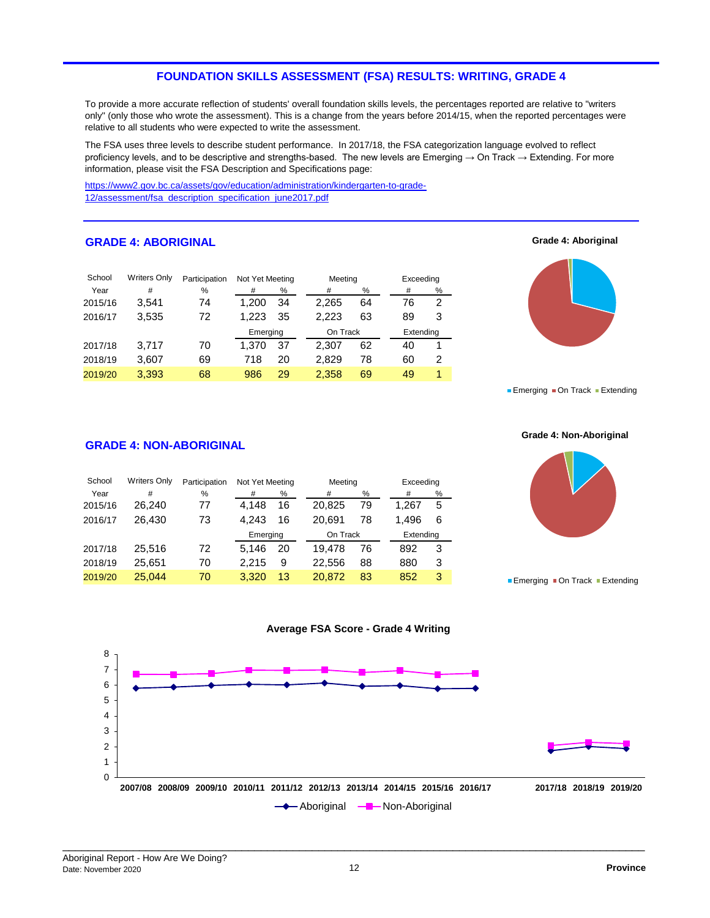## **FOUNDATION SKILLS ASSESSMENT (FSA) RESULTS: WRITING, GRADE 4**

To provide a more accurate reflection of students' overall foundation skills levels, the percentages reported are relative to "writers only" (only those who wrote the assessment). This is a change from the years before 2014/15, when the reported percentages were relative to all students who were expected to write the assessment.

The FSA uses three levels to describe student performance. In 2017/18, the FSA categorization language evolved to reflect proficiency levels, and to be descriptive and strengths-based. The new levels are Emerging → On Track → Extending. For more information, please visit the FSA Description and Specifications page:

[https://w](https://www2.gov.bc.ca/assets/gov/education/administration/kindergarten-to-grade-12/assessment/fsa_description_specification_june2017.pdf)ww2.gov.bc.ca/assets/gov/education/administration/kindergarten-to-grade-[12/asse](https://www2.gov.bc.ca/assets/gov/education/administration/kindergarten-to-grade-12/assessment/fsa_description_specification_june2017.pdf)ssment/fsa\_description\_specification\_june2017.pdf

## **GRADE 4: ABORIGINAL**

| School  | <b>Writers Only</b> | Participation | Not Yet Meeting |    | Meeting  |    |    | Exceeding |   |
|---------|---------------------|---------------|-----------------|----|----------|----|----|-----------|---|
| Year    | #                   | %             | #               | %  | #        | %  | #  |           | % |
| 2015/16 | 3.541               | 74            | 1.200           | 34 | 2.265    | 64 | 76 |           | 2 |
| 2016/17 | 3.535               | 72            | 1.223           | 35 | 2.223    | 63 | 89 |           | 3 |
|         |                     |               |                 |    |          |    |    |           |   |
|         |                     |               | Emerging        |    | On Track |    |    | Extending |   |
| 2017/18 | 3.717               | 70            | 1.370           | 37 | 2.307    | 62 | 40 |           |   |
| 2018/19 | 3.607               | 69            | 718             | 20 | 2.829    | 78 | 60 |           | 2 |

### **Grade 4: Aboriginal**



**Emerging On Track Extending** 

**Grade 4: Non-Aboriginal**

### **GRADE 4: NON-ABORIGINAL**

| School  | <b>Writers Only</b> | Participation | Not Yet Meeting |    | Meeting  |    | Exceeding |   |  |
|---------|---------------------|---------------|-----------------|----|----------|----|-----------|---|--|
| Year    | #                   | %             | #               | %  | #        | %  | #         | % |  |
| 2015/16 | 26.240              | 77            | 4.148           | 16 | 20.825   | 79 | 1.267     | 5 |  |
| 2016/17 | 26.430              | 73            | 4.243           | 16 | 20.691   | 78 | 1.496     | 6 |  |
|         |                     |               |                 |    |          |    |           |   |  |
|         |                     |               | Emerging        |    | On Track |    | Extending |   |  |
| 2017/18 | 25.516              | 72            | 5.146           | 20 | 19.478   | 76 | 892       | 3 |  |
| 2018/19 | 25.651              | 70            | 2.215           | 9  | 22.556   | 88 | 880       | 3 |  |



**Emerging On Track Extending** 





#### $\_$  ,  $\_$  ,  $\_$  ,  $\_$  ,  $\_$  ,  $\_$  ,  $\_$  ,  $\_$  ,  $\_$  ,  $\_$  ,  $\_$  ,  $\_$  ,  $\_$  ,  $\_$  ,  $\_$  ,  $\_$  ,  $\_$  ,  $\_$  ,  $\_$  ,  $\_$  ,  $\_$  ,  $\_$  ,  $\_$  ,  $\_$  ,  $\_$  ,  $\_$  ,  $\_$  ,  $\_$  ,  $\_$  ,  $\_$  ,  $\_$  ,  $\_$  ,  $\_$  ,  $\_$  ,  $\_$  ,  $\_$  ,  $\_$  , Aboriginal Report - How Are We Doing? Date: November 2020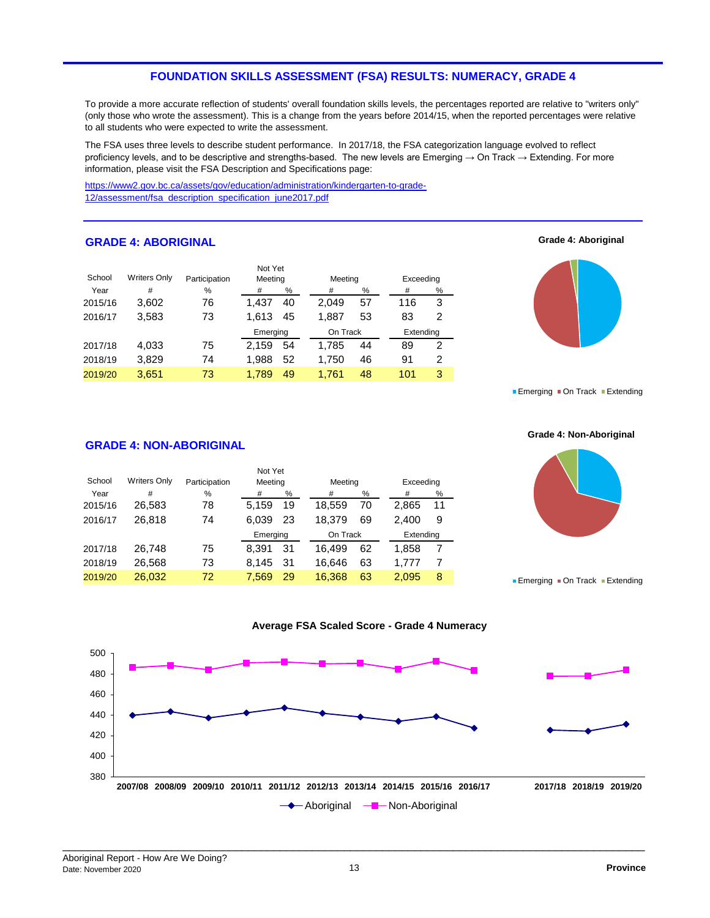## **FOUNDATION SKILLS ASSESSMENT (FSA) RESULTS: NUMERACY, GRADE 4**

To provide a more accurate reflection of students' overall foundation skills levels, the percentages reported are relative to "writers only" (only those who wrote the assessment). This is a change from the years before 2014/15, when the reported percentages were relative to all students who were expected to write the assessment.

The FSA uses three levels to describe student performance. In 2017/18, the FSA categorization language evolved to reflect proficiency levels, and to be descriptive and strengths-based. The new levels are Emerging → On Track → Extending. For more information, please visit the FSA Description and Specifications page:

[https://w](https://www2.gov.bc.ca/assets/gov/education/administration/kindergarten-to-grade-12/assessment/fsa_description_specification_june2017.pdf)ww2.gov.bc.ca/assets/gov/education/administration/kindergarten-to-grade-[12/asse](https://www2.gov.bc.ca/assets/gov/education/administration/kindergarten-to-grade-12/assessment/fsa_description_specification_june2017.pdf)ssment/fsa\_description\_specification\_june2017.pdf

## **GRADE 4: ABORIGINAL**

|         |                     |               | Not Yet     |             |           |   |
|---------|---------------------|---------------|-------------|-------------|-----------|---|
| School  | <b>Writers Only</b> | Participation | Meeting     | Meeting     | Exceeding |   |
| Year    | #                   | %             | %<br>#      | %<br>#      | #         | % |
| 2015/16 | 3,602               | 76            | 1.437<br>40 | 57<br>2.049 | 116       | 3 |
| 2016/17 | 3.583               | 73            | 1.613<br>45 | 1.887<br>53 | 83        | 2 |
|         |                     |               | Emerging    | On Track    | Extending |   |
| 2017/18 | 4,033               | 75            | 2.159<br>54 | 1.785<br>44 | 89        | 2 |
| 2018/19 | 3.829               | 74            | 52<br>1.988 | 1.750<br>46 | 91        | 2 |
| 2019/20 | 3.651               | 73            | 1.789<br>49 | 1.761<br>48 | 101       | 3 |

### **Grade 4: Aboriginal**



**Emerging On Track Extending** 

## **GRADE 4: NON-ABORIGINAL** Not Yet

| <b>Writers Only</b> | Participation | Meeting |    |          | Meeting |    |          | Exceeding |    |           |
|---------------------|---------------|---------|----|----------|---------|----|----------|-----------|----|-----------|
| #                   | %             | #       | %  |          | #       | %  |          | #         | %  |           |
| 26.583              | 78            | 5.159   | 19 |          | 18.559  | 70 |          | 2.865     | 11 |           |
| 26.818              | 74            | 6.039   | 23 |          | 18.379  | 69 |          | 2.400     | 9  |           |
|                     |               |         |    |          |         |    |          |           |    |           |
| 26.748              | 75            | 8.391   | 31 |          | 16.499  | 62 |          | 1.858     | 7  |           |
| 26.568              | 73            | 8,145   | 31 |          | 16.646  | 63 |          | 1.777     | 7  |           |
| 26.032              | 72            | 7.569   | 29 |          | 16.368  | 63 |          | 2.095     | 8  |           |
|                     |               |         |    | Emerging |         |    | On Track |           |    | Extending |

### **Grade 4: Non-Aboriginal**



**Emerging On Track Extending** 

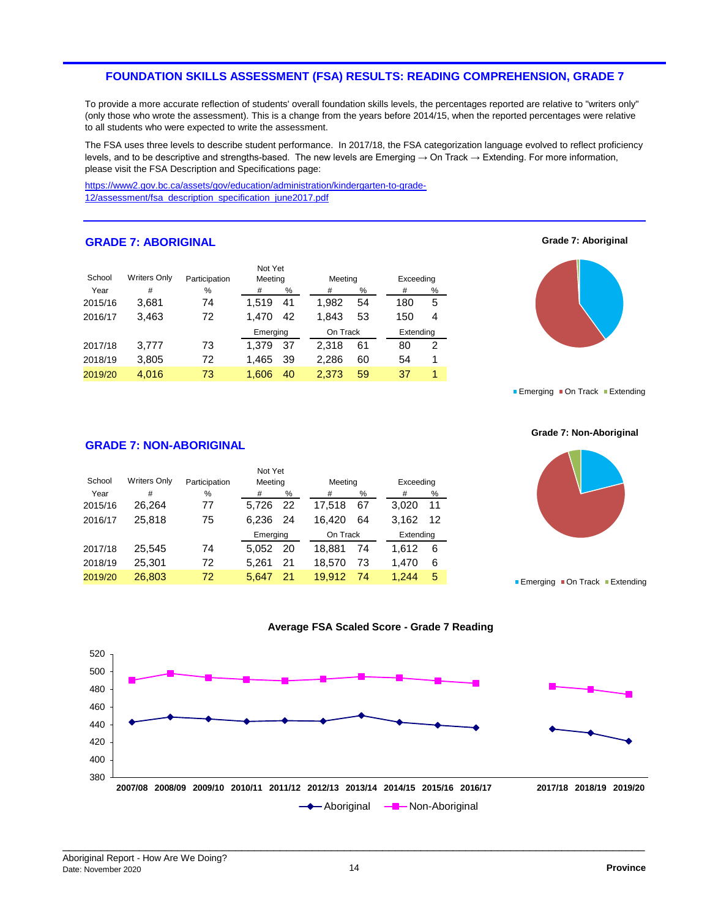## **FOUNDATION SKILLS ASSESSMENT (FSA) RESULTS: READING COMPREHENSION, GRADE 7**

To provide a more accurate reflection of students' overall foundation skills levels, the percentages reported are relative to "writers only" (only those who wrote the assessment). This is a change from the years before 2014/15, when the reported percentages were relative to all students who were expected to write the assessment.

The FSA uses three levels to describe student performance. In 2017/18, the FSA categorization language evolved to reflect proficiency levels, and to be descriptive and strengths-based. The new levels are Emerging → On Track → Extending. For more information, please visit the FSA Description and Specifications page:

[https://w](https://www2.gov.bc.ca/assets/gov/education/administration/kindergarten-to-grade-12/assessment/fsa_description_specification_june2017.pdf)ww2.gov.bc.ca/assets/gov/education/administration/kindergarten-to-grade-[12/asse](https://www2.gov.bc.ca/assets/gov/education/administration/kindergarten-to-grade-12/assessment/fsa_description_specification_june2017.pdf)ssment/fsa\_description\_specification\_june2017.pdf

## **GRADE 7: ABORIGINAL**

| School  | <b>Writers Only</b> | Participation | Not Yet<br>Meeting | Meeting  |    | Exceeding |               |
|---------|---------------------|---------------|--------------------|----------|----|-----------|---------------|
| Year    | #                   | %             | %<br>#             | #        | %  | #         | $\frac{9}{6}$ |
| 2015/16 | 3,681               | 74            | 1.519<br>41        | 1.982    | 54 | 180       | 5             |
| 2016/17 | 3.463               | 72            | 1.470<br>42        | 1.843    | 53 | 150       | 4             |
|         |                     |               | Emerging           | On Track |    | Extending |               |
| 2017/18 | 3.777               | 73            | 37<br>1.379        | 2.318    | 61 | 80        | 2             |
| 2018/19 | 3,805               | 72            | 1.465<br>39        | 2.286    | 60 | 54        | 1             |
| 2019/20 | 4.016               | 73            | 1.606<br>40        | 2.373    | 59 | 37        | 1             |

**Grade 7: Aboriginal**



**Emerging On Track Extending** 

### **GRADE 7: NON-ABORIGINAL**

|         |                     |               | Not Yet  |    |          |    |           |    |
|---------|---------------------|---------------|----------|----|----------|----|-----------|----|
| School  | <b>Writers Only</b> | Participation | Meeting  |    | Meeting  |    | Exceeding |    |
| Year    | #                   | %             | #        | %  | #        | %  | #         | %  |
| 2015/16 | 26,264              | 77            | 5.726    | 22 | 17.518   | 67 | 3.020     | 11 |
| 2016/17 | 25.818              | 75            | 6.236    | 24 | 16.420   | 64 | 3.162     | 12 |
|         |                     |               |          |    |          |    |           |    |
|         |                     |               | Emerging |    | On Track |    | Extending |    |
| 2017/18 | 25.545              | 74            | 5.052    | 20 | 18.881   | 74 | 1.612     | 6  |
| 2018/19 | 25,301              | 72            | 5.261    | 21 | 18.570   | 73 | 1.470     | 6  |

### **Grade 7: Non-Aboriginal**



**Emerging On Track Extending** 



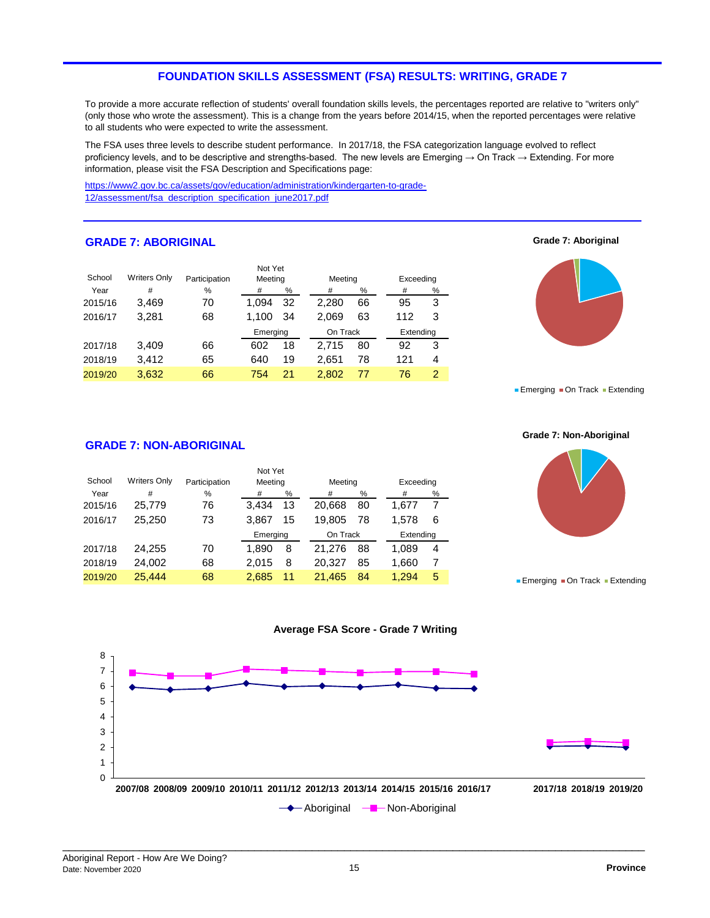## **FOUNDATION SKILLS ASSESSMENT (FSA) RESULTS: WRITING, GRADE 7**

To provide a more accurate reflection of students' overall foundation skills levels, the percentages reported are relative to "writers only" (only those who wrote the assessment). This is a change from the years before 2014/15, when the reported percentages were relative to all students who were expected to write the assessment.

The FSA uses three levels to describe student performance. In 2017/18, the FSA categorization language evolved to reflect proficiency levels, and to be descriptive and strengths-based. The new levels are Emerging → On Track → Extending. For more information, please visit the FSA Description and Specifications page:

[https://w](https://www2.gov.bc.ca/assets/gov/education/administration/kindergarten-to-grade-12/assessment/fsa_description_specification_june2017.pdf)ww2.gov.bc.ca/assets/gov/education/administration/kindergarten-to-grade-[12/asse](https://www2.gov.bc.ca/assets/gov/education/administration/kindergarten-to-grade-12/assessment/fsa_description_specification_june2017.pdf)ssment/fsa\_description\_specification\_june2017.pdf

## **GRADE 7: ABORIGINAL**

| School  | <b>Writers Only</b> | Participation | Not Yet<br>Meeting |    | Meeting  |    |     | Exceeding |
|---------|---------------------|---------------|--------------------|----|----------|----|-----|-----------|
| Year    | #                   | %             | #                  | %  | #        | %  | #   | %         |
| 2015/16 | 3.469               | 70            | 1.094              | 32 | 2.280    | 66 | 95  | 3         |
| 2016/17 | 3.281               | 68            | 1.100              | 34 | 2.069    | 63 | 112 | 3         |
|         |                     |               | Emerging           |    | On Track |    |     | Extending |
| 2017/18 | 3,409               | 66            | 602                | 18 | 2.715    | 80 | 92  | 3         |
| 2018/19 | 3.412               | 65            | 640                | 19 | 2.651    | 78 | 121 | 4         |
| 2019/20 | 3.632               | 66            | 754                | 21 | 2.802    | 77 | 76  | 2         |

### **Grade 7: Aboriginal**



**Emerging On Track Extending** 

### **GRADE 7: NON-ABORIGINAL**

|         |                     |               | Not Yet  |    |          |    |           |   |
|---------|---------------------|---------------|----------|----|----------|----|-----------|---|
| School  | <b>Writers Only</b> | Participation | Meeting  |    | Meeting  |    | Exceeding |   |
| Year    | #                   | %             | #        | %  | #        | %  | #         | % |
| 2015/16 | 25.779              | 76            | 3.434    | 13 | 20.668   | 80 | 1.677     | 7 |
| 2016/17 | 25.250              | 73            | 3.867    | 15 | 19.805   | 78 | 1.578     | 6 |
|         |                     |               | Emerging |    | On Track |    | Extending |   |
| 2017/18 | 24,255              | 70            | 1.890    | 8  | 21.276   | 88 | 1,089     | 4 |
| 2018/19 | 24,002              | 68            | 2.015    | 8  | 20.327   | 85 | 1,660     | 7 |
| 2019/20 | 25.444              | 68            | 2,685    | 11 | 21,465   | 84 | 1.294     | 5 |

#### **Grade 7: Non-Aboriginal**



**Emerging On Track Extending** 

**Average FSA Score - Grade 7 Writing**

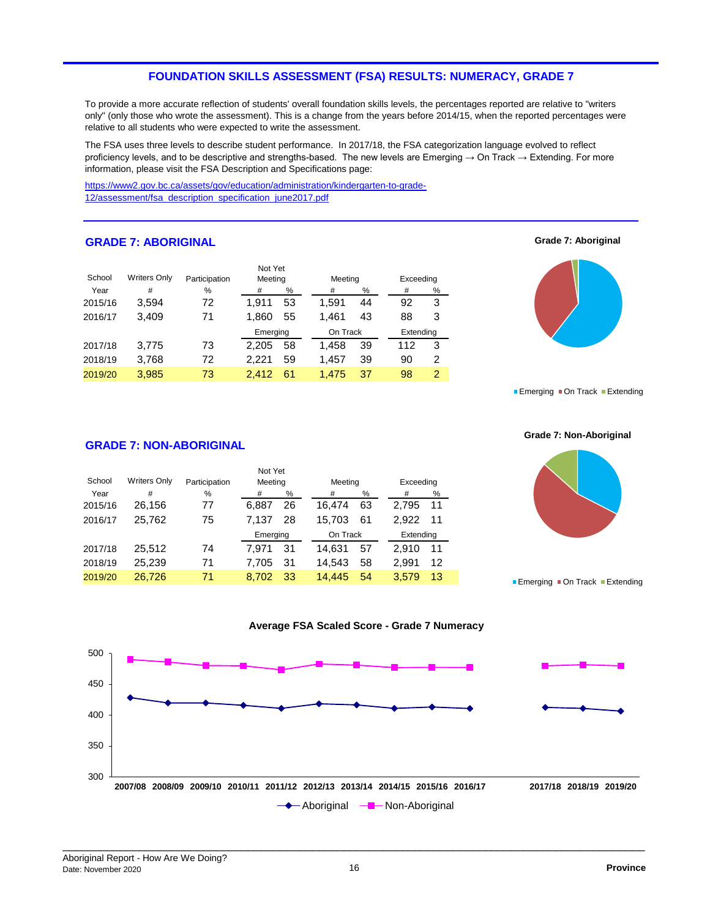## **FOUNDATION SKILLS ASSESSMENT (FSA) RESULTS: NUMERACY, GRADE 7**

To provide a more accurate reflection of students' overall foundation skills levels, the percentages reported are relative to "writers only" (only those who wrote the assessment). This is a change from the years before 2014/15, when the reported percentages were relative to all students who were expected to write the assessment.

The FSA uses three levels to describe student performance. In 2017/18, the FSA categorization language evolved to reflect proficiency levels, and to be descriptive and strengths-based. The new levels are Emerging → On Track → Extending. For more information, please visit the FSA Description and Specifications page:

[https://w](https://www2.gov.bc.ca/assets/gov/education/administration/kindergarten-to-grade-12/assessment/fsa_description_specification_june2017.pdf)ww2.gov.bc.ca/assets/gov/education/administration/kindergarten-to-grade-[12/asse](https://www2.gov.bc.ca/assets/gov/education/administration/kindergarten-to-grade-12/assessment/fsa_description_specification_june2017.pdf)ssment/fsa\_description\_specification\_june2017.pdf

## **GRADE 7: ABORIGINAL**

| School  | <b>Writers Only</b> | Participation | Not Yet<br>Meeting |    |       | Meeting  | Exceeding |               |
|---------|---------------------|---------------|--------------------|----|-------|----------|-----------|---------------|
| Year    | #                   | %             | #                  | %  | #     | %        | #         | $\frac{9}{6}$ |
| 2015/16 | 3.594               | 72            | 1.911              | 53 | 1.591 | 44       | 92        | 3             |
| 2016/17 | 3.409               | 71            | 1.860              | 55 | 1,461 | 43       | 88        | 3             |
|         |                     |               | Emerging           |    |       | On Track | Extending |               |
| 2017/18 | 3,775               | 73            | 2.205              | 58 | 1.458 | 39       | 112       | 3             |
| 2018/19 | 3,768               | 72            | 2.221              | 59 | 1.457 | 39       | 90        | 2             |
| 2019/20 | 3.985               | 73            | 2.412              | 61 | 1.475 | 37       | 98        | 2             |

### **Grade 7: Aboriginal**



**Emerging On Track Extending** 

## **GRADE 7: NON-ABORIGINAL**

|         |                     |               | Not Yet  |    |          |    |           |    |
|---------|---------------------|---------------|----------|----|----------|----|-----------|----|
| School  | <b>Writers Only</b> | Participation | Meeting  |    | Meeting  |    | Exceeding |    |
| Year    | #                   | %             | #        | %  | #        | %  | #         | %  |
| 2015/16 | 26,156              | 77            | 6.887    | 26 | 16.474   | 63 | 2.795     | 11 |
| 2016/17 | 25.762              | 75            | 7.137    | 28 | 15.703   | 61 | 2.922     | 11 |
|         |                     |               |          |    |          |    |           |    |
|         |                     |               | Emerging |    | On Track |    | Extending |    |
| 2017/18 | 25.512              | 74            | 7.971    | 31 | 14.631   | 57 | 2.910     | 11 |
| 2018/19 | 25,239              | 71            | 7.705    | 31 | 14.543   | 58 | 2.991     | 12 |

### **Grade 7: Non-Aboriginal**



**Emerging On Track Extending** 



**Average FSA Scaled Score - Grade 7 Numeracy**



400

450

500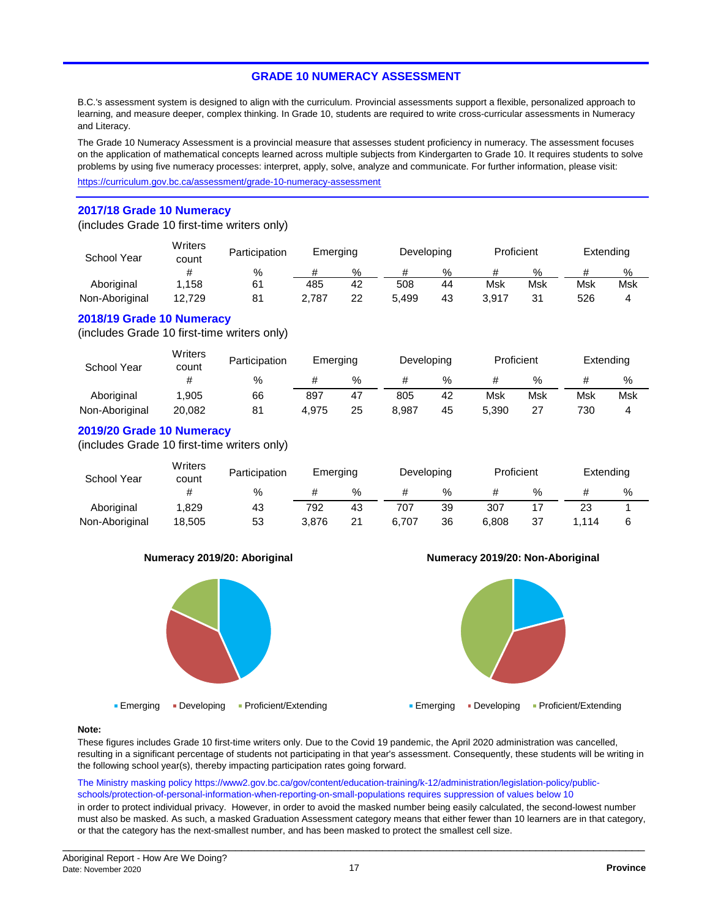## **GRADE 10 NUMERACY ASSESSMENT**

B.C.'s assessment system is designed to align with the curriculum. Provincial assessments support a flexible, personalized approach to learning, and measure deeper, complex thinking. In Grade 10, students are required to write cross-curricular assessments in Numeracy and Literacy.

The Grade 10 Numeracy Assessment is a provincial measure that assesses student proficiency in numeracy. The assessment focuses on the application of mathematical concepts learned across multiple subjects from Kindergarten to Grade 10. It requires students to solve problems by using five numeracy processes: interpret, apply, solve, analyze and communicate. For further information, please visit:

[https://curriculum.](https://curriculum.gov.bc.ca/assessment/grade-10-numeracy-assessment)gov.bc.ca/assessment/grade-10-numeracy-assessment

### **2017/18 Grade 10 Numeracy**

 $\ddot{}$ 

(includes Grade 10 first-time writers only)

| School Year    | Writers<br>count | Participation | Emerging |    | Developing |    | Proficient |     |     | Extending |
|----------------|------------------|---------------|----------|----|------------|----|------------|-----|-----|-----------|
|                |                  | $\%$          |          | %  |            | %  |            | %   |     | %         |
| Aboriginal     | 1.158            | 61            | 485      | 42 | 508        | 44 | Msk        | Msk | Msk | Msk       |
| Non-Aboriginal | 12.729           | 81            | 2.787    | 22 | 5.499      | 43 | 3.917      | 31  | 526 | 4         |

### **2018/19 Grade 10 Numeracy**

(includes Grade 10 first-time writers only)

| School Year    | Writers<br>count | Participation |       | Emerging |       | Developing |       | Proficient |      | Extending |  |
|----------------|------------------|---------------|-------|----------|-------|------------|-------|------------|------|-----------|--|
|                |                  | %             |       | %        |       | %          |       | %          |      | %         |  |
| Aboriginal     | 1,905            | 66            | 897   | 47       | 805   | 42         | Msk   | Msk        | Msk  | Msk       |  |
| Non-Aboriginal | 20.082           | 81            | 4.975 | 25       | 8.987 | 45         | 5.390 | 27         | 730. |           |  |

### **2019/20 Grade 10 Numeracy**

(includes Grade 10 first-time writers only)

| School Year    | Writers<br>count | Participation | Emerging |    | Developing |    | Proficient |    |     | Extending |  |  |
|----------------|------------------|---------------|----------|----|------------|----|------------|----|-----|-----------|--|--|
|                |                  | %             |          | %  |            | %  |            | %  |     | %         |  |  |
| Aboriginal     | 1.829            | 43            | 792      | 43 | 707        | 39 | 307        |    | 23  |           |  |  |
| Non-Aboriginal | 18.505           | 53            | 3.876    | 21 | 6.707      | 36 | 6.808      | 37 | 114 | 6         |  |  |

### **Numeracy 2019/20: Aboriginal**



### **Numeracy 2019/20: Non-Aboriginal**



### **Note:**

These figures includes Grade 10 first-time writers only. Due to the Covid 19 pandemic, the April 2020 administration was cancelled, resulting in a significant percentage of students not participating in that year's assessment. Consequently, these students will be writing in the following school year(s), thereby impacting participation rates going forward.

[The Ministry mask](https://www2.gov.bc.ca/gov/content/education-training/k-12/administration/legislation-policy/public-schools/protection-of-personal-information-when-reporting-on-small-populations)ing policy https://www2.gov.bc.ca/gov/content/education-training/k-12/administration/legislation-policy/public[schools/protection](https://www2.gov.bc.ca/gov/content/education-training/k-12/administration/legislation-policy/public-schools/protection-of-personal-information-when-reporting-on-small-populations)-of-personal-information-when-reporting-on-small-populations requires suppression of values below 10 in order to protect individual privacy. However, in order to avoid the masked number being easily calculated, the second-lowest number must also be masked. As such, a masked Graduation Assessment category means that either fewer than 10 learners are in that category, or that the category has the next-smallest number, and has been masked to protect the smallest cell size.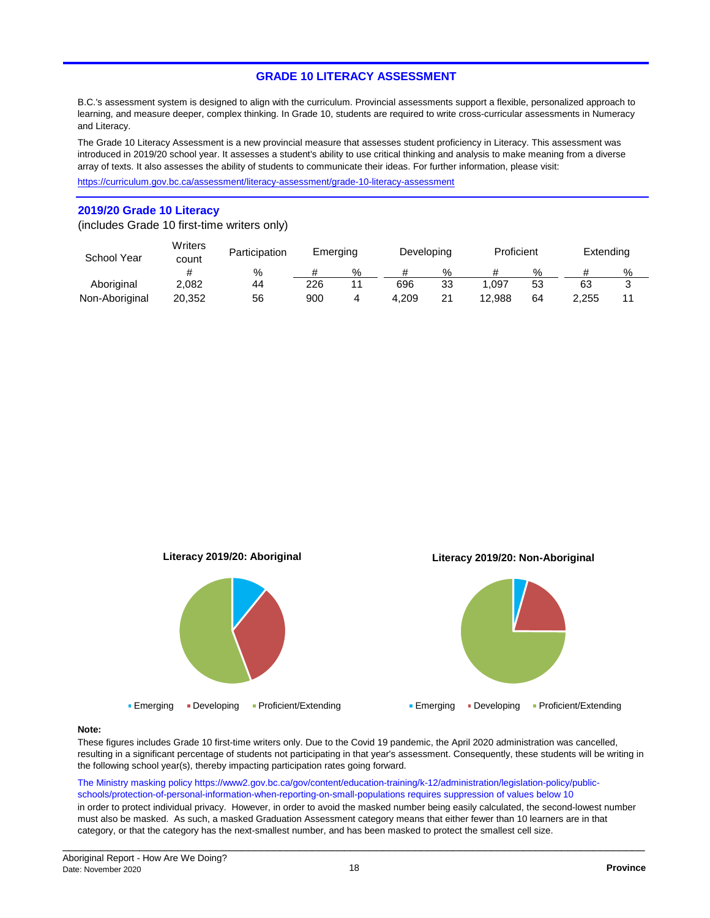## **GRADE 10 LITERACY ASSESSMENT**

B.C.'s assessment system is designed to align with the curriculum. Provincial assessments support a flexible, personalized approach to learning, and measure deeper, complex thinking. In Grade 10, students are required to write cross-curricular assessments in Numeracy and Literacy.

The Grade 10 Literacy Assessment is a new provincial measure that assesses student proficiency in Literacy. This assessment was introduced in 2019/20 school year. It assesses a student's ability to use critical thinking and analysis to make meaning from a diverse array of texts. It also assesses the ability of students to communicate their ideas. For further information, please visit:

[https://curriculum.](https://curriculum.gov.bc.ca/assessment/literacy-assessment/grade-10-literacy-assessment)gov.bc.ca/assessment/literacy-assessment/grade-10-literacy-assessment

### **2019/20 Grade 10 Literacy**

(includes Grade 10 first-time writers only)

| School Year    | Writers<br>count | Participation | Emerging |    | Developing |    | Proficient |    |       | Extending |  |  |
|----------------|------------------|---------------|----------|----|------------|----|------------|----|-------|-----------|--|--|
|                |                  | $\%$          |          | %  |            | %  |            | %  |       | %         |  |  |
| Aboriginal     | 2.082            | 44            | 226      | 11 | 696        | 33 | .097       | 53 | 63    |           |  |  |
| Non-Aboriginal | 20.352           | 56            | 900      | 4  | 4.209      | 21 | 12.988     | 64 | 2.255 | 11        |  |  |



### **Note:**

These figures includes Grade 10 first-time writers only. Due to the Covid 19 pandemic, the April 2020 administration was cancelled, resulting in a significant percentage of students not participating in that year's assessment. Consequently, these students will be writing in the following school year(s), thereby impacting participation rates going forward.

in order to protect individual privacy. However, in order to avoid the masked number being easily calculated, the second-lowest number must also be masked. As such, a masked Graduation Assessment category means that either fewer than 10 learners are in that category, or that the category has the next-smallest number, and has been masked to protect the smallest cell size. [The Ministry mask](https://www2.gov.bc.ca/gov/content/education-training/k-12/administration/legislation-policy/public-schools/protection-of-personal-information-when-reporting-on-small-populations)ing policy https://www2.gov.bc.ca/gov/content/education-training/k-12/administration/legislation-policy/public[schools/protection](https://www2.gov.bc.ca/gov/content/education-training/k-12/administration/legislation-policy/public-schools/protection-of-personal-information-when-reporting-on-small-populations)-of-personal-information-when-reporting-on-small-populations requires suppression of values below 10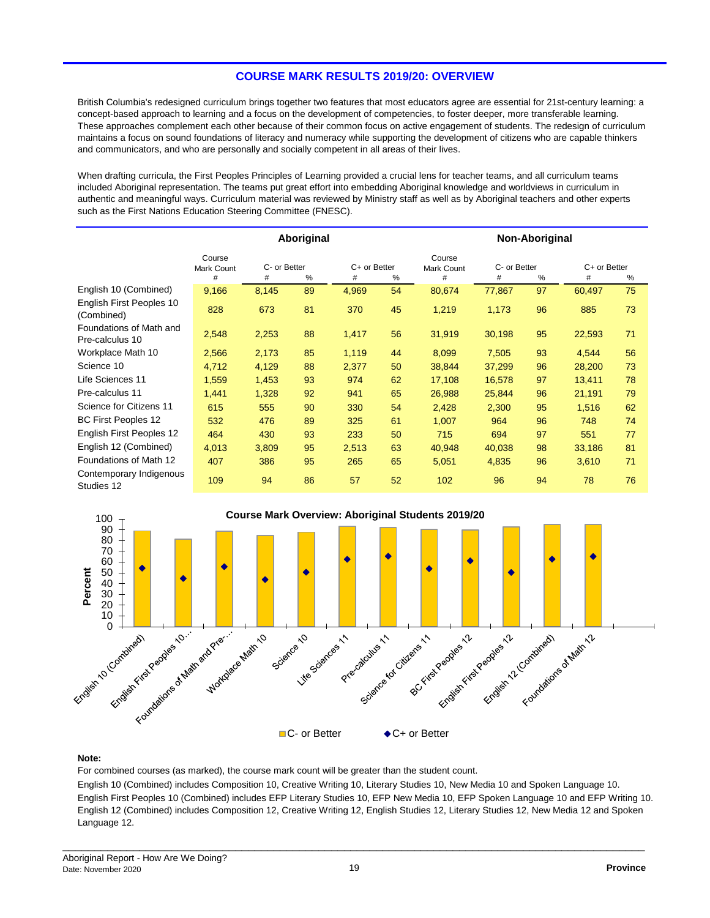## **COURSE MARK RESULTS 2019/20: OVERVIEW**

British Columbia's redesigned curriculum brings together two features that most educators agree are essential for 21st-century learning: a concept-based approach to learning and a focus on the development of competencies, to foster deeper, more transferable learning. These approaches complement each other because of their common focus on active engagement of students. The redesign of curriculum maintains a focus on sound foundations of literacy and numeracy while supporting the development of citizens who are capable thinkers and communicators, and who are personally and socially competent in all areas of their lives.

When drafting curricula, the First Peoples Principles of Learning provided a crucial lens for teacher teams, and all curriculum teams included Aboriginal representation. The teams put great effort into embedding Aboriginal knowledge and worldviews in curriculum in authentic and meaningful ways. Curriculum material was reviewed by Ministry staff as well as by Aboriginal teachers and other experts such as the First Nations Education Steering Committee (FNESC).

|                                            |                           |                   | Aboriginal |                   |    | Non-Aboriginal                   |                   |      |                   |      |  |
|--------------------------------------------|---------------------------|-------------------|------------|-------------------|----|----------------------------------|-------------------|------|-------------------|------|--|
|                                            | Course<br>Mark Count<br># | C- or Better<br># | $\%$       | C+ or Better<br># | %  | Course<br><b>Mark Count</b><br># | C- or Better<br># | $\%$ | C+ or Better<br># | $\%$ |  |
| English 10 (Combined)                      | 9,166                     | 8,145             | 89         | 4,969             | 54 | 80,674                           | 77,867            | 97   | 60,497            | 75   |  |
| English First Peoples 10<br>(Combined)     | 828                       | 673               | 81         | 370               | 45 | 1,219                            | 1,173             | 96   | 885               | 73   |  |
| Foundations of Math and<br>Pre-calculus 10 | 2,548                     | 2,253             | 88         | 1,417             | 56 | 31,919                           | 30,198            | 95   | 22,593            | 71   |  |
| Workplace Math 10                          | 2,566                     | 2,173             | 85         | 1,119             | 44 | 8,099                            | 7,505             | 93   | 4,544             | 56   |  |
| Science 10                                 | 4,712                     | 4,129             | 88         | 2,377             | 50 | 38,844                           | 37,299            | 96   | 28,200            | 73   |  |
| Life Sciences 11                           | 1,559                     | 1,453             | 93         | 974               | 62 | 17,108                           | 16,578            | 97   | 13,411            | 78   |  |
| Pre-calculus 11                            | 1,441                     | 1,328             | 92         | 941               | 65 | 26,988                           | 25,844            | 96   | 21,191            | 79   |  |
| Science for Citizens 11                    | 615                       | 555               | 90         | 330               | 54 | 2,428                            | 2,300             | 95   | 1,516             | 62   |  |
| <b>BC First Peoples 12</b>                 | 532                       | 476               | 89         | 325               | 61 | 1,007                            | 964               | 96   | 748               | 74   |  |
| <b>English First Peoples 12</b>            | 464                       | 430               | 93         | 233               | 50 | 715                              | 694               | 97   | 551               | 77   |  |
| English 12 (Combined)                      | 4,013                     | 3,809             | 95         | 2,513             | 63 | 40,948                           | 40,038            | 98   | 33,186            | 81   |  |
| Foundations of Math 12                     | 407                       | 386               | 95         | 265               | 65 | 5,051                            | 4,835             | 96   | 3,610             | 71   |  |
| Contemporary Indigenous<br>Studies 12      | 109                       | 94                | 86         | 57                | 52 | 102                              | 96                | 94   | 78                | 76   |  |



### **Note:**

For combined courses (as marked), the course mark count will be greater than the student count.

English First Peoples 10 (Combined) includes EFP Literary Studies 10, EFP New Media 10, EFP Spoken Language 10 and EFP Writing 10. English 12 (Combined) includes Composition 12, Creative Writing 12, English Studies 12, Literary Studies 12, New Media 12 and Spoken Language 12. English 10 (Combined) includes Composition 10, Creative Writing 10, Literary Studies 10, New Media 10 and Spoken Language 10.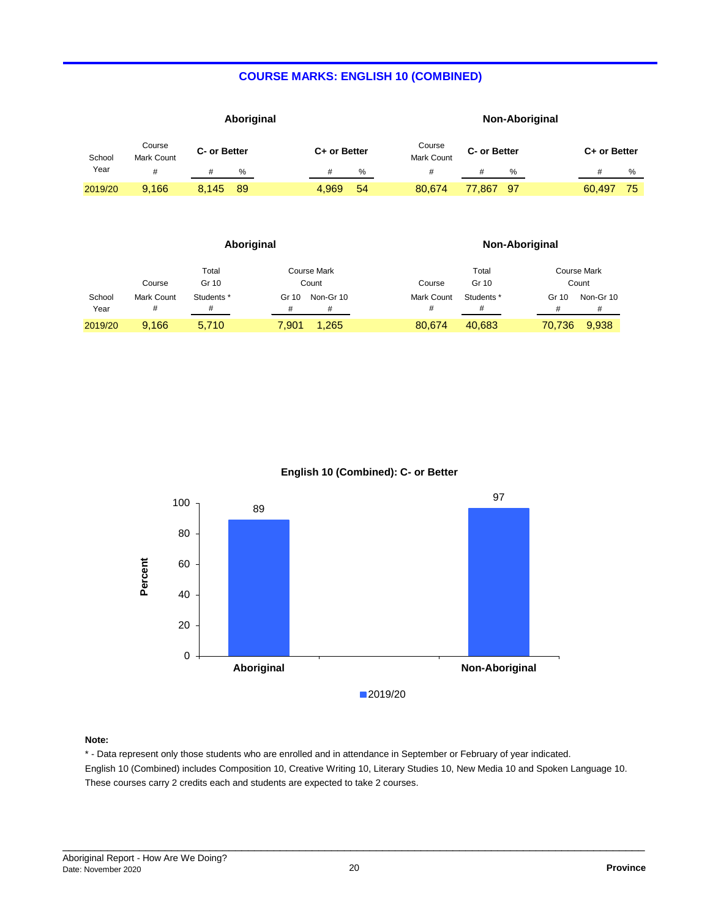## **COURSE MARKS: ENGLISH 10 (COMBINED)**

|         |                             |              | Aboriginal |                |    | Non-Aboriginal              |              |      |  |              |      |  |
|---------|-----------------------------|--------------|------------|----------------|----|-----------------------------|--------------|------|--|--------------|------|--|
| School  | Course<br><b>Mark Count</b> | C- or Better |            | $C+$ or Better |    | Course<br><b>Mark Count</b> | C- or Better |      |  | C+ or Better |      |  |
| Year    | #                           | #            | $\%$       | #              | %  | #                           |              | $\%$ |  | #            | $\%$ |  |
| 2019/20 | 9.166                       | 8.145        | 89         | 4.969          | 54 | 80.674                      | 77.867       | 97   |  | 60.497       | 75   |  |

### **Aboriginal Non-Aboriginal**

|                | Course          | Total<br>Gr 10  | Course Mark<br>Count    | Course          | Total<br>Gr 10  | Course Mark<br>Count         |
|----------------|-----------------|-----------------|-------------------------|-----------------|-----------------|------------------------------|
| School<br>Year | Mark Count<br># | Students *<br># | Non-Gr 10<br>Gr 10<br># | Mark Count<br># | Students *<br># | Non-Gr 10<br>Gr 10<br>#<br># |
| 2019/20        | 9.166           | 5.710           | 7.901<br>1,265          | 80.674          | 40.683          | 70,736<br>9.938              |

## **English 10 (Combined): C- or Better**



### **Note:**

\* - Data represent only those students who are enrolled and in attendance in September or February of year indicated. English 10 (Combined) includes Composition 10, Creative Writing 10, Literary Studies 10, New Media 10 and Spoken Language 10. These courses carry 2 credits each and students are expected to take 2 courses.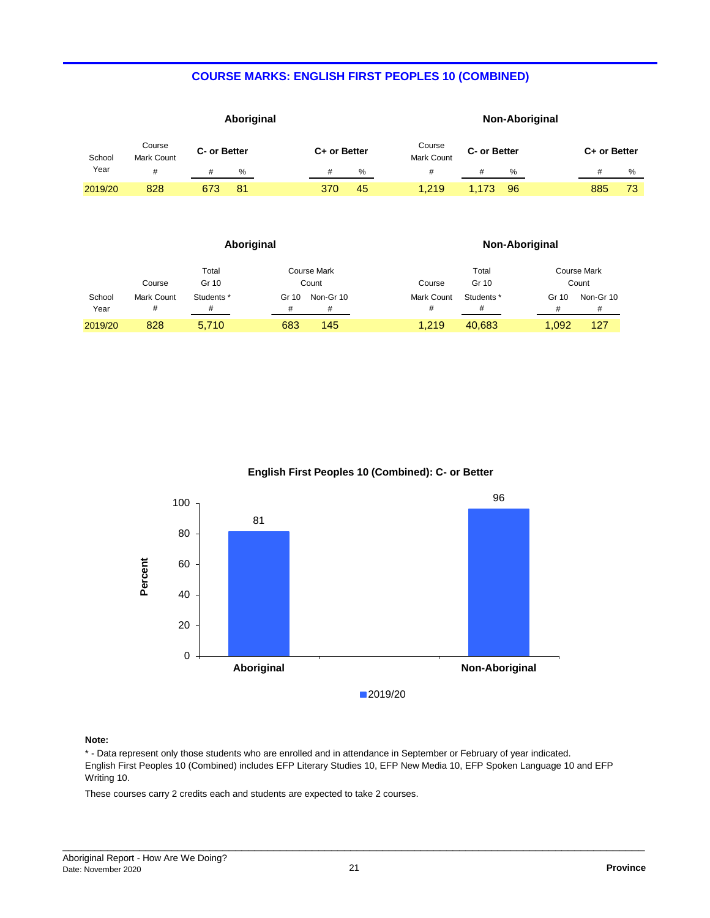## **COURSE MARKS: ENGLISH FIRST PEOPLES 10 (COMBINED)**

|         |                      |              | Aboriginal |                |    |                             | Non-Aboriginal |      |  |              |      |  |  |
|---------|----------------------|--------------|------------|----------------|----|-----------------------------|----------------|------|--|--------------|------|--|--|
| School  | Course<br>Mark Count | C- or Better |            | $C+$ or Better |    | Course<br><b>Mark Count</b> | C- or Better   |      |  | C+ or Better |      |  |  |
| Year    | #                    | #            | $\%$       | #              | %  | #                           |                | $\%$ |  | #            | $\%$ |  |  |
| 2019/20 | 828                  | 673          | 81         | 370            | 45 | 1.219                       |                | 96   |  | 885          | 73   |  |  |

**Aboriginal Non-Aboriginal**

|                | Course          | Total<br>Gr 10  | <b>Course Mark</b><br>Count |                | Course          | Total<br>Gr 10  |            | Course Mark<br>Count |
|----------------|-----------------|-----------------|-----------------------------|----------------|-----------------|-----------------|------------|----------------------|
| School<br>Year | Mark Count<br># | Students *<br># | Gr 10<br>#                  | Non-Gr 10<br># | Mark Count<br># | Students *<br># | Gr 10<br># | Non-Gr 10<br>#       |
| 2019/20        | 828             | 5.710           | 683                         | 145            | 1.219           | 40.683          | 1.092      | 127                  |

**English First Peoples 10 (Combined): C- or Better**



### **Note:**

\* - Data represent only those students who are enrolled and in attendance in September or February of year indicated. English First Peoples 10 (Combined) includes EFP Literary Studies 10, EFP New Media 10, EFP Spoken Language 10 and EFP Writing 10.

These courses carry 2 credits each and students are expected to take 2 courses.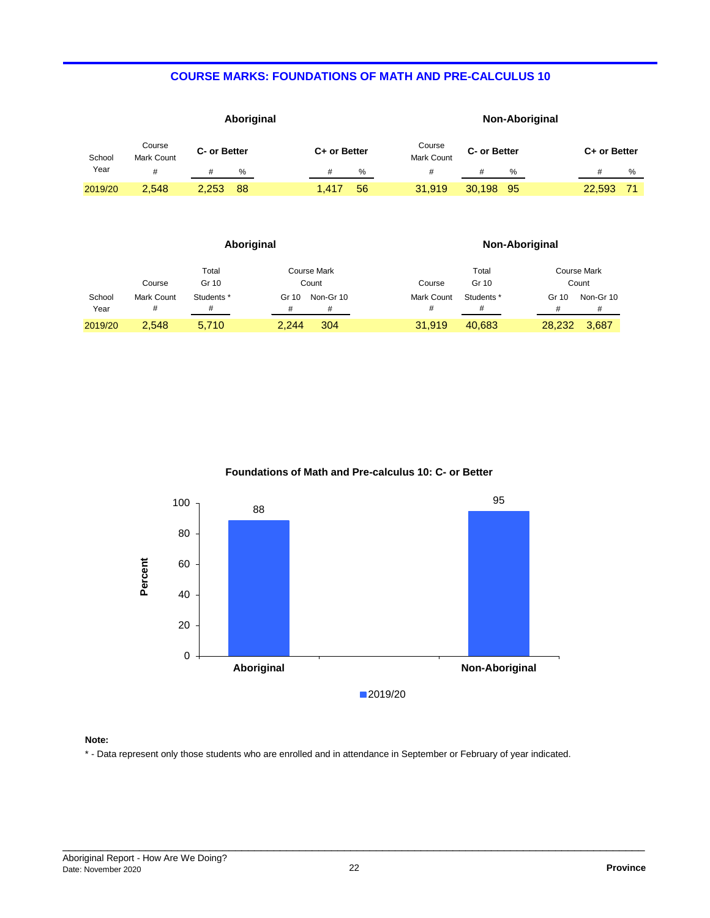## **COURSE MARKS: FOUNDATIONS OF MATH AND PRE-CALCULUS 10**

|         |                      |              | Aboriginal |                |    |                             | <b>Non-Aboriginal</b> |    |  |              |      |  |  |
|---------|----------------------|--------------|------------|----------------|----|-----------------------------|-----------------------|----|--|--------------|------|--|--|
| School  | Course<br>Mark Count | C- or Better |            | $C+$ or Better |    | Course<br><b>Mark Count</b> | C- or Better          |    |  | C+ or Better |      |  |  |
| Year    | #                    | #            | $\%$       | #              | %  | #                           |                       | %  |  | #            | $\%$ |  |  |
| 2019/20 | 2.548                | 2,253        | 88         | 1.41           | 56 | 31.919                      | 30,198                | 95 |  | 22,593       |      |  |  |

### **Aboriginal Non-Aboriginal**

|                | Course          | Total<br>Gr 10  | Course Mark<br>Count    | Course                 | Total<br>Gr 10  | Course Mark<br>Count         |
|----------------|-----------------|-----------------|-------------------------|------------------------|-----------------|------------------------------|
| School<br>Year | Mark Count<br># | Students *<br># | Non-Gr 10<br>Gr 10<br># | <b>Mark Count</b><br># | Students *<br># | Non-Gr 10<br>Gr 10<br>#<br># |
| 2019/20        | 2.548           | 5.710           | 2.244<br>304            | 31,919                 | 40.683          | 28,232<br>3,687              |

**Foundations of Math and Pre-calculus 10: C- or Better**



## **Note:**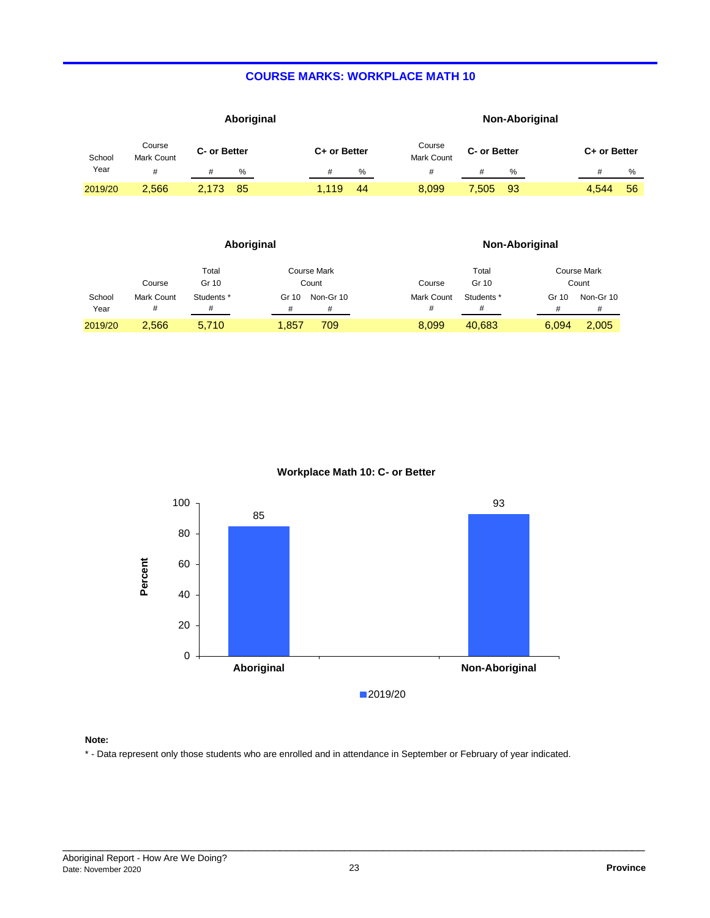## **COURSE MARKS: WORKPLACE MATH 10**

|         |                      |              | Aboriginal |                |    |                             | Non-Aboriginal |      |  |              |      |  |  |
|---------|----------------------|--------------|------------|----------------|----|-----------------------------|----------------|------|--|--------------|------|--|--|
| School  | Course<br>Mark Count | C- or Better |            | $C+$ or Better |    | Course<br><b>Mark Count</b> | C- or Better   |      |  | C+ or Better |      |  |  |
| Year    | #                    | #            | $\%$       | #              | %  | #                           |                | $\%$ |  | #            | $\%$ |  |  |
| 2019/20 | 2,566                | 2.173        | 85         | 1.119          | 44 | 8.099                       | 7,505          | 93   |  | 4.544        | 56   |  |  |

### **Aboriginal Non-Aboriginal**

|                | Course          | Total<br>Gr 10 | Course Mark<br>Count    | Course          | Total<br>Gr 10  | Course Mark<br>Count         |
|----------------|-----------------|----------------|-------------------------|-----------------|-----------------|------------------------------|
| School<br>Year | Mark Count<br># | Students *     | Non-Gr 10<br>Gr 10<br># | Mark Count<br># | Students *<br># | Non-Gr 10<br>Gr 10<br>#<br># |
| 2019/20        | 2.566           | 5.710          | 709<br>1.857            | 8.099           | 40.683          | 6.094<br>2,005               |

## **Workplace Math 10: C- or Better**



## **Note:**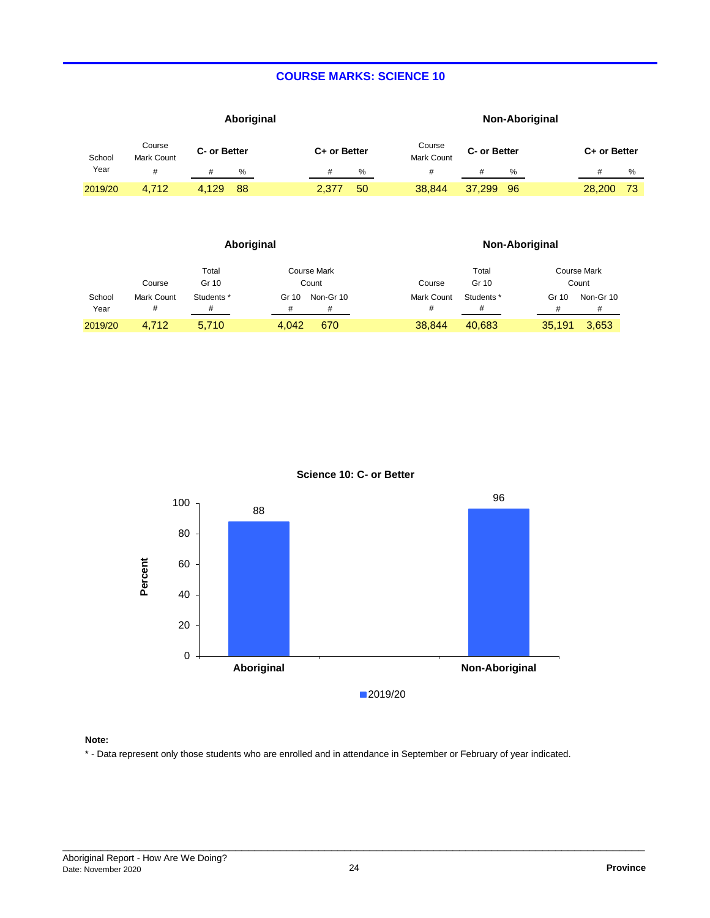## **COURSE MARKS: SCIENCE 10**

|         |                             |              | Aboriginal |                |      |                             |              |      | Non-Aboriginal |              |      |
|---------|-----------------------------|--------------|------------|----------------|------|-----------------------------|--------------|------|----------------|--------------|------|
| School  | Course<br><b>Mark Count</b> | C- or Better |            | $C+$ or Better |      | Course<br><b>Mark Count</b> | C- or Better |      |                | C+ or Better |      |
| Year    | #                           | #            | $\%$       | #              | $\%$ | #                           |              | $\%$ |                | #            | $\%$ |
| 2019/20 | 4.712                       | 4.129        | 88         | 2.377          | 50   | 38.844                      | 37,299       | 96   |                | 28,200       | 73   |

**Aboriginal Non-Aboriginal**

|                | Course          | Total<br>Gr 10  |       | Course Mark<br>Count | Course          | Total<br>Gr 10  |            | Course Mark<br>Count |
|----------------|-----------------|-----------------|-------|----------------------|-----------------|-----------------|------------|----------------------|
| School<br>Year | Mark Count<br># | Students *<br># | Gr 10 | Non-Gr 10<br>#       | Mark Count<br># | Students *<br># | Gr 10<br># | Non-Gr 10<br>#       |
| 2019/20        | 4.712           | 5.710           | 4.042 | 670                  | 38.844          | 40.683          | 35.191     | 3.653                |

**Science 10: C- or Better**



**Note:**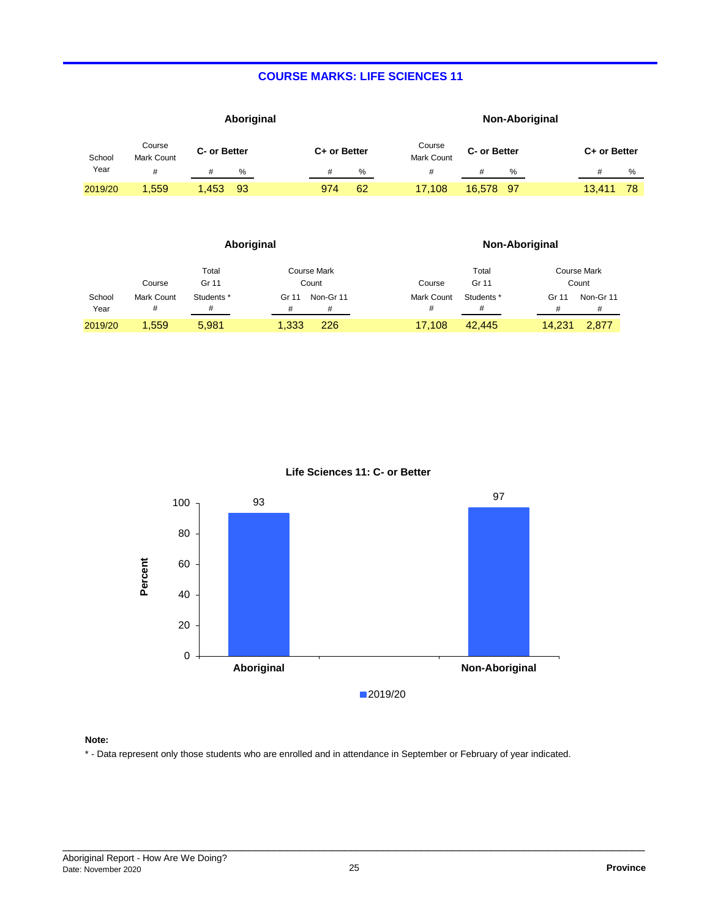## **COURSE MARKS: LIFE SCIENCES 11**

|         |                      |              | Aboriginal |                |    |                             |              |      | <b>Non-Aboriginal</b> |              |      |
|---------|----------------------|--------------|------------|----------------|----|-----------------------------|--------------|------|-----------------------|--------------|------|
| School  | Course<br>Mark Count | C- or Better |            | $C+$ or Better |    | Course<br><b>Mark Count</b> | C- or Better |      |                       | C+ or Better |      |
| Year    | #                    | #            | $\%$       | #              | %  | #                           |              | $\%$ |                       | #            | $\%$ |
| 2019/20 | .559                 | 1.453        | 93         | 974            | 62 | 17,108                      | 16,578       | 97   |                       | 13.411       | 78   |

**Aboriginal Non-Aboriginal**

|                | Course          | Total<br>Gr 11  | Course Mark<br>Count         | Course          | Total<br>Gr 11  |                              |
|----------------|-----------------|-----------------|------------------------------|-----------------|-----------------|------------------------------|
| School<br>Year | Mark Count<br># | Students *<br># | Non-Gr 11<br>Gr 11<br>#<br># | Mark Count<br># | Students *<br># | Non-Gr 11<br>Gr 11<br>#<br># |
| 2019/20        | 1.559           | 5.981           | 226<br>1.333                 | 17,108          | 42.445          | 14.231<br>2,877              |

**Life Sciences 11: C- or Better**



**Note:**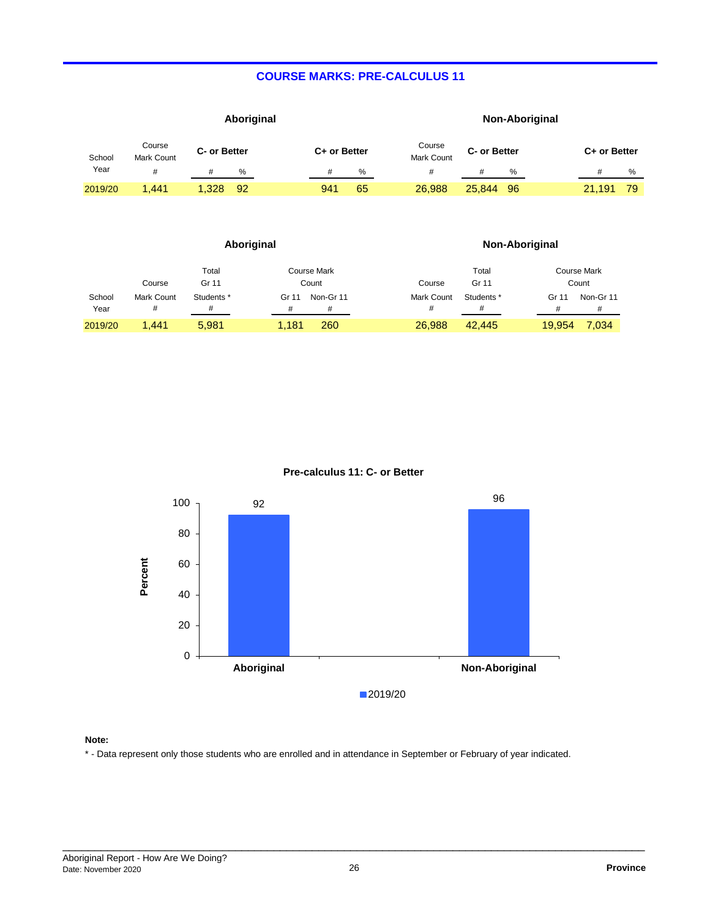## **COURSE MARKS: PRE-CALCULUS 11**

|         |                      |              | Aboriginal |                |    |                             |              |      | <b>Non-Aboriginal</b> |              |      |
|---------|----------------------|--------------|------------|----------------|----|-----------------------------|--------------|------|-----------------------|--------------|------|
| School  | Course<br>Mark Count | C- or Better |            | $C+$ or Better |    | Course<br><b>Mark Count</b> | C- or Better |      |                       | C+ or Better |      |
| Year    | #                    | #            | $\%$       | #              | %  | #                           |              | $\%$ |                       | #            | $\%$ |
| 2019/20 | .441                 | 1,328        | 92         | 941            | 65 | 26.988                      | 25,844       | 96   |                       | 21.191       | 79   |

**Aboriginal Non-Aboriginal**

|                | Course          | Total<br>Gr 11  | Course Mark<br>Count |                | Course          | Total<br>Gr 11  |            | Course Mark<br>Count |
|----------------|-----------------|-----------------|----------------------|----------------|-----------------|-----------------|------------|----------------------|
| School<br>Year | Mark Count<br># | Students *<br># | Gr 1                 | Non-Gr 11<br># | Mark Count<br># | Students *<br># | Gr 11<br># | Non-Gr 11<br>#       |
| 2019/20        | 1.441           | 5.981           | 1.181                | 260            | 26.988          | 42.445          | 19.954     | 7.034                |

**Pre-calculus 11: C- or Better**



**Note:**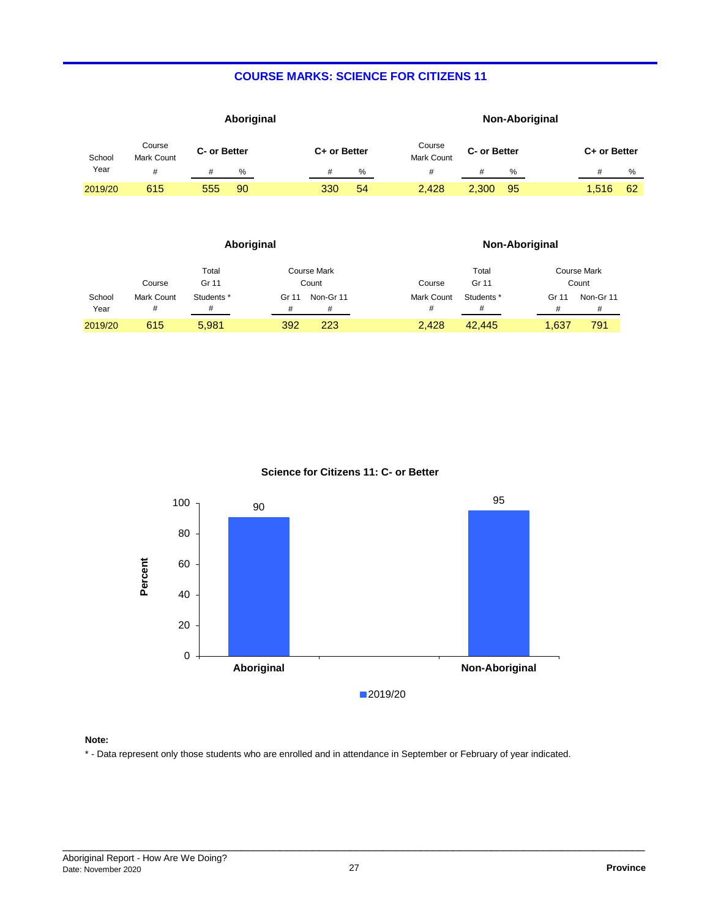## **COURSE MARKS: SCIENCE FOR CITIZENS 11**

|         |                      |              | Aboriginal |                |    |                             |              |      | Non-Aboriginal |              |      |
|---------|----------------------|--------------|------------|----------------|----|-----------------------------|--------------|------|----------------|--------------|------|
| School  | Course<br>Mark Count | C- or Better |            | $C+$ or Better |    | Course<br><b>Mark Count</b> | C- or Better |      |                | C+ or Better |      |
| Year    | #                    | #            | %          | #              | %  | #                           | #            | $\%$ |                | #            | $\%$ |
| 2019/20 | 615                  | 555          | 90         | 330            | 54 | 2.428                       | 2,300        | 95   |                | .516         | 62   |

**Aboriginal Non-Aboriginal**

|                | Course          | Total<br>Gr 11  | <b>Course Mark</b><br>Count | Course         |                 | Total<br>Gr 11  |            | <b>Course Mark</b><br>Count |
|----------------|-----------------|-----------------|-----------------------------|----------------|-----------------|-----------------|------------|-----------------------------|
| School<br>Year | Mark Count<br># | Students *<br># | Gr 11<br>#                  | Non-Gr 11<br># | Mark Count<br># | Students *<br># | Gr 11<br># | Non-Gr 11<br>#              |
| 2019/20        | 615             | 5.981           | 392                         | 223            | 2.428           | 42.445          | 1.637      | 791                         |

**Science for Citizens 11: C- or Better**



**Note:**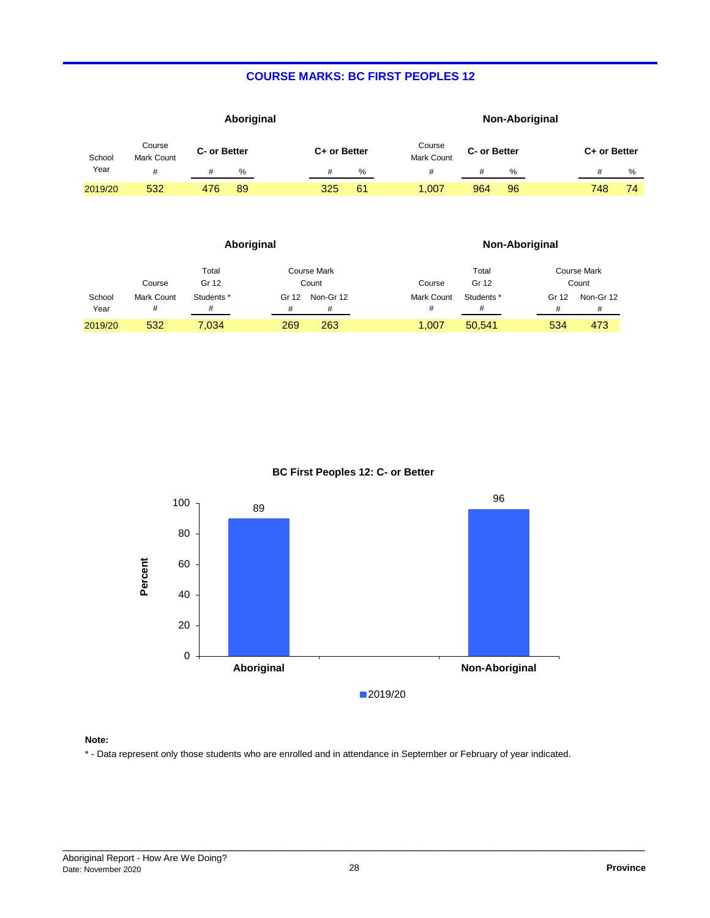## **COURSE MARKS: BC FIRST PEOPLES 12**

|         |                      |              | Aboriginal |                |    |                             |              |    | Non-Aboriginal |              |      |
|---------|----------------------|--------------|------------|----------------|----|-----------------------------|--------------|----|----------------|--------------|------|
| School  | Course<br>Mark Count | C- or Better |            | $C+$ or Better |    | Course<br><b>Mark Count</b> | C- or Better |    |                | C+ or Better |      |
| Year    | #                    | #            | $\%$       | #              | %  | #                           |              | %  |                | #            | $\%$ |
| 2019/20 | 532                  | 476          | 89         | 325            | 61 | 1.007                       | 964          | 96 |                | 748          | 74   |

**Aboriginal Non-Aboriginal**

|                | Course          | Total<br>Gr 12  |       | Course Mark<br>Count | Course                 | Total<br>Gr 12  |            | Course Mark<br>Count |
|----------------|-----------------|-----------------|-------|----------------------|------------------------|-----------------|------------|----------------------|
| School<br>Year | Mark Count<br># | Students *<br># | Gr 12 | Non-Gr 12<br>#       | <b>Mark Count</b><br># | Students *<br># | Gr 12<br># | Non-Gr 12<br>#       |
| 2019/20        | 532             | .034            | 269   | 263                  | 1.007                  | 50.541          | 534        | 473                  |

**BC First Peoples 12: C- or Better**



**Note:**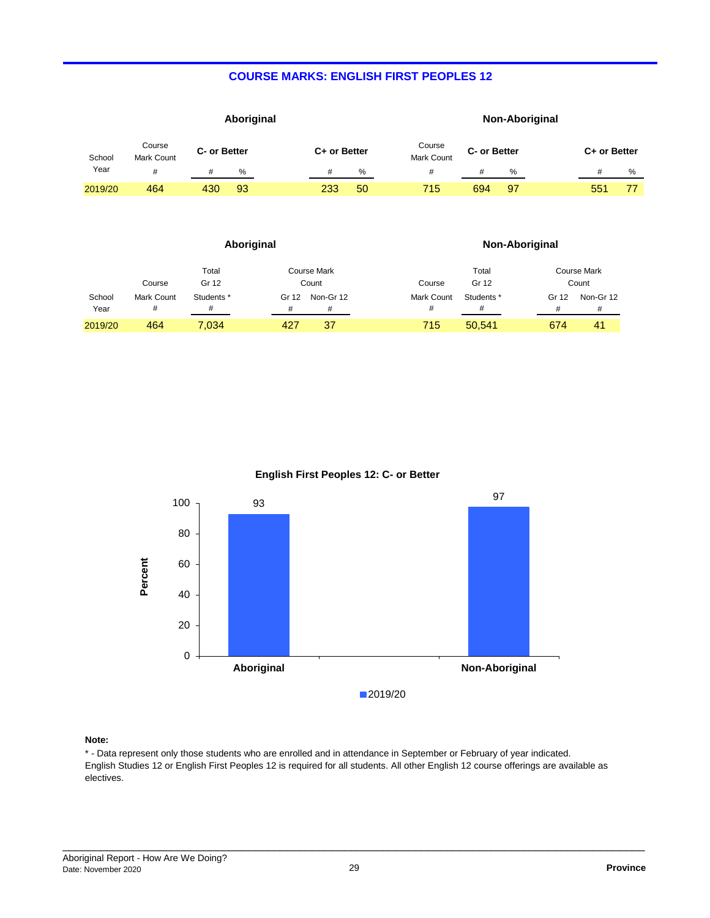## **COURSE MARKS: ENGLISH FIRST PEOPLES 12**

|         |                      |              | Aboriginal |                |    |                             |              |    | Non-Aboriginal |                 |      |
|---------|----------------------|--------------|------------|----------------|----|-----------------------------|--------------|----|----------------|-----------------|------|
| School  | Course<br>Mark Count | C- or Better |            | $C+$ or Better |    | Course<br><b>Mark Count</b> | C- or Better |    |                | C+ or Better    |      |
| Year    | #                    | #            | $\%$       | #              | %  | #                           | #            | %  |                | #               | $\%$ |
| 2019/20 | 464                  | 430          | 93         | 233            | 50 | 715                         | 694          | 97 |                | 55 <sup>′</sup> |      |

**Aboriginal Non-Aboriginal**

|         | Course     | Total<br>Gr 12 |       | Course Mark<br>Count | Course     | Total<br>Gr 12 |       | Course Mark<br>Count |
|---------|------------|----------------|-------|----------------------|------------|----------------|-------|----------------------|
|         |            |                |       |                      |            |                |       |                      |
| School  | Mark Count | Students *     | Gr 12 | Non-Gr 12            | Mark Count | Students *     | Gr 12 | Non-Gr 12            |
| Year    | #          | #              | #     | #                    | #          | #              | #     | #                    |
| 2019/20 | 464        | 7,034          | 427   | 37                   | 715        | 50.541         | 674   | 41                   |

**English First Peoples 12: C- or Better**



### **Note:**

\* - Data represent only those students who are enrolled and in attendance in September or February of year indicated. English Studies 12 or English First Peoples 12 is required for all students. All other English 12 course offerings are available as electives.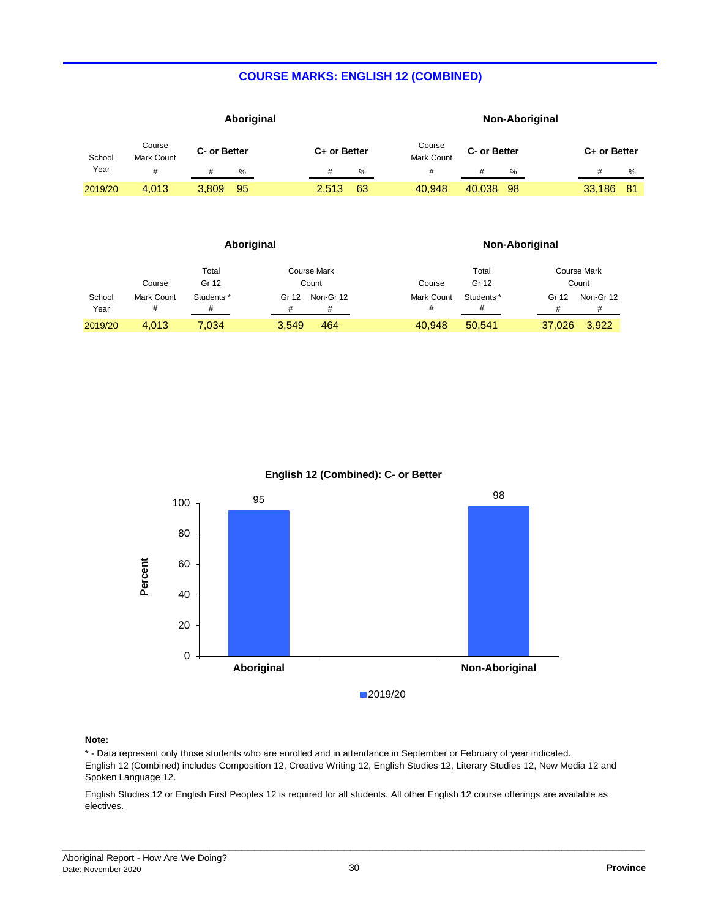## **COURSE MARKS: ENGLISH 12 (COMBINED)**

|         |                      |              | Aboriginal |                |      |                             |              |    | <b>Non-Aboriginal</b> |              |      |
|---------|----------------------|--------------|------------|----------------|------|-----------------------------|--------------|----|-----------------------|--------------|------|
| School  | Course<br>Mark Count | C- or Better |            | $C+$ or Better |      | Course<br><b>Mark Count</b> | C- or Better |    |                       | C+ or Better |      |
| Year    | #                    | #            | $\%$       | #              | $\%$ | #                           |              | %  |                       | #            | $\%$ |
| 2019/20 | 4.013                | 3.809        | 95         | 2,513          | 63   | 40.948                      | 40.038       | 98 |                       | 33,186       | 81   |

### **Aboriginal Non-Aboriginal**

|                | Course          | Total<br>Gr 12 | Course Mark<br>Count    | Course          | Total<br>Gr 12  | Course Mark<br>Count         |
|----------------|-----------------|----------------|-------------------------|-----------------|-----------------|------------------------------|
| School<br>Year | Mark Count<br># | Students *     | Non-Gr 12<br>Gr 12<br># | Mark Count<br># | Students *<br># | Non-Gr 12<br>Gr 12<br>#<br># |
| 2019/20        | 4.013           | 7.034          | 3.549<br>464            | 40.948          | 50.541          | 37,026<br>3.922              |

### **English 12 (Combined): C- or Better**



### **Note:**

\* - Data represent only those students who are enrolled and in attendance in September or February of year indicated. English 12 (Combined) includes Composition 12, Creative Writing 12, English Studies 12, Literary Studies 12, New Media 12 and Spoken Language 12.

English Studies 12 or English First Peoples 12 is required for all students. All other English 12 course offerings are available as electives.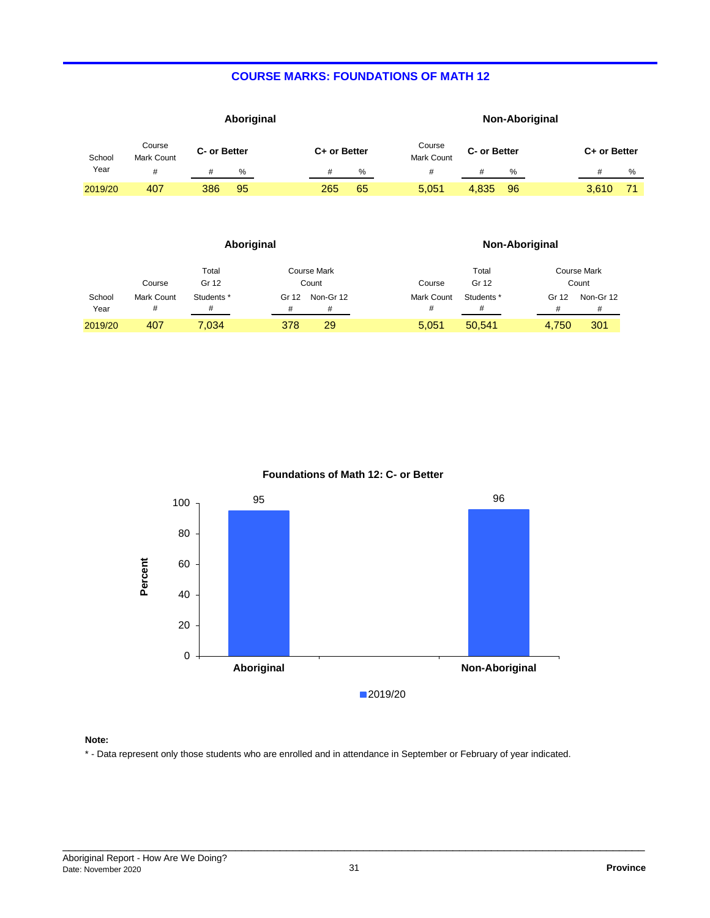## **COURSE MARKS: FOUNDATIONS OF MATH 12**

|         |                      |              | Aboriginal |                |    |                             |              |    | <b>Non-Aboriginal</b> |              |      |
|---------|----------------------|--------------|------------|----------------|----|-----------------------------|--------------|----|-----------------------|--------------|------|
| School  | Course<br>Mark Count | C- or Better |            | $C+$ or Better |    | Course<br><b>Mark Count</b> | C- or Better |    |                       | C+ or Better |      |
| Year    | #                    | #            | %          | #              | %  | #                           |              | %  |                       | #            | $\%$ |
| 2019/20 | 407                  | 386          | 95         | 265            | 65 | 5.051                       | 4,835        | 96 |                       | 3.610        |      |

**Aboriginal Non-Aboriginal**

|                | Course          | Total<br>Gr 12  | Course Mark<br>Count         | Course          | Total<br>Gr 12  | Course Mark<br>Count         |
|----------------|-----------------|-----------------|------------------------------|-----------------|-----------------|------------------------------|
| School<br>Year | Mark Count<br># | Students *<br># | Non-Gr 12<br>Gr 12<br>#<br># | Mark Count<br># | Students *<br># | Non-Gr 12<br>Gr 12<br>#<br># |
| 2019/20        | 407             | 7.034           | 29<br>378                    | 5.051           | 50.541          | 301<br>4.750                 |

**Foundations of Math 12: C- or Better**



**Note:**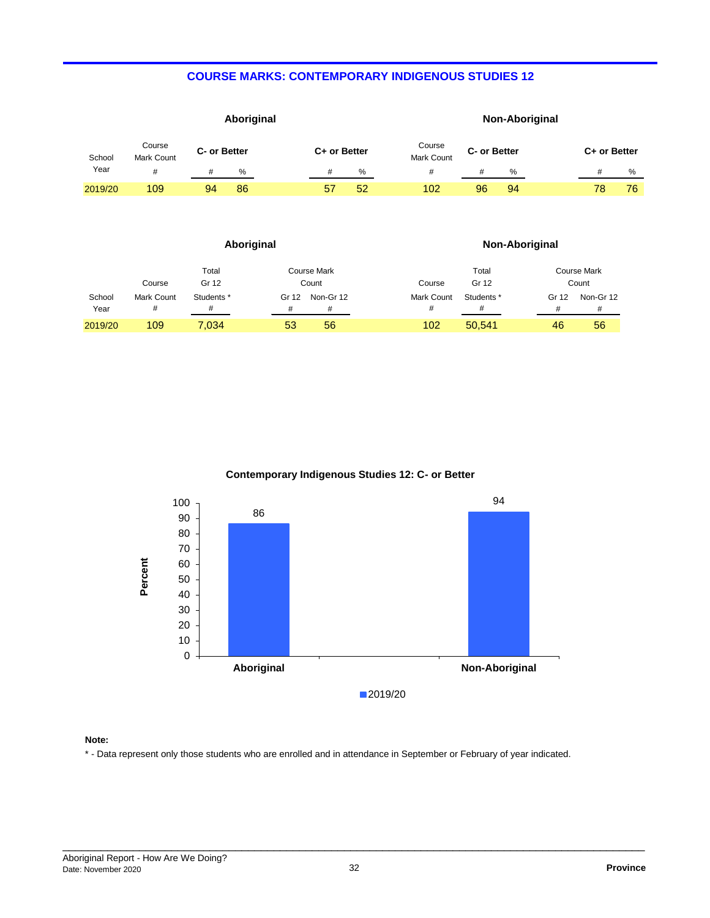## **COURSE MARKS: CONTEMPORARY INDIGENOUS STUDIES 12**

|         |                      |              | Aboriginal |                |    |                             |              |      | Non-Aboriginal |              |      |
|---------|----------------------|--------------|------------|----------------|----|-----------------------------|--------------|------|----------------|--------------|------|
| School  | Course<br>Mark Count | C- or Better |            | $C+$ or Better |    | Course<br><b>Mark Count</b> | C- or Better |      |                | C+ or Better |      |
| Year    | #                    | #            | $\%$       | #              | %  | #                           |              | $\%$ |                | #            | $\%$ |
| 2019/20 | 109                  | 94           | 86         | 57             | 52 | 102                         | 96           | 94   |                | 78           | 76   |

**Aboriginal Non-Aboriginal**

|                | Course          | Total<br>Gr 12  |       | Course Mark<br>Count | Course          | Total<br>Gr 12  |            | <b>Course Mark</b><br>Count |  |  |
|----------------|-----------------|-----------------|-------|----------------------|-----------------|-----------------|------------|-----------------------------|--|--|
| School<br>Year | Mark Count<br># | Students *<br># | Gr 12 | Non-Gr 12<br>#       | Mark Count<br># | Students *<br># | Gr 12<br># | Non-Gr 12<br>#              |  |  |
| 2019/20        | 109             | .034            | 53    | 56                   | 102             | 50.541          | 46         | 56                          |  |  |

**Contemporary Indigenous Studies 12: C- or Better**



**Note:**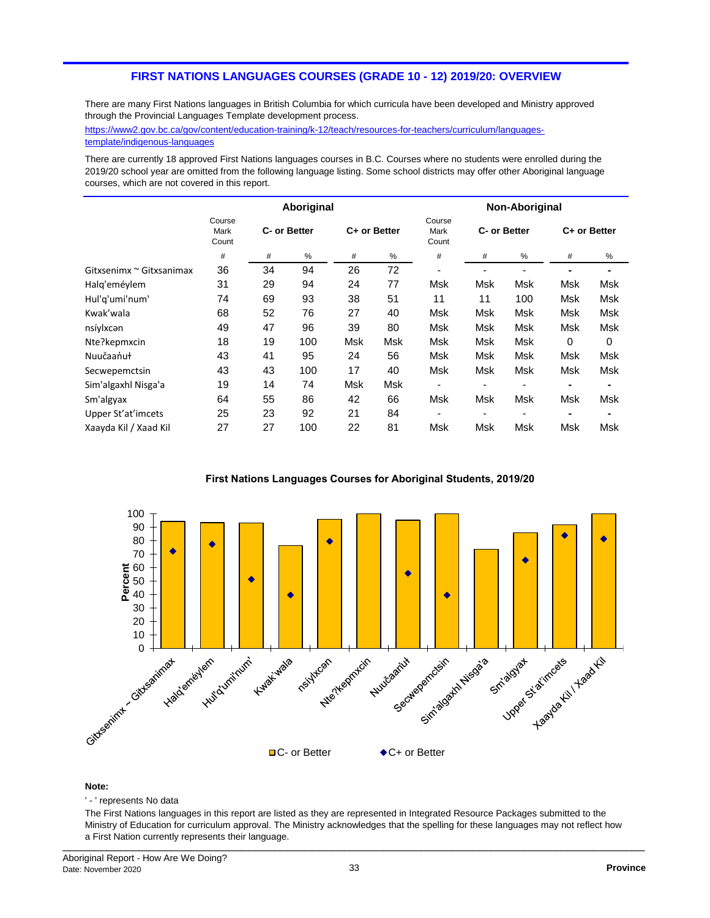## **FIRST NATIONS LANGUAGES COURSES (GRADE 10 - 12) 2019/20: OVERVIEW**

There are many First Nations languages in British Columbia for which curricula have been developed and Ministry approved through the Provincial Languages Template development process.

[https://www2.gov.bc.ca/gov/c](https://www2.gov.bc.ca/gov/content/education-training/k-12/teach/resources-for-teachers/curriculum/languages-template/indigenous-languages)ontent/education-training/k-12/teach/resources-for-teachers/curriculum/languages[template/indigenous-languag](https://www2.gov.bc.ca/gov/content/education-training/k-12/teach/resources-for-teachers/curriculum/languages-template/indigenous-languages)es

There are currently 18 approved First Nations languages courses in B.C. Courses where no students were enrolled during the 2019/20 school year are omitted from the following language listing. Some school districts may offer other Aboriginal language courses, which are not covered in this report.

|                          |                         |    | Aboriginal   |              |            | <b>Non-Aboriginal</b>   |                          |            |                |              |
|--------------------------|-------------------------|----|--------------|--------------|------------|-------------------------|--------------------------|------------|----------------|--------------|
|                          | Course<br>Mark<br>Count |    | C- or Better | C+ or Better |            | Course<br>Mark<br>Count | C- or Better             |            |                | C+ or Better |
|                          | #                       | #  | %            | #            | $\%$       | $\#$                    | #                        | %          | #              | $\%$         |
| Gitxsenimx ~ Gitxsanimax | 36                      | 34 | 94           | 26           | 72         | $\blacksquare$          | $\overline{\phantom{0}}$ |            | $\blacksquare$ |              |
| Halg'eméylem             | 31                      | 29 | 94           | 24           | 77         | <b>Msk</b>              | Msk                      | <b>Msk</b> | Msk            | <b>Msk</b>   |
| Hul'g'umi'num'           | 74                      | 69 | 93           | 38           | 51         | 11                      | 11                       | 100        | Msk            | <b>Msk</b>   |
| Kwak'wala                | 68                      | 52 | 76           | 27           | 40         | Msk                     | Msk                      | Msk        | Msk            | <b>Msk</b>   |
| nsíylxcan                | 49                      | 47 | 96           | 39           | 80         | Msk                     | Msk                      | Msk        | Msk            | Msk          |
| Nte?kepmxcin             | 18                      | 19 | 100          | Msk          | <b>Msk</b> | Msk                     | Msk                      | <b>Msk</b> | 0              | 0            |
| Nuučaanut                | 43                      | 41 | 95           | 24           | 56         | <b>Msk</b>              | Msk                      | Msk        | Msk            | Msk          |
| Secwepemctsin            | 43                      | 43 | 100          | 17           | 40         | Msk                     | Msk                      | Msk        | Msk            | Msk          |
| Sim'algaxhl Nisga'a      | 19                      | 14 | 74           | <b>Msk</b>   | Msk        |                         |                          |            |                |              |
| Sm'algyax                | 64                      | 55 | 86           | 42           | 66         | <b>Msk</b>              | <b>Msk</b>               | <b>Msk</b> | Msk            | <b>Msk</b>   |
| Upper St'at'imcets       | 25                      | 23 | 92           | 21           | 84         | -                       |                          |            | -              |              |
| Xaayda Kil / Xaad Kil    | 27                      | 27 | 100          | 22           | 81         | Msk                     | Msk                      | <b>Msk</b> | Msk            | Msk          |

### **First Nations Languages Courses for Aboriginal Students, 2019/20**



### **Note:**

' - ' represents No data

The First Nations languages in this report are listed as they are represented in Integrated Resource Packages submitted to the Ministry of Education for curriculum approval. The Ministry acknowledges that the spelling for these languages may not reflect how a First Nation currently represents their language.  $\blacksquare$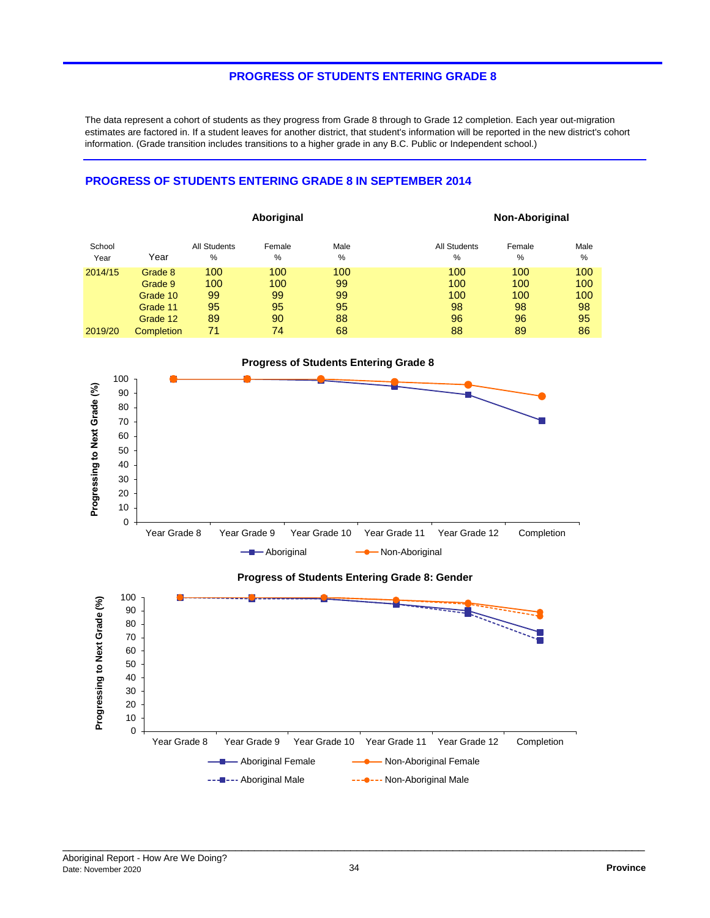## **PROGRESS OF STUDENTS ENTERING GRADE 8**

The data represent a cohort of students as they progress from Grade 8 through to Grade 12 completion. Each year out-migration estimates are factored in. If a student leaves for another district, that student's information will be reported in the new district's cohort information. (Grade transition includes transitions to a higher grade in any B.C. Public or Independent school.)

## **PROGRESS OF STUDENTS ENTERING GRADE 8 IN SEPTEMBER 2014**

|                                                                                                                                         |                                                                      |                                    | Aboriginal                          |                                   |                                                                                                                                    |                                     | Non-Aboriginal                      |                                     |
|-----------------------------------------------------------------------------------------------------------------------------------------|----------------------------------------------------------------------|------------------------------------|-------------------------------------|-----------------------------------|------------------------------------------------------------------------------------------------------------------------------------|-------------------------------------|-------------------------------------|-------------------------------------|
| School<br>Year                                                                                                                          | Year                                                                 | All Students<br>$\%$               | Female<br>%                         | Male<br>$\%$                      |                                                                                                                                    | All Students<br>$\%$                | Female<br>$\%$                      | Male<br>%                           |
| 2014/15<br>2019/20                                                                                                                      | Grade 8<br>Grade 9<br>Grade 10<br>Grade 11<br>Grade 12<br>Completion | 100<br>100<br>99<br>95<br>89<br>71 | 100<br>100<br>99<br>95<br>90<br>74  | 100<br>99<br>99<br>95<br>88<br>68 |                                                                                                                                    | 100<br>100<br>100<br>98<br>96<br>88 | 100<br>100<br>100<br>98<br>96<br>89 | 100<br>100<br>100<br>98<br>95<br>86 |
| 100<br>Progressing to Next Grade (%)<br>90<br>80<br>70<br>60<br>50<br>40<br>30<br>20<br>10<br>0<br>100<br>Progressing to Next Grade (%) | Year Grade 8<br>90<br>80<br>70<br>60<br>50<br>40                     | Year Grade 9                       | - Aboriginal                        | Year Grade 10                     | <b>Progress of Students Entering Grade 8</b><br>Year Grade 11<br>- Non-Aboriginal<br>Progress of Students Entering Grade 8: Gender | Year Grade 12                       | Completion                          |                                     |
|                                                                                                                                         | 30<br>20<br>10<br>$\mathbf 0$<br>Year Grade 8                        |                                    | Year Grade 9<br>- Aboriginal Female | Year Grade 10                     | Year Grade 11<br>- Non-Aboriginal Female                                                                                           | Year Grade 12                       | Completion                          |                                     |

----- Aboriginal Male **Non-Aboriginal Male**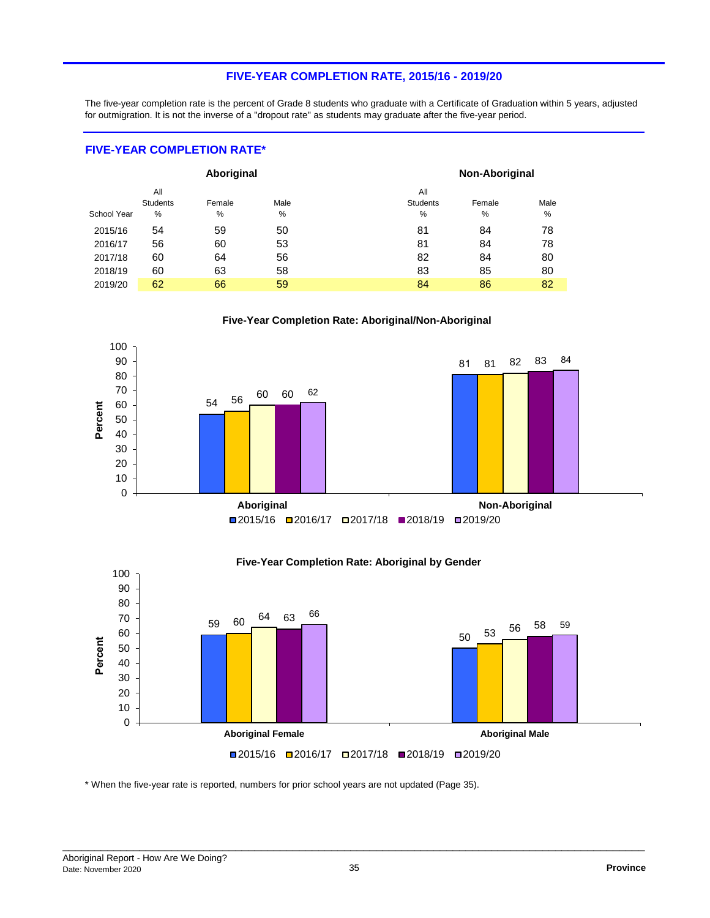## **FIVE-YEAR COMPLETION RATE, 2015/16 - 2019/20**

The five-year completion rate is the percent of Grade 8 students who graduate with a Certificate of Graduation within 5 years, adjusted for outmigration. It is not the inverse of a "dropout rate" as students may graduate after the five-year period.

## **FIVE-YEAR COMPLETION RATE\***

|             |                 | Aboriginal |      | Non-Aboriginal                    |
|-------------|-----------------|------------|------|-----------------------------------|
|             | All             |            |      | All                               |
|             | <b>Students</b> | Female     | Male | <b>Students</b><br>Male<br>Female |
| School Year | %               | %          | %    | %<br>%<br>%                       |
| 2015/16     | 54              | 59         | 50   | 81<br>84<br>78                    |
| 2016/17     | 56              | 60         | 53   | 81<br>84<br>78                    |
| 2017/18     | 60              | 64         | 56   | 82<br>84<br>80                    |
| 2018/19     | 60              | 63         | 58   | 85<br>83<br>80                    |
| 2019/20     | 62              | 66         | 59   | 84<br>86<br>82                    |







\* When the five-year rate is reported, numbers for prior school years are not updated (Page 35).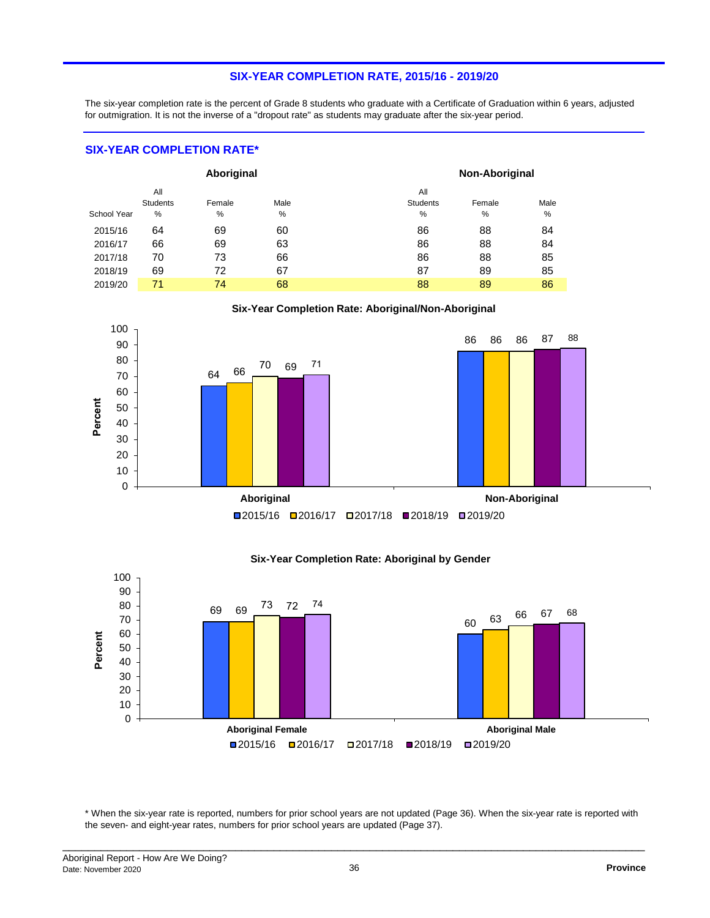## **SIX-YEAR COMPLETION RATE, 2015/16 - 2019/20**

The six-year completion rate is the percent of Grade 8 students who graduate with a Certificate of Graduation within 6 years, adjusted for outmigration. It is not the inverse of a "dropout rate" as students may graduate after the six-year period.

### **SIX-YEAR COMPLETION RATE\***

|             |                 | Aboriginal |      |                 | <b>Non-Aboriginal</b> |      |  |  |  |
|-------------|-----------------|------------|------|-----------------|-----------------------|------|--|--|--|
|             | All             |            |      | All             |                       |      |  |  |  |
|             | <b>Students</b> | Female     | Male | <b>Students</b> | Female                | Male |  |  |  |
| School Year | %               | %          | %    | %               | %                     | %    |  |  |  |
| 2015/16     | 64              | 69         | 60   | 86              | 88                    | 84   |  |  |  |
| 2016/17     | 66              | 69         | 63   | 86              | 88                    | 84   |  |  |  |
| 2017/18     | 70              | 73         | 66   | 86              | 88                    | 85   |  |  |  |
| 2018/19     | 69              | 72         | 67   | 87              | 89                    | 85   |  |  |  |
| 2019/20     | 71              | 74         | 68   | 88              | 89                    | 86   |  |  |  |

 **Aboriginal Non-Aboriginal Percent** 2015/16 2016/17 2017/18 2018/19 2019/20

**Six-Year Completion Rate: Aboriginal/Non-Aboriginal**

### **Six-Year Completion Rate: Aboriginal by Gender**



\* When the six-year rate is reported, numbers for prior school years are not updated (Page 36). When the six-year rate is reported with the seven- and eight-year rates, numbers for prior school years are updated (Page 37).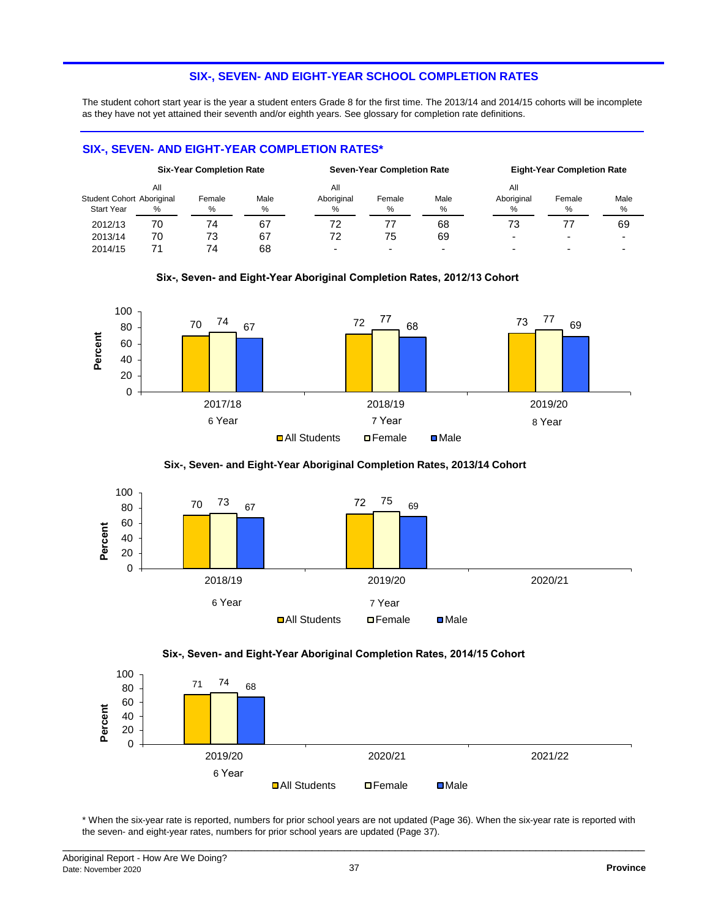## **SIX-, SEVEN- AND EIGHT-YEAR SCHOOL COMPLETION RATES**

The student cohort start year is the year a student enters Grade 8 for the first time. The 2013/14 and 2014/15 cohorts will be incomplete as they have not yet attained their seventh and/or eighth years. See glossary for completion rate definitions.

## **SIX-, SEVEN- AND EIGHT-YEAR COMPLETION RATES\***

|                           |     | <b>Six-Year Completion Rate</b> |      |            | <b>Seven-Year Completion Rate</b> |      |            | <b>Eight-Year Completion Rate</b> |      |
|---------------------------|-----|---------------------------------|------|------------|-----------------------------------|------|------------|-----------------------------------|------|
|                           | All |                                 |      | All        |                                   |      | All        |                                   |      |
| Student Cohort Aboriginal |     | Female                          | Male | Aboriginal | Female                            | Male | Aboriginal | Female                            | Male |
| <b>Start Year</b>         | %   | %                               | %    | $\%$       | %                                 | %    | %          | $\%$                              | %    |
| 2012/13                   | 70  | 74                              | 67   | 72         |                                   | 68   | 73         |                                   | 69   |
| 2013/14                   | 70  | 73                              | 67   | 72         | 75                                | 69   | -          | $\overline{\phantom{a}}$          |      |
| 2014/15                   |     | 74                              | 68   |            | -                                 |      |            |                                   |      |

### **Six-, Seven- and Eight-Year Aboriginal Completion Rates, 2012/13 Cohort**











\* When the six-year rate is reported, numbers for prior school years are not updated (Page 36). When the six-year rate is reported with the seven- and eight-year rates, numbers for prior school years are updated (Page 37).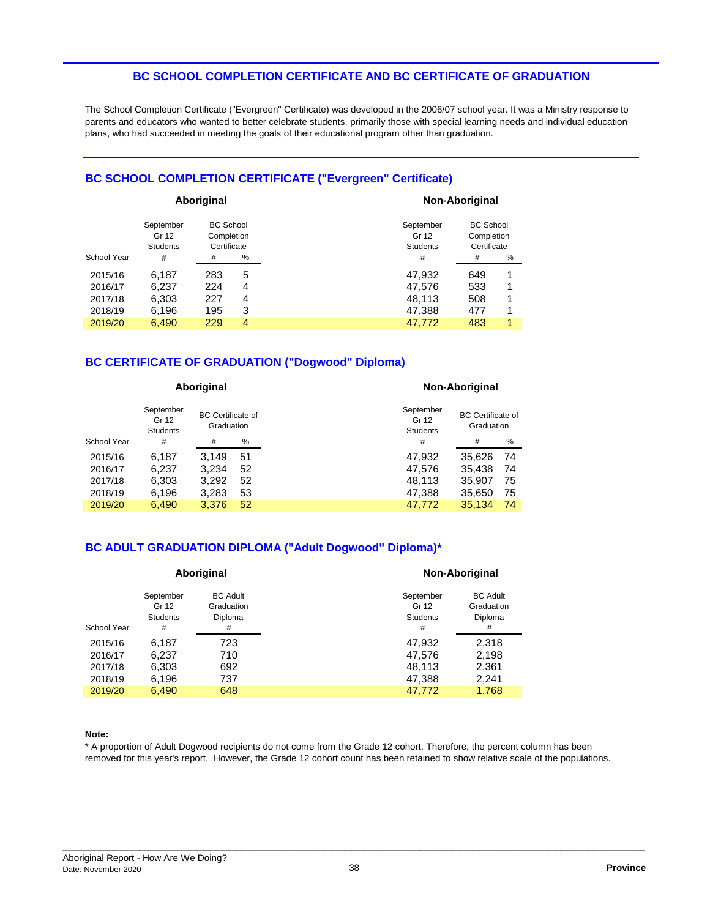## **BC SCHOOL COMPLETION CERTIFICATE AND BC CERTIFICATE OF GRADUATION**

The School Completion Certificate ("Evergreen" Certificate) was developed in the 2006/07 school year. It was a Ministry response to parents and educators who wanted to better celebrate students, primarily those with special learning needs and individual education plans, who had succeeded in meeting the goals of their educational program other than graduation.

## **BC SCHOOL COMPLETION CERTIFICATE ("Evergreen" Certificate)**

|             |                                       | Aboriginal                                    |   |        | Non-Aboriginal<br><b>BC School</b><br>September<br>Gr 12<br>Completion<br><b>Students</b><br>Certificate<br>#<br>%<br>#<br>649<br>1 |   |  |  |  |
|-------------|---------------------------------------|-----------------------------------------------|---|--------|-------------------------------------------------------------------------------------------------------------------------------------|---|--|--|--|
|             | September<br>Gr 12<br><b>Students</b> | <b>BC School</b><br>Completion<br>Certificate |   |        |                                                                                                                                     |   |  |  |  |
| School Year | #                                     | #                                             | % |        |                                                                                                                                     |   |  |  |  |
| 2015/16     | 6,187                                 | 283                                           | 5 | 47,932 |                                                                                                                                     |   |  |  |  |
| 2016/17     | 6,237                                 | 224                                           | 4 | 47,576 | 533                                                                                                                                 |   |  |  |  |
| 2017/18     | 6,303                                 | 227                                           | 4 | 48.113 | 508                                                                                                                                 | 1 |  |  |  |
| 2018/19     | 6.196                                 | 195                                           | 3 | 47,388 | 477                                                                                                                                 | 1 |  |  |  |
| 2019/20     | 6.490                                 | 229                                           | 4 | 47.772 | 483                                                                                                                                 | 1 |  |  |  |

### **BC CERTIFICATE OF GRADUATION ("Dogwood" Diploma)**

| Aboriginal |  |  |  |
|------------|--|--|--|
|            |  |  |  |

### **Aboriginal Non-Aboriginal**

|             | September<br>Gr 12<br><b>Students</b> | <b>BC</b> Certificate of<br>Graduation |    | September<br>Gr 12<br><b>Students</b> | <b>BC</b> Certificate of<br>Graduation |    |
|-------------|---------------------------------------|----------------------------------------|----|---------------------------------------|----------------------------------------|----|
| School Year | #                                     | #                                      | %  | #                                     | #                                      | %  |
| 2015/16     | 6.187                                 | 3.149                                  | 51 | 47.932                                | 35.626                                 | 74 |
| 2016/17     | 6.237                                 | 3,234                                  | 52 | 47.576                                | 35.438                                 | 74 |
| 2017/18     | 6,303                                 | 3,292                                  | 52 | 48.113                                | 35.907                                 | 75 |
| 2018/19     | 6,196                                 | 3,283                                  | 53 | 47,388                                | 35.650                                 | 75 |
| 2019/20     | 6.490                                 | 3.376                                  | 52 | 47.772                                | 35,134                                 | 74 |

### **BC ADULT GRADUATION DIPLOMA ("Adult Dogwood" Diploma)\***

|             |                                            | Aboriginal                                    |                                            | <b>Non-Aboriginal</b>                         |  |  |
|-------------|--------------------------------------------|-----------------------------------------------|--------------------------------------------|-----------------------------------------------|--|--|
| School Year | September<br>Gr 12<br><b>Students</b><br># | <b>BC Adult</b><br>Graduation<br>Diploma<br># | September<br>Gr 12<br><b>Students</b><br># | <b>BC Adult</b><br>Graduation<br>Diploma<br># |  |  |
| 2015/16     | 6.187                                      | 723                                           | 47,932                                     | 2,318                                         |  |  |
| 2016/17     | 6.237                                      | 710                                           | 47,576                                     | 2,198                                         |  |  |
| 2017/18     | 6,303                                      | 692                                           | 48.113                                     | 2,361                                         |  |  |
| 2018/19     | 6,196                                      | 737                                           | 47,388                                     | 2,241                                         |  |  |
| 2019/20     | 6.490                                      | 648                                           | 47.772                                     | 1.768                                         |  |  |

### **Note:**

\* A proportion of Adult Dogwood recipients do not come from the Grade 12 cohort. Therefore, the percent column has been removed for this year's report. However, the Grade 12 cohort count has been retained to show relative scale of the populations.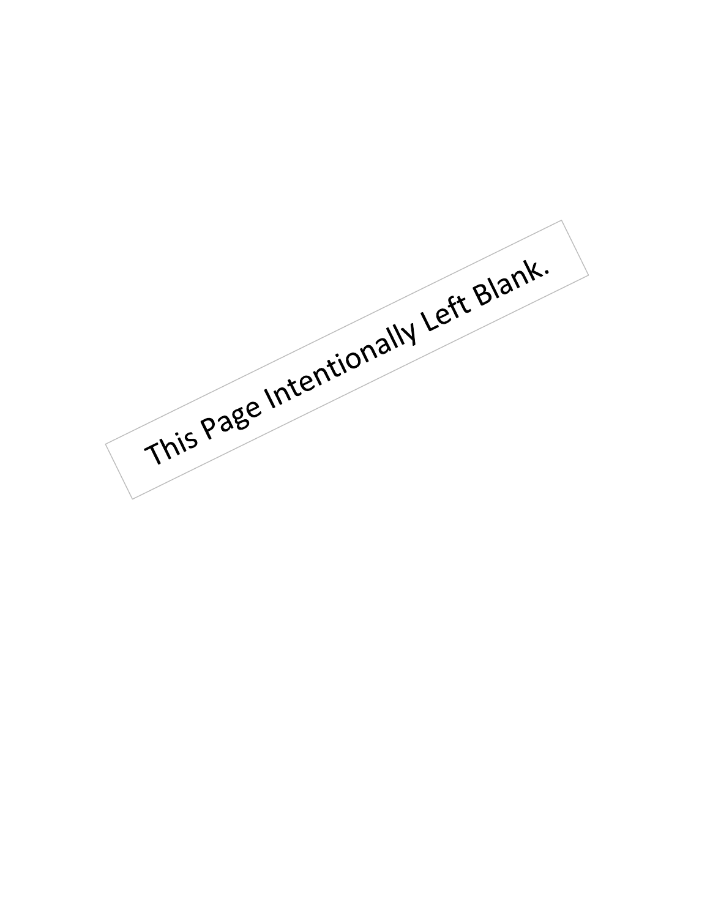This page Intentionally Left Blank.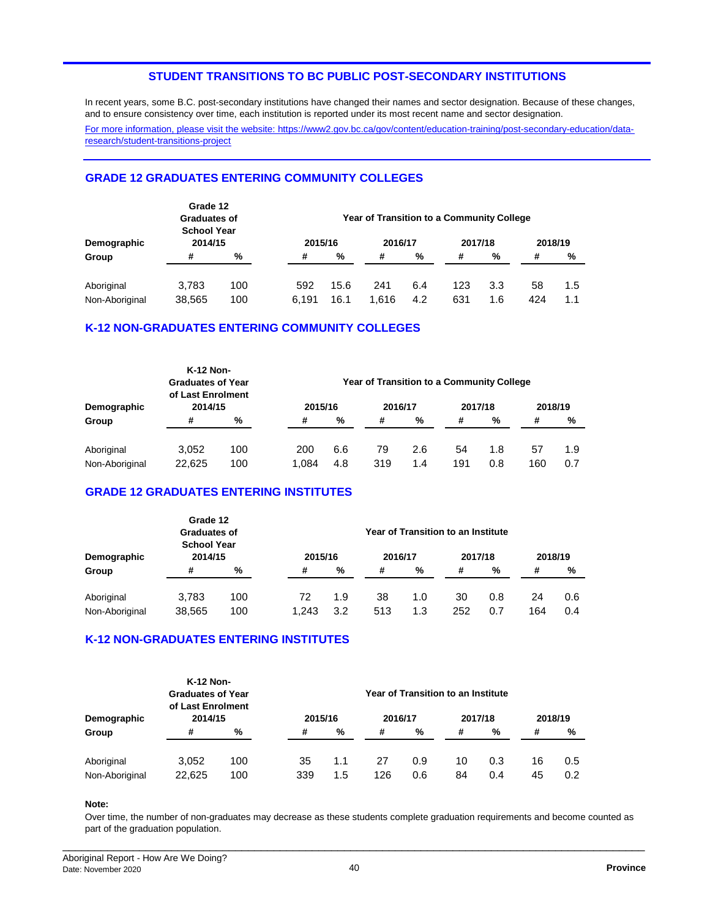## **STUDENT TRANSITIONS TO BC PUBLIC POST-SECONDARY INSTITUTIONS**

In recent years, some B.C. post-secondary institutions have changed their names and sector designation. Because of these changes, and to ensure consistency over time, each institution is reported under its most recent name and sector designation. [For more informa](https://www2.gov.bc.ca/gov/content/education-training/post-secondary-education/data-research/student-transitions-project)tion, please visit the website: https://www2.gov.bc.ca/gov/content/education-training/post-secondary-education/data[research/student-](https://www2.gov.bc.ca/gov/content/education-training/post-secondary-education/data-research/student-transitions-project)transitions-project

## **GRADE 12 GRADUATES ENTERING COMMUNITY COLLEGES**

|                | Grade 12<br><b>Graduates of</b><br><b>School Year</b> |     |       | <b>Year of Transition to a Community College</b> |       |         |     |         |     |         |  |  |  |  |
|----------------|-------------------------------------------------------|-----|-------|--------------------------------------------------|-------|---------|-----|---------|-----|---------|--|--|--|--|
| Demographic    | 2014/15                                               |     |       | 2015/16                                          |       | 2016/17 |     | 2017/18 |     | 2018/19 |  |  |  |  |
| Group          | #                                                     | %   | #     | %                                                | #     | %       | #   | %       | #   | %       |  |  |  |  |
| Aboriginal     | 3.783                                                 | 100 | 592   | 15.6                                             | 241   | 6.4     | 123 | 3.3     | 58  | 1.5     |  |  |  |  |
| Non-Aboriginal | 38,565                                                | 100 | 6.191 | 16.1                                             | 1.616 | 4.2     | 631 | 1.6     | 424 | 1.1     |  |  |  |  |

## **K-12 NON-GRADUATES ENTERING COMMUNITY COLLEGES**

|                | <b>K-12 Non-</b><br><b>Graduates of Year</b><br>of Last Enrolment |     |         | <b>Year of Transition to a Community College</b> |         |     |         |     |         |     |  |  |  |
|----------------|-------------------------------------------------------------------|-----|---------|--------------------------------------------------|---------|-----|---------|-----|---------|-----|--|--|--|
| Demographic    | 2014/15                                                           |     | 2015/16 |                                                  | 2016/17 |     | 2017/18 |     | 2018/19 |     |  |  |  |
| Group          | #                                                                 | %   | #       | %                                                | #       | %   | #       | %   | #       | %   |  |  |  |
| Aboriginal     | 3,052                                                             | 100 | 200     | 6.6                                              | 79      | 2.6 | 54      | 1.8 | 57      | 1.9 |  |  |  |
| Non-Aboriginal | 22.625                                                            | 100 | 1.084   | 4.8                                              | 319     | 1.4 | 191     | 0.8 | 160     | 0.7 |  |  |  |

## **GRADE 12 GRADUATES ENTERING INSTITUTES**

|                        | Grade 12<br><b>Graduates of</b><br><b>School Year</b> |     |         | <b>Year of Transition to an Institute</b> |         |     |         |     |         |     |  |  |  |
|------------------------|-------------------------------------------------------|-----|---------|-------------------------------------------|---------|-----|---------|-----|---------|-----|--|--|--|
| 2014/15<br>Demographic |                                                       |     | 2015/16 |                                           | 2016/17 |     | 2017/18 |     | 2018/19 |     |  |  |  |
| Group                  | #                                                     | %   | #       | %                                         | #       | %   | #       | %   | #       | %   |  |  |  |
| Aboriginal             | 3,783                                                 | 100 | 72      | 1.9                                       | 38      | 1.0 | 30      | 0.8 | 24      | 0.6 |  |  |  |
| Non-Aboriginal         | 38,565                                                | 100 | 1.243   | 3.2                                       | 513     | 1.3 | 252     | 0.7 | 164     | 0.4 |  |  |  |

## **K-12 NON-GRADUATES ENTERING INSTITUTES**

|                | <b>K-12 Non-</b><br><b>Graduates of Year</b><br>of Last Enrolment |     |     | Year of Transition to an Institute<br>2015/16<br>2018/19<br>2016/17<br>2017/18 |     |     |    |     |    |     |  |  |  |
|----------------|-------------------------------------------------------------------|-----|-----|--------------------------------------------------------------------------------|-----|-----|----|-----|----|-----|--|--|--|
| Demographic    | 2014/15                                                           |     |     |                                                                                |     |     |    |     |    |     |  |  |  |
| Group          | #                                                                 | %   | #   | %                                                                              | #   | %   | #  | %   | #  | %   |  |  |  |
| Aboriginal     | 3,052                                                             | 100 | 35  | 1.1                                                                            | 27  | 0.9 | 10 | 0.3 | 16 | 0.5 |  |  |  |
| Non-Aboriginal | 22.625                                                            | 100 | 339 | 1.5                                                                            | 126 | 0.6 | 84 | 0.4 | 45 | 0.2 |  |  |  |

### **Note:**

Over time, the number of non-graduates may decrease as these students complete graduation requirements and become counted as part of the graduation population.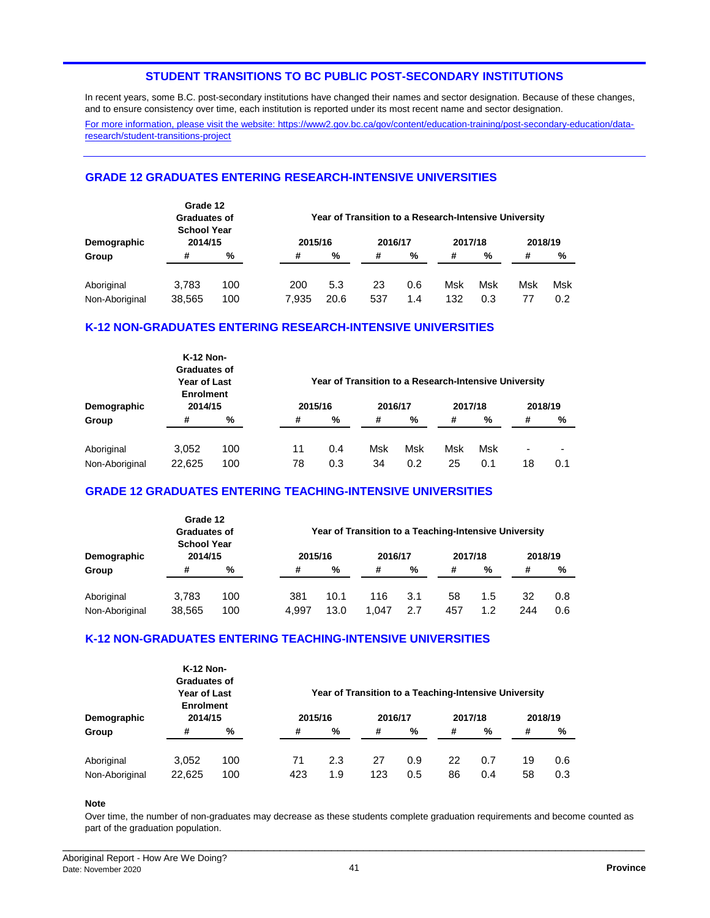## **STUDENT TRANSITIONS TO BC PUBLIC POST-SECONDARY INSTITUTIONS**

In recent years, some B.C. post-secondary institutions have changed their names and sector designation. Because of these changes, and to ensure consistency over time, each institution is reported under its most recent name and sector designation.

[For more informa](https://www2.gov.bc.ca/gov/content/education-training/post-secondary-education/data-research/student-transitions-project)tion, please visit the website: https://www2.gov.bc.ca/gov/content/education-training/post-secondary-education/data[research/student-](https://www2.gov.bc.ca/gov/content/education-training/post-secondary-education/data-research/student-transitions-project)transitions-project

## **GRADE 12 GRADUATES ENTERING RESEARCH-INTENSIVE UNIVERSITIES**

|                | Grade 12<br><b>Graduates of</b><br><b>School Year</b> |     |         | Year of Transition to a Research-Intensive University |         |     |         |     |         |     |  |  |
|----------------|-------------------------------------------------------|-----|---------|-------------------------------------------------------|---------|-----|---------|-----|---------|-----|--|--|
| Demographic    | 2014/15                                               |     | 2015/16 |                                                       | 2016/17 |     | 2017/18 |     | 2018/19 |     |  |  |
| Group          | #                                                     | %   | #       | %                                                     | #       | %   | #       | %   | #       | %   |  |  |
| Aboriginal     | 3.783                                                 | 100 | 200     | 5.3                                                   | 23      | 0.6 | Msk     | Msk | Msk     | Msk |  |  |
| Non-Aboriginal | 38,565                                                | 100 | 7.935   | 20.6                                                  | 537     | 1.4 | 132     | 0.3 |         | 0.2 |  |  |

## **K-12 NON-GRADUATES ENTERING RESEARCH-INTENSIVE UNIVERSITIES**

|                        | <b>K-12 Non-</b><br><b>Graduates of</b><br><b>Year of Last</b><br><b>Enrolment</b> |     |    | Year of Transition to a Research-Intensive University |     |         |     |         |                          |         |  |  |  |  |
|------------------------|------------------------------------------------------------------------------------|-----|----|-------------------------------------------------------|-----|---------|-----|---------|--------------------------|---------|--|--|--|--|
| Demographic<br>2014/15 |                                                                                    |     |    | 2015/16                                               |     | 2016/17 |     | 2017/18 |                          | 2018/19 |  |  |  |  |
| Group                  | #                                                                                  | %   | #  | %                                                     | #   | %       | #   | %       | #                        | %       |  |  |  |  |
| Aboriginal             | 3,052                                                                              | 100 | 11 | 0.4                                                   | Msk | Msk     | Msk | Msk     | $\overline{\phantom{0}}$ | ۰       |  |  |  |  |
| Non-Aboriginal         | 22.625                                                                             | 100 | 78 | 0.3                                                   | 34  | 0.2     | 25  | 0.1     | 18                       | 0.1     |  |  |  |  |

## **GRADE 12 GRADUATES ENTERING TEACHING-INTENSIVE UNIVERSITIES**

|                | Grade 12<br><b>Graduates of</b><br><b>School Year</b> |     |         | Year of Transition to a Teaching-Intensive University |       |         |     |         |     |         |  |  |
|----------------|-------------------------------------------------------|-----|---------|-------------------------------------------------------|-------|---------|-----|---------|-----|---------|--|--|
| Demographic    | 2014/15                                               |     | 2015/16 |                                                       |       | 2016/17 |     | 2017/18 |     | 2018/19 |  |  |
| Group          | #                                                     | %   | #       | %                                                     | #     | %       | #   | %       | #   | %       |  |  |
| Aboriginal     | 3.783                                                 | 100 | 381     | 10.1                                                  | 116   | 3.1     | 58  | 1.5     | 32  | 0.8     |  |  |
| Non-Aboriginal | 38,565                                                | 100 | 4.997   | 13.0                                                  | 1.047 | 2.7     | 457 | 1.2     | 244 | 0.6     |  |  |

## **K-12 NON-GRADUATES ENTERING TEACHING-INTENSIVE UNIVERSITIES**

|                | <b>K-12 Non-</b><br>Graduates of<br><b>Year of Last</b><br><b>Enrolment</b> |     |         | Year of Transition to a Teaching-Intensive University |         |     |         |     |         |     |  |  |  |  |
|----------------|-----------------------------------------------------------------------------|-----|---------|-------------------------------------------------------|---------|-----|---------|-----|---------|-----|--|--|--|--|
| Demographic    | 2014/15                                                                     |     | 2015/16 |                                                       | 2016/17 |     | 2017/18 |     | 2018/19 |     |  |  |  |  |
| Group          | #                                                                           | %   | #       | %                                                     | #       | %   | #       | %   | #       | %   |  |  |  |  |
| Aboriginal     | 3,052                                                                       | 100 | 71      | 2.3                                                   | 27      | 0.9 | 22      | 0.7 | 19      | 0.6 |  |  |  |  |
| Non-Aboriginal | 22.625                                                                      | 100 | 423     | 1.9                                                   | 123     | 0.5 | 86      | 0.4 | 58      | 0.3 |  |  |  |  |

### **Note**

Over time, the number of non-graduates may decrease as these students complete graduation requirements and become counted as part of the graduation population.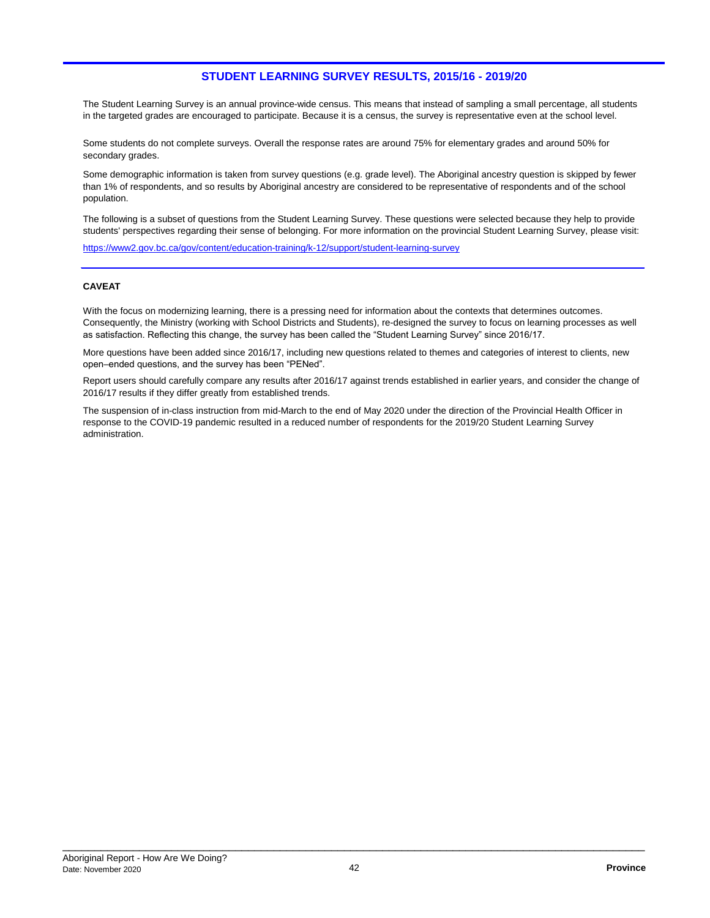## **STUDENT LEARNING SURVEY RESULTS, 2015/16 - 2019/20**

The Student Learning Survey is an annual province-wide census. This means that instead of sampling a small percentage, all students in the targeted grades are encouraged to participate. Because it is a census, the survey is representative even at the school level.

Some students do not complete surveys. Overall the response rates are around 75% for elementary grades and around 50% for secondary grades.

Some demographic information is taken from survey questions (e.g. grade level). The Aboriginal ancestry question is skipped by fewer than 1% of respondents, and so results by Aboriginal ancestry are considered to be representative of respondents and of the school population.

The following is a subset of questions from the Student Learning Survey. These questions were selected because they help to provide students' perspectives regarding their sense of belonging. For more information on the provincial Student Learning Survey, please visit:

[https://](https://www2.gov.bc.ca/gov/content/education-training/k-12/support/student-learning-survey)www2.gov.bc.ca/gov/content/education-training/k-12/support/student-learning-survey

### **CAVEAT**

With the focus on modernizing learning, there is a pressing need for information about the contexts that determines outcomes. Consequently, the Ministry (working with School Districts and Students), re-designed the survey to focus on learning processes as well as satisfaction. Reflecting this change, the survey has been called the "Student Learning Survey" since 2016/17.

More questions have been added since 2016/17, including new questions related to themes and categories of interest to clients, new open–ended questions, and the survey has been "PENed".

Report users should carefully compare any results after 2016/17 against trends established in earlier years, and consider the change of 2016/17 results if they differ greatly from established trends.

The suspension of in-class instruction from mid-March to the end of May 2020 under the direction of the Provincial Health Officer in response to the COVID-19 pandemic resulted in a reduced number of respondents for the 2019/20 Student Learning Survey administration.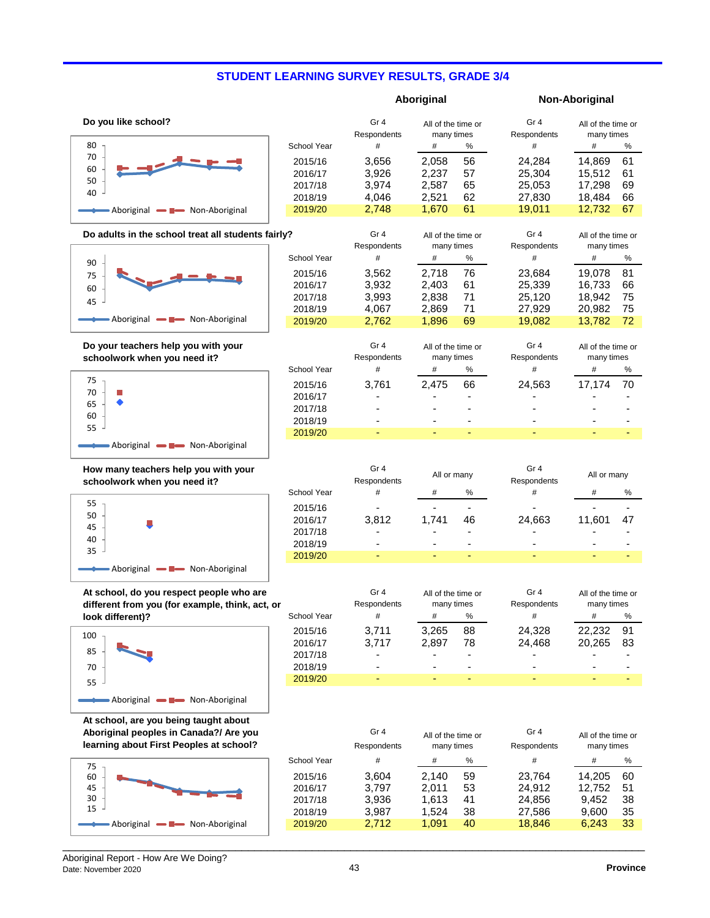## **STUDENT LEARNING SURVEY RESULTS, GRADE 3/4**

|                                                                      |                                                     |                                        | Aboriginal                            |                                          | Non-Aboriginal                       |                                       |                      |
|----------------------------------------------------------------------|-----------------------------------------------------|----------------------------------------|---------------------------------------|------------------------------------------|--------------------------------------|---------------------------------------|----------------------|
| Do you like school?                                                  |                                                     | Gr <sub>4</sub><br>Respondents         | All of the time or<br>many times      |                                          | Gr <sub>4</sub><br>Respondents       | All of the time or<br>many times      |                      |
| 80                                                                   | School Year                                         | #                                      | #                                     | $\%$                                     | #                                    | #                                     | ℅                    |
| 70<br>60<br>50<br>40                                                 | 2015/16<br>2016/17<br>2017/18<br>2018/19            | 3,656<br>3,926<br>3,974<br>4,046       | 2,058<br>2,237<br>2,587<br>2,521      | 56<br>57<br>65<br>62                     | 24,284<br>25,304<br>25,053<br>27,830 | 14,869<br>15,512<br>17,298<br>18,484  | 61<br>61<br>69<br>66 |
| - Aboriginal - <b>D</b> Non-Aboriginal                               | 2019/20                                             | 2,748                                  | 1,670                                 | 61                                       | 19,011                               | 12,732                                | 67                   |
| Do adults in the school treat all students fairly?<br>90             | School Year                                         | Gr <sub>4</sub><br>Respondents<br>#    | All of the time or<br>many times<br># | %                                        | Gr <sub>4</sub><br>Respondents<br>#  | All of the time or<br>many times<br># | %                    |
| 75<br>60<br>45                                                       | 2015/16<br>2016/17<br>2017/18<br>2018/19            | 3,562<br>3,932<br>3,993<br>4,067       | 2,718<br>2,403<br>2,838<br>2,869      | 76<br>61<br>71<br>71                     | 23,684<br>25,339<br>25,120<br>27,929 | 19,078<br>16,733<br>18,942<br>20,982  | 81<br>66<br>75<br>75 |
| - Aboriginal - <b>D</b> Non-Aboriginal                               | 2019/20                                             | 2,762                                  | 1,896                                 | 69                                       | 19,082                               | 13,782                                | 72                   |
| Do your teachers help you with your<br>schoolwork when you need it?  | School Year                                         | Gr <sub>4</sub><br>Respondents<br>$\#$ | All of the time or<br>many times<br># | $\%$                                     | Gr <sub>4</sub><br>Respondents<br>#  | All of the time or<br>many times<br># | %                    |
| 75<br>70<br>П<br>65<br>60<br>55                                      | 2015/16<br>2016/17<br>2017/18<br>2018/19<br>2019/20 | 3.761                                  | 2.475                                 | 66<br>÷                                  | 24.563                               | 17,174                                | 70                   |
| Aboriginal <b>- B</b> Non-Aboriginal                                 |                                                     |                                        |                                       |                                          |                                      |                                       |                      |
| How many teachers help you with your<br>schoolwork when you need it? |                                                     | Gr <sub>4</sub><br>Respondents         | All or many                           |                                          | Gr <sub>4</sub><br>Respondents       | All or many                           |                      |
| 55                                                                   | School Year                                         | #                                      | #                                     | $\%$                                     | #                                    | #                                     | ℅                    |
| 50<br>45<br>40<br>35                                                 | 2015/16<br>2016/17<br>2017/18<br>2018/19            | 3,812                                  | 1.741                                 | $\sim$<br>46<br>$\overline{\phantom{a}}$ | 24,663                               | 11,601                                | $\blacksquare$<br>47 |
| - Aboriginal - <b>D</b> Non-Aboriginal                               | 2019/20                                             |                                        |                                       |                                          |                                      |                                       |                      |
|                                                                      |                                                     |                                        |                                       |                                          |                                      |                                       |                      |

**At school, do you respect people who are different from you (for example, think, act, or look different)?**



**At school, are you being taught about Aboriginal peoples in Canada?/ Are you learning about First Peoples at school?**





Gr 4 All of the time or Gr 4 Respondents Respondents many times School Year  $\#$   $\#$  %  $\#$   $\#$  % 2015/16 3,711 3,265 88 24,328 22,232 91 2016/17 3,717 2,897 78 24,468 20,265 83

| School Year | ≖     | ≖     | $\frac{9}{2}$ | ≖      |        | $\frac{9}{2}$ |
|-------------|-------|-------|---------------|--------|--------|---------------|
| 2015/16     | 3,604 | 2.140 | 59            | 23,764 | 14.205 | 60            |
| 2016/17     | 3.797 | 2.011 | 53            | 24.912 | 12.752 | 51            |
| 2017/18     | 3.936 | 1.613 | 41            | 24.856 | 9.452  | 38            |
| 2018/19     | 3.987 | 1.524 | 38            | 27,586 | 9.600  | 35            |
| 2019/20     | 2,712 | 1.091 | 40            | 18,846 | 6.243  | 33            |

All of the time or many times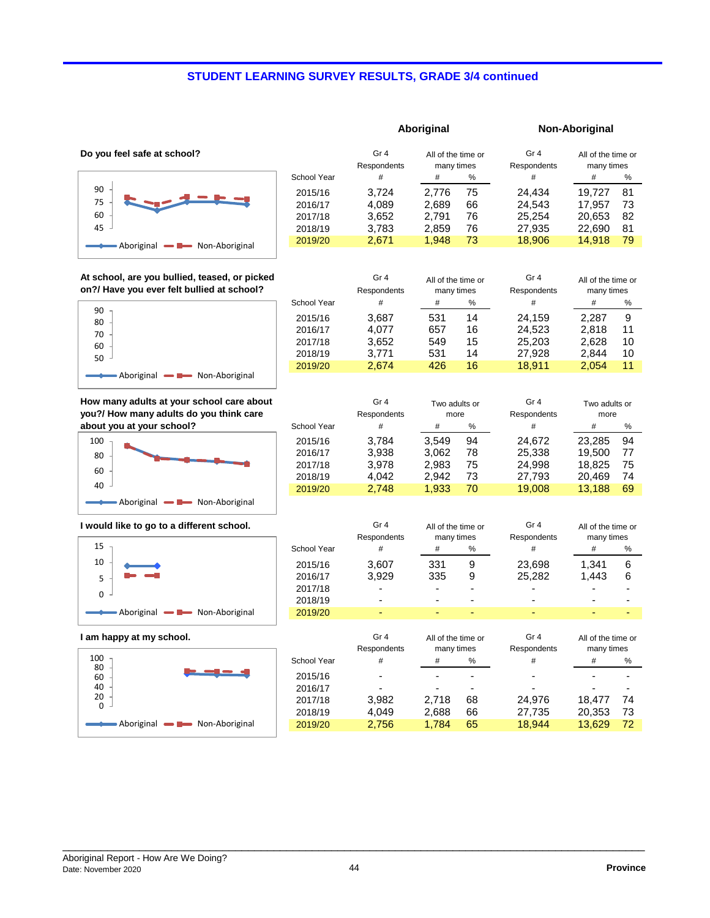## **STUDENT LEARNING SURVEY RESULTS, GRADE 3/4 continued**



**Do you feel safe at school?** Graph Contact All of the time or Graph Graph Graph Graph Graph Graph Graph Graph Graph Graph Graph Graph Graph Graph Graph Graph Graph Graph Graph Graph Graph Graph Graph Graph Graph Graph Gra Respondents many times Respondents School Year # # % # # % 2015/16 3,724 2,776 75 24,434 19,727 81 2016/17 4,089 2,689 66 24,543 17,957 73 2017/18 3,652 2,791 76 25,254 20,653 82 2018/19 3,783 2,859 76 27,935 22,690 81 2019/20 2,671 1,948 73 18,906 14,918 79 All of the time or many times All of the time or many times

**Aboriginal Non-Aboriginal**

**At school, are you bullied, teased, or picked on?/ Have you ever felt bullied at school?**



**How many adults at your school care about you?/ How many adults do you think care about you at your school?**



I would like to go to a different school.



### **I am happy at my school.**



|             | Gr <sub>4</sub><br>Respondents | All of the time or<br>many times |    | Gr <sub>4</sub><br><b>Respondents</b> | All of the time or<br>many times |    |
|-------------|--------------------------------|----------------------------------|----|---------------------------------------|----------------------------------|----|
| School Year | #                              | #                                | %  | #                                     | #                                | %  |
| 2015/16     | 3,687                          | 531                              | 14 | 24,159                                | 2.287                            | 9  |
| 2016/17     | 4.077                          | 657                              | 16 | 24.523                                | 2,818                            | 11 |
| 2017/18     | 3,652                          | 549                              | 15 | 25,203                                | 2,628                            | 10 |
| 2018/19     | 3.771                          | 531                              | 14 | 27.928                                | 2.844                            | 10 |
| 2019/20     | 2,674                          | 426                              | 16 | 18,911                                | 2,054                            | 11 |
|             |                                |                                  |    |                                       |                                  |    |

|             | Gr <sub>4</sub><br>Respondents | Two adults or<br>more |    | Gr <sub>4</sub><br>Respondents | Two adults or<br>more |    |
|-------------|--------------------------------|-----------------------|----|--------------------------------|-----------------------|----|
| School Year | #                              | #                     | %  | #                              | #                     | %  |
| 2015/16     | 3,784                          | 3.549                 | 94 | 24,672                         | 23,285                | 94 |
| 2016/17     | 3,938                          | 3,062                 | 78 | 25,338                         | 19,500                | 77 |
| 2017/18     | 3,978                          | 2,983                 | 75 | 24,998                         | 18,825                | 75 |
| 2018/19     | 4.042                          | 2.942                 | 73 | 27,793                         | 20,469                | 74 |
| 2019/20     | 2.748                          | 1,933                 | 70 | 19,008                         | 13,188                | 69 |
|             |                                |                       |    |                                |                       |    |

|                    | Gr <sub>4</sub><br>Respondents | All of the time or<br>many times |        | Gr 4<br>Respondents | All of the time or<br>many times |        |
|--------------------|--------------------------------|----------------------------------|--------|---------------------|----------------------------------|--------|
| School Year        | #                              | #                                | %      | #                   | #                                | %      |
| 2015/16<br>2016/17 | 3,607<br>3,929                 | 331<br>335                       | 9<br>9 | 23,698<br>25,282    | 1,341<br>1,443                   | 6<br>6 |
| 2017/18            | ۰                              |                                  |        | -                   |                                  |        |
| 2018/19            |                                | -                                | -      | -                   |                                  |        |
| 2019/20            |                                |                                  |        | -                   |                                  |        |

|             | Gr <sub>4</sub><br>Respondents | All of the time or<br>many times |    | Gr 4<br>Respondents | All of the time or<br>many times |    |
|-------------|--------------------------------|----------------------------------|----|---------------------|----------------------------------|----|
| School Year | #                              | #                                | %  | #                   | #                                | %  |
| 2015/16     |                                |                                  | -  | -                   | -                                |    |
| 2016/17     | $\overline{\phantom{0}}$       | -                                | -  | -                   | -                                |    |
| 2017/18     | 3,982                          | 2,718                            | 68 | 24.976              | 18.477                           | 74 |
| 2018/19     | 4.049                          | 2,688                            | 66 | 27,735              | 20,353                           | 73 |
| 2019/20     | 2,756                          | 1.784                            | 65 | 18.944              | 13,629                           | 72 |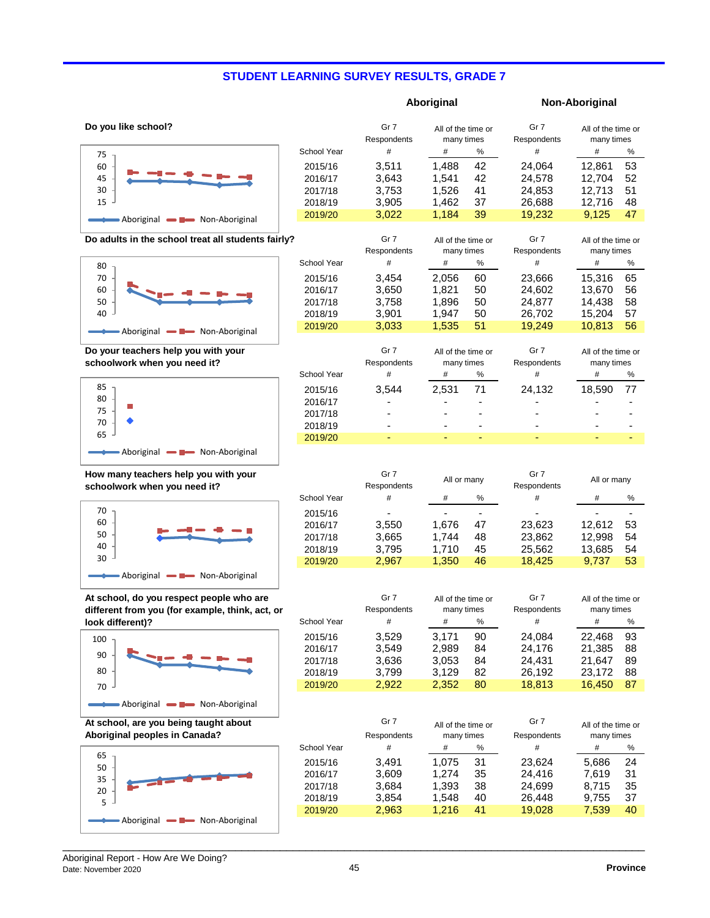## **STUDENT LEARNING SURVEY RESULTS, GRADE 7**

## **Do you like school?** 15 30 45 60 75 Aboriginal **- B** Non-Aboriginal

**Do adults in the school treat all students fairly?** 



**Do your teachers help you with your schoolwork when you need it?**



**How many teachers help you with your schoolwork when you need it?**



**At school, do you respect people who are different from you (for example, think, act, or look different)?**



**At school, are you being taught about Aboriginal peoples in Canada?**



|             | Gr 7<br>Respondents | All of the time or<br>many times |    | Gr 7<br>Respondents | All of the time or<br>many times |    |
|-------------|---------------------|----------------------------------|----|---------------------|----------------------------------|----|
| School Year | #                   | #                                | %  | #                   | #                                | %  |
| 2015/16     | 3.511               | 1.488                            | 42 | 24.064              | 12.861                           | 53 |
| 2016/17     | 3.643               | 1.541                            | 42 | 24,578              | 12,704                           | 52 |
| 2017/18     | 3,753               | 1.526                            | 41 | 24.853              | 12.713                           | 51 |
| 2018/19     | 3,905               | 1.462                            | 37 | 26,688              | 12.716                           | 48 |
| 2019/20     | 3,022               | 1.184                            | 39 | 19,232              | 9.125                            | 47 |

**Aboriginal Non-Aboriginal**

|             | Gr <sub>7</sub><br>Respondents | All of the time or<br>many times |    | Gr 7<br>Respondents | All of the time or<br>many times |    |
|-------------|--------------------------------|----------------------------------|----|---------------------|----------------------------------|----|
| School Year | #                              | #                                | ℅  | #                   | #                                | %  |
| 2015/16     | 3,454                          | 2,056                            | 60 | 23,666              | 15,316                           | 65 |
| 2016/17     | 3,650                          | 1,821                            | 50 | 24,602              | 13,670                           | 56 |
| 2017/18     | 3,758                          | 1,896                            | 50 | 24,877              | 14,438                           | 58 |
| 2018/19     | 3,901                          | 1.947                            | 50 | 26,702              | 15,204                           | 57 |
| 2019/20     | 3,033                          | 1,535                            | 51 | 19,249              | 10,813                           | 56 |
|             |                                |                                  |    |                     |                                  |    |
|             | Gr <sub>7</sub>                | All of the time or               |    | Gr 7                | All of the time or               |    |
|             | Respondents                    | many times                       |    | Respondents         | many times                       |    |
| School Year | #                              | #                                | ℅  | #                   | #                                | ℅  |

| School Year | #                        | #                        | %                        | #                        | #                        | %  |  |
|-------------|--------------------------|--------------------------|--------------------------|--------------------------|--------------------------|----|--|
| 2015/16     | 3,544                    | 2,531                    |                          | 24,132                   | 18,590                   | 77 |  |
| 2016/17     | $\overline{\phantom{0}}$ | -                        | -                        | -                        |                          |    |  |
| 2017/18     | ۰                        | $\overline{\phantom{0}}$ | $\overline{\phantom{0}}$ | $\overline{\phantom{0}}$ | $\overline{\phantom{0}}$ |    |  |
| 2018/19     | -                        |                          | -                        | -                        | -                        |    |  |
| 2019/20     | -                        | -                        | -                        | -                        |                          |    |  |
|             |                          |                          |                          |                          |                          |    |  |

|             | Gr <sub>7</sub><br>Respondents | All or many |                | Gr 7<br>Respondents | All or many |    |
|-------------|--------------------------------|-------------|----------------|---------------------|-------------|----|
| School Year | #                              | #           | %              | #                   | #           | %  |
| 2015/16     |                                | -           | $\overline{a}$ |                     |             |    |
| 2016/17     | 3,550                          | 1.676       | 47             | 23,623              | 12.612      | 53 |
| 2017/18     | 3,665                          | 1.744       | 48             | 23,862              | 12.998      | 54 |
| 2018/19     | 3,795                          | 1.710       | 45             | 25,562              | 13,685      | 54 |
| 2019/20     | 2,967                          | 1,350       | 46             | 18,425              | 9.737       | 53 |
|             |                                |             |                |                     |             |    |

| School Year | Gr <sub>7</sub><br>Respondents<br># | All of the time or<br>many times<br># | %  | Gr 7<br>Respondents<br># | All of the time or<br>many times<br># | %  |
|-------------|-------------------------------------|---------------------------------------|----|--------------------------|---------------------------------------|----|
| 2015/16     | 3.529                               | 3.171                                 | 90 | 24.084                   | 22,468                                | 93 |
| 2016/17     | 3.549                               | 2,989                                 | 84 | 24,176                   | 21,385                                | 88 |
| 2017/18     | 3,636                               | 3,053                                 | 84 | 24.431                   | 21.647                                | 89 |
| 2018/19     | 3,799                               | 3.129                                 | 82 | 26,192                   | 23,172                                | 88 |
| 2019/20     | 2,922                               | 2,352                                 | 80 | 18,813                   | 16,450                                | 87 |
|             |                                     |                                       |    |                          |                                       |    |

| School Year | Gr 7<br>Respondents<br># | All of the time or<br>many times<br># | %  | Gr 7<br>Respondents<br># | All of the time or<br>many times<br># | %  |
|-------------|--------------------------|---------------------------------------|----|--------------------------|---------------------------------------|----|
|             |                          |                                       |    |                          |                                       |    |
| 2015/16     | 3.491                    | 1.075                                 | 31 | 23,624                   | 5.686                                 | 24 |
| 2016/17     | 3,609                    | 1.274                                 | 35 | 24.416                   | 7.619                                 | 31 |
| 2017/18     | 3,684                    | 1,393                                 | 38 | 24,699                   | 8.715                                 | 35 |
| 2018/19     | 3,854                    | 1,548                                 | 40 | 26,448                   | 9,755                                 | 37 |
| 2019/20     | 2,963                    | 1.216                                 | 41 | 19.028                   | 7,539                                 | 40 |
|             |                          |                                       |    |                          |                                       |    |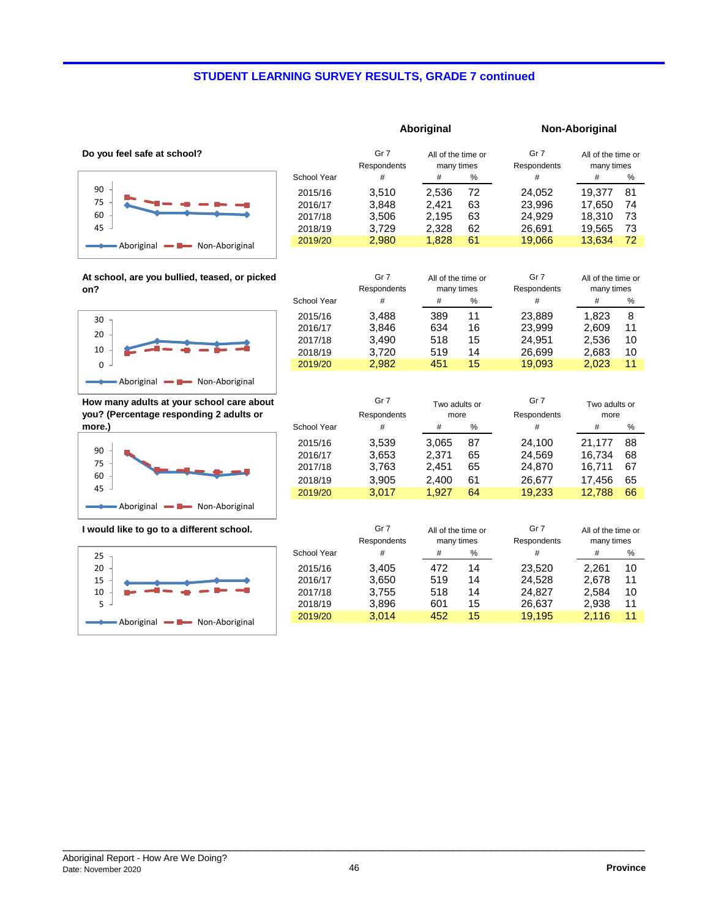## **STUDENT LEARNING SURVEY RESULTS, GRADE 7 continued**



|             | Gr 7<br>Respondents | All of the time or<br>many times |    | Gr 7<br>Respondents | All of the time or<br>many times |    |
|-------------|---------------------|----------------------------------|----|---------------------|----------------------------------|----|
| School Year | #                   | #                                | %  | #                   | #                                | ℅  |
| 2015/16     | 3.510               | 2.536                            | 72 | 24,052              | 19.377                           | 81 |
| 2016/17     | 3.848               | 2.421                            | 63 | 23,996              | 17.650                           | 74 |
| 2017/18     | 3,506               | 2.195                            | 63 | 24.929              | 18.310                           | 73 |
| 2018/19     | 3.729               | 2.328                            | 62 | 26,691              | 19,565                           | 73 |
| 2019/20     | 2,980               | 1.828                            | 61 | 19,066              | 13.634                           | 72 |

**Aboriginal Non-Aboriginal**

**At school, are you bullied, teased, or picked on?**



**How many adults at your school care about you? (Percentage responding 2 adults or more.)**



I would like to go to a different school.



|             | Gr <sub>7</sub><br>Respondents | All of the time or<br>many times |    | Gr 7<br>Respondents | All of the time or<br>many times |    |
|-------------|--------------------------------|----------------------------------|----|---------------------|----------------------------------|----|
| School Year | #                              | #                                | %  | #                   | #                                | %  |
| 2015/16     | 3,488                          | 389                              | 11 | 23,889              | 1.823                            | 8  |
| 2016/17     | 3.846                          | 634                              | 16 | 23.999              | 2,609                            | 11 |
| 2017/18     | 3,490                          | 518                              | 15 | 24.951              | 2,536                            | 10 |
| 2018/19     | 3,720                          | 519                              | 14 | 26,699              | 2,683                            | 10 |
| 2019/20     | 2,982                          | 451                              | 15 | 19,093              | 2,023                            | 11 |
|             |                                |                                  |    |                     |                                  |    |

|             | Gr 7<br>Respondents | Two adults or<br>more |    | Gr 7<br>Respondents | Two adults or<br>more |    |
|-------------|---------------------|-----------------------|----|---------------------|-----------------------|----|
| School Year | #                   | #                     | %  | #                   | #                     | ℅  |
| 2015/16     | 3.539               | 3.065                 | 87 | 24.100              | 21.177                | 88 |
| 2016/17     | 3,653               | 2,371                 | 65 | 24,569              | 16,734                | 68 |
| 2017/18     | 3,763               | 2,451                 | 65 | 24.870              | 16.711                | 67 |
| 2018/19     | 3,905               | 2.400                 | 61 | 26,677              | 17,456                | 65 |
| 2019/20     | 3,017               | 1.927                 | 64 | 19,233              | 12,788                | 66 |
|             |                     |                       |    |                     |                       |    |

|             | Gr <sub>7</sub><br>Respondents | All of the time or<br>many times |    | Gr 7<br>Respondents | All of the time or<br>many times |    |
|-------------|--------------------------------|----------------------------------|----|---------------------|----------------------------------|----|
| School Year | #                              | #                                | %  | #                   | #                                | %  |
| 2015/16     | 3,405                          | 472                              | 14 | 23,520              | 2.261                            | 10 |
| 2016/17     | 3,650                          | 519                              | 14 | 24,528              | 2,678                            | 11 |
| 2017/18     | 3,755                          | 518                              | 14 | 24.827              | 2,584                            | 10 |
| 2018/19     | 3,896                          | 601                              | 15 | 26,637              | 2,938                            | 11 |
| 2019/20     | 3,014                          | 452                              | 15 | 19,195              | 2,116                            | 11 |
|             |                                |                                  |    |                     |                                  |    |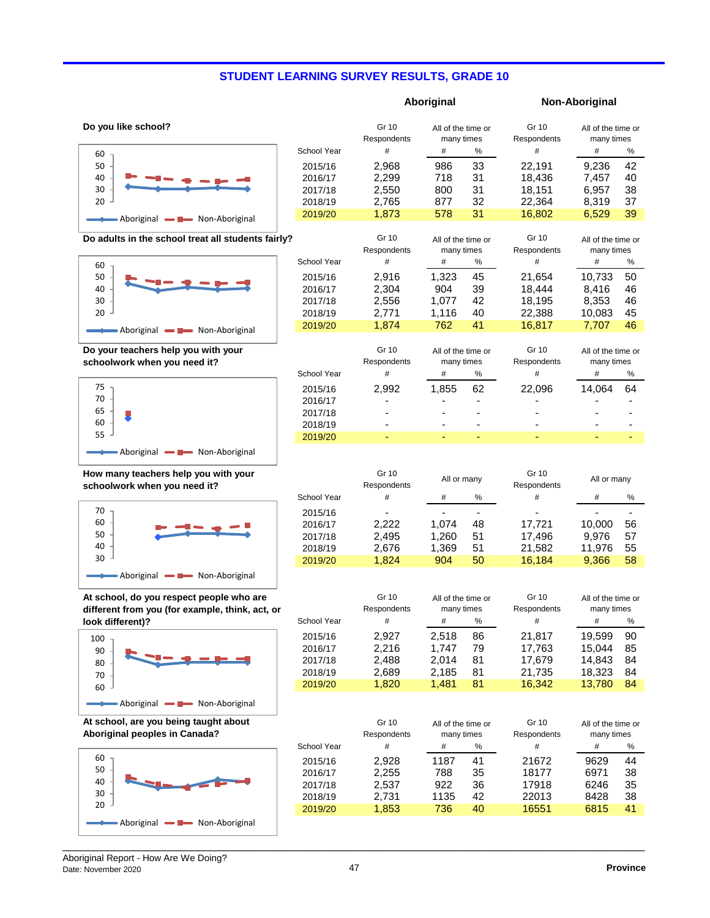## **STUDENT LEARNING SURVEY RESULTS, GRADE 10**

**Do you like school?** Gr 10 Gr 10 Gr 10 Gr 10 Gr 10 Gr 10 Gr 10 Gr 10 Gr 10 Gr 10 School Year  $\#$   $\#$  %  $\#$   $\#$  % 2015/16 2,968 986 33 22,191 9,236 42 2016/17 2,299 718 31 18,436 7,457 40 2017/18 2,550 800 31 18,151 6,957 38 2018/19 2,765 877 32 22,364 8,319 37 2019/20 1,873 578 31 16,802 6,529 39 20 30 40 50 60 Aboriginal  $\longrightarrow$  Non-Aboriginal

**Do adults in the school treat all students fairly?** Gr 10 Gr 10 All of the time or Gr 10



**Do your teachers help you with your schoolwork when you need it?**



**How many teachers help you with your schoolwork when you need it?**



**At school, do you respect people who are different from you (for example, think, act, or look different)?**



**At school, are you being taught about Aboriginal peoples in Canada?**





|             | <b>INVERTIVAL IN</b> |                          |    | <b>TOOPOHOOHO</b> |                |    |
|-------------|----------------------|--------------------------|----|-------------------|----------------|----|
| School Year | #                    | #                        | %  | #                 | #              | %  |
| 2015/16     | -                    | $\overline{\phantom{0}}$ |    | ٠                 | $\overline{a}$ |    |
| 2016/17     | 2.222                | 1.074                    | 48 | 17.721            | 10.000         | 56 |
| 2017/18     | 2.495                | 1.260                    | 51 | 17.496            | 9.976          | 57 |
| 2018/19     | 2,676                | 1,369                    | 51 | 21,582            | 11.976         | 55 |
| 2019/20     | 1.824                | 904                      | 50 | 16.184            | 9.366          | 58 |
|             |                      |                          |    |                   |                |    |

Respondents many times Respondents

All of the time or many times

**Aboriginal Non-Aboriginal**

Respondents many times Respondents School Year # # % # # % 2015/16 2,916 1,323 45 21,654 10,733 50 2016/17 2,304 904 39 18,444 8,416 46 2017/18 2,556 1,077 42 18,195 8,353 46 2018/19 2,771 1,116 40 22,388 10,083 45 2019/20 1,874 762 41 16,817 7,707 46

All of the time or many times

Gr 10 All of the time or Gr 10 Respondents many times Respondents

many times

|             | Gr 10<br>Respondents | All of the time or<br>many times |    | Gr 10<br>Respondents | All of the time or<br>many times |    |
|-------------|----------------------|----------------------------------|----|----------------------|----------------------------------|----|
| School Year | #                    | #                                | ℅  | #                    | #                                | %  |
| 2015/16     | 2.927                | 2.518                            | 86 | 21.817               | 19.599                           | 90 |
| 2016/17     | 2.216                | 1.747                            | 79 | 17,763               | 15.044                           | 85 |
| 2017/18     | 2,488                | 2.014                            | 81 | 17,679               | 14,843                           | 84 |
| 2018/19     | 2,689                | 2,185                            | 81 | 21,735               | 18,323                           | 84 |
| 2019/20     | 1,820                | 1,481                            | 81 | 16,342               | 13,780                           | 84 |
|             |                      |                                  |    |                      |                                  |    |

|             | Gr 10<br>Respondents | All of the time or<br>many times |    | Gr 10<br>Respondents | All of the time or<br>many times |    |
|-------------|----------------------|----------------------------------|----|----------------------|----------------------------------|----|
| School Year | #                    | #                                | %  | #                    | #                                | %  |
| 2015/16     | 2,928                | 1187                             | 41 | 21672                | 9629                             | 44 |
| 2016/17     | 2,255                | 788                              | 35 | 18177                | 6971                             | 38 |
| 2017/18     | 2.537                | 922                              | 36 | 17918                | 6246                             | 35 |
| 2018/19     | 2,731                | 1135                             | 42 | 22013                | 8428                             | 38 |
| 2019/20     | 1,853                | 736                              | 40 | 16551                | 6815                             | 41 |
|             |                      |                                  |    |                      |                                  |    |

All or many

All of the time or many times

All of the time or many times

All of the time or many times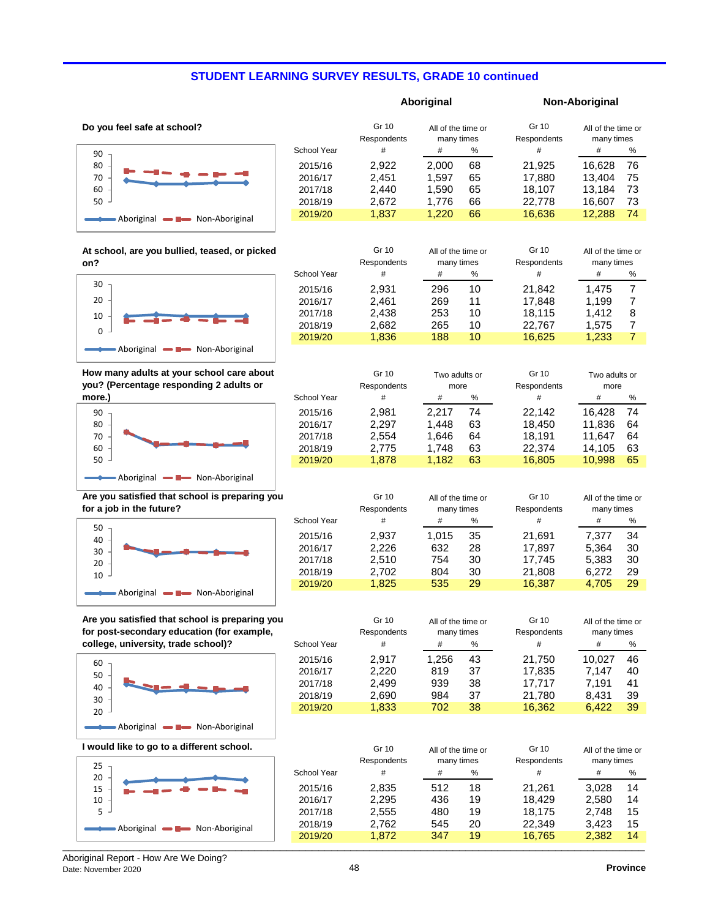## **STUDENT LEARNING SURVEY RESULTS, GRADE 10 continued**

**Do you feel safe at school?** Critical Community Critical Critical Critical Critical Critical Critical Critical Critical Critical Critical Critical Critical Critical Critical Critical Critical Critical Critical Critical Cr



#### At school, are you bullied, tease **on?**



**How many adults at your school care about you? (Percentage responding 2 adults or more.)**



**Are you satisfied that school is preparing you for a job in the future?**



**Are you satisfied that school is preparing you for post-secondary education (for example, college, university, trade school)?**





|                           | 2016/17<br>2017/18<br>2018/19<br>2019/20 | 2,451<br>2,440<br>2,672<br>1,837 | 1.597<br>1.590<br>1.776<br>1,220 | 65<br>65<br>66<br>66 | 17,880<br>18.107<br>22,778<br>16,636 | 13.404<br>13.184<br>16,607<br>12,288 | 75<br>73<br>73<br>74 |
|---------------------------|------------------------------------------|----------------------------------|----------------------------------|----------------------|--------------------------------------|--------------------------------------|----------------------|
| poriginal<br>d, or picked |                                          | Gr 10<br>Respondents             | All of the time or<br>many times |                      | Gr 10<br>Respondents                 | All of the time or<br>many times     |                      |
|                           | School Year                              | #                                | #                                | %                    | #                                    | #                                    | %                    |
|                           | 2015/16<br>2016/17                       | 2,931<br>2,461                   | 296<br>269                       | 10<br>11             | 21,842<br>17.848                     | 1,475<br>1,199                       | 7                    |

| 2019/20     | 1,836                | 188                   | 10 | 16,625               | 1,233                 | 7  |
|-------------|----------------------|-----------------------|----|----------------------|-----------------------|----|
|             |                      |                       |    |                      |                       |    |
|             | Gr 10<br>Respondents | Two adults or<br>more |    | Gr 10<br>Respondents | Two adults or<br>more |    |
| School Year | #                    | #                     | %  | #                    | #                     | %  |
| 2015/16     | 2.981                | 2.217                 | 74 | 22,142               | 16.428                | 74 |
| 2016/17     | 2,297                | 1.448                 | 63 | 18,450               | 11,836                | 64 |
| 2017/18     | 2,554                | 1,646                 | 64 | 18,191               | 11,647                | 64 |
| 2018/19     | 2.775                | 1.748                 | 63 | 22,374               | 14.105                | 63 |

2019/20 1,878 1,182 63 16,805 10,998 65

2017/18 2,438 253 10 18,115 1,412 8 2018/19 2,682 265 10 22,767 1,575 7

Respondents many times Respondents School Year # #  $\frac{4}{10}$  +  $\frac{4}{10}$  +  $\frac{4}{10}$  +  $\frac{4}{10}$  % 2015/16 2,922 2,000 68 21,925 16,628 76

All of the time or many times

|             | Gr 10<br>Respondents | All of the time or<br>many times |    | Gr 10<br>Respondents | All of the time or<br>many times |    |
|-------------|----------------------|----------------------------------|----|----------------------|----------------------------------|----|
| School Year | #                    | #                                | %  | #                    | #                                | ℅  |
| 2015/16     | 2.937                | 1.015                            | 35 | 21.691               | 7.377                            | 34 |
| 2016/17     | 2,226                | 632                              | 28 | 17,897               | 5.364                            | 30 |
| 2017/18     | 2,510                | 754                              | 30 | 17,745               | 5,383                            | 30 |
| 2018/19     | 2.702                | 804                              | 30 | 21,808               | 6,272                            | 29 |
| 2019/20     | 1,825                | 535                              | 29 | 16,387               | 4.705                            | 29 |

|             | Gr 10<br>All of the time or<br>Respondents<br>many times |       | Gr 10<br>Respondents | All of the time or<br>many times |        |      |
|-------------|----------------------------------------------------------|-------|----------------------|----------------------------------|--------|------|
| School Year | #                                                        | #     | %                    | #                                | #      | $\%$ |
| 2015/16     | 2,917                                                    | 1,256 | 43                   | 21,750                           | 10,027 | 46   |
| 2016/17     | 2,220                                                    | 819   | 37                   | 17,835                           | 7.147  | 40   |
| 2017/18     | 2,499                                                    | 939   | 38                   | 17,717                           | 7.191  | 41   |
| 2018/19     | 2,690                                                    | 984   | 37                   | 21,780                           | 8.431  | 39   |
| 2019/20     | 1,833                                                    | 702   | 38                   | 16,362                           | 6.422  | 39   |
|             |                                                          |       |                      |                                  |        |      |

| would like to go to a different school.<br>25 |             | Gr 10<br>Respondents |     | All of the time or<br>many times | Gr 10<br>Respondents | All of the time or<br>many times |    |
|-----------------------------------------------|-------------|----------------------|-----|----------------------------------|----------------------|----------------------------------|----|
| 20                                            | School Year | #                    | #   | %                                | #                    |                                  | %  |
| 15                                            | 2015/16     | 2.835                | 512 | 18                               | 21.261               | 3.028                            | 14 |
| 10                                            | 2016/17     | 2.295                | 436 | 19                               | 18.429               | 2.580                            | 14 |
| 5                                             | 2017/18     | 2.555                | 480 | 19                               | 18.175               | 2.748                            | 15 |
| Aboriginal <b>- B</b> Non-Aboriginal          | 2018/19     | 2.762                | 545 | 20                               | 22.349               | 3.423                            | 15 |
|                                               | 2019/20     | 1.872                | 347 | 19                               | 16.765               | 2,382                            | 14 |
|                                               |             |                      |     |                                  |                      |                                  |    |

Aboriginal Report - How Are We Doing? Date: November 2020

All of the time or many times

48 **Province**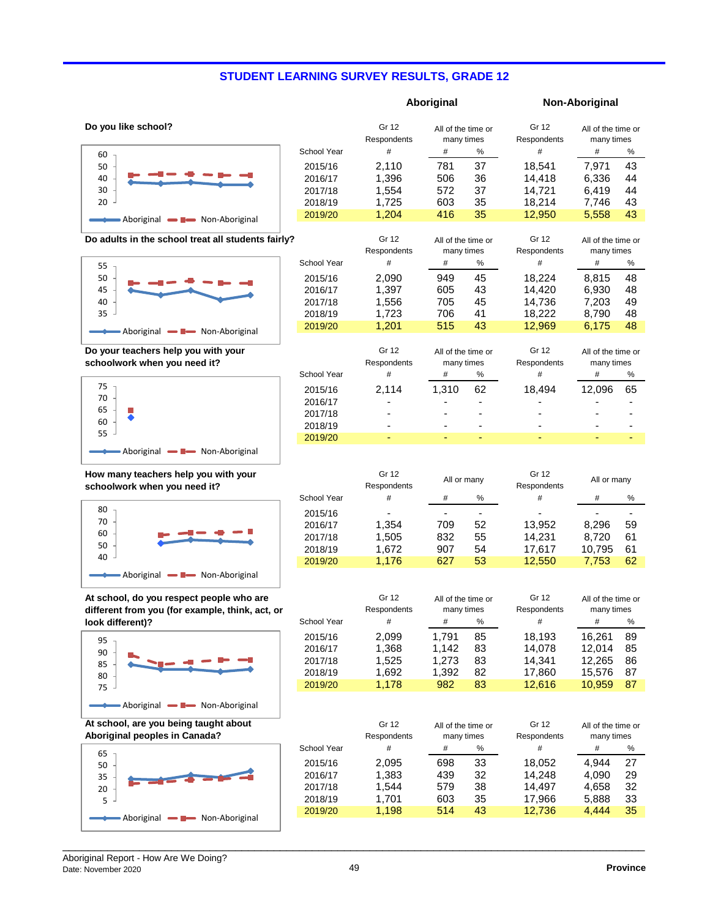## **STUDENT LEARNING SURVEY RESULTS, GRADE 12**

## **Do you like school?** 20 30 40 50 60 Aboriginal **- B** Non-Aboriginal

**Do adults in the school treat all students fairly?** 



**Do your teachers help you with your schoolwork when you need it?**



**How many teachers help you with your schoolwork when you need it?**



**At school, do you respect people who are different from you (for example, think, act, or look different)?**



**At school, are you being taught about Aboriginal peoples in Canada?**



|             | Gr 12<br>Respondents | All of the time or<br>many times |    | Gr 12<br>Respondents | All of the time or<br>many times |    |
|-------------|----------------------|----------------------------------|----|----------------------|----------------------------------|----|
| School Year | #                    | #                                | %  | #                    | #                                | %  |
| 2015/16     | 2,110                | 781                              | 37 | 18.541               | 7.971                            | 43 |
| 2016/17     | 1,396                | 506                              | 36 | 14.418               | 6,336                            | 44 |
| 2017/18     | 1,554                | 572                              | 37 | 14,721               | 6.419                            | 44 |
| 2018/19     | 1,725                | 603                              | 35 | 18.214               | 7.746                            | 43 |
| 2019/20     | 1.204                | 416                              | 35 | 12.950               | 5,558                            | 43 |

**Aboriginal Non-Aboriginal**

|             | Gr 12<br>Respondents | All of the time or<br>many times |    | Gr 12<br>Respondents | All of the time or<br>many times |    |
|-------------|----------------------|----------------------------------|----|----------------------|----------------------------------|----|
| School Year | #                    | #                                | %  | #                    | #                                | ℅  |
| 2015/16     | 2.090                | 949                              | 45 | 18.224               | 8,815                            | 48 |
| 2016/17     | 1.397                | 605                              | 43 | 14.420               | 6,930                            | 48 |
| 2017/18     | 1,556                | 705                              | 45 | 14,736               | 7,203                            | 49 |
| 2018/19     | 1,723                | 706                              | 41 | 18.222               | 8,790                            | 48 |
| 2019/20     | 1.201                | 515                              | 43 | 12,969               | 6,175                            | 48 |
|             | Gr 12                | All of the time or               |    | Gr 12                | All of the time or               |    |

|             | Respondents | many times |                          | Respondents              | many times |    |
|-------------|-------------|------------|--------------------------|--------------------------|------------|----|
| School Year | #           | #          | %                        | #                        | #          | %  |
| 2015/16     | 2,114       | 1.310      | 62                       | 18,494                   | 12,096     | 65 |
| 2016/17     | ۰           |            | -                        | $\overline{\phantom{0}}$ |            |    |
| 2017/18     | -           | ۰          | $\overline{\phantom{0}}$ | $\overline{\phantom{0}}$ | -          | -  |
| 2018/19     | -           | ۰          | $\overline{\phantom{0}}$ | ۰                        |            | -  |
| 2019/20     | -           | -          | -                        | -                        |            |    |
|             |             |            |                          |                          |            |    |

|             | Gr 12<br>Respondents     | All or many |                          | Gr 12<br>Respondents | All or many |    |
|-------------|--------------------------|-------------|--------------------------|----------------------|-------------|----|
| School Year | #                        | #           | %                        | #                    | #           | ℅  |
| 2015/16     | $\overline{\phantom{0}}$ | -           | $\overline{\phantom{0}}$ | -                    |             |    |
| 2016/17     | 1.354                    | 709         | 52                       | 13,952               | 8,296       | 59 |
| 2017/18     | 1,505                    | 832         | 55                       | 14,231               | 8.720       | 61 |
| 2018/19     | 1,672                    | 907         | 54                       | 17,617               | 10,795      | 61 |
| 2019/20     | 1,176                    | 627         | 53                       | 12,550               | 7.753       | 62 |
|             |                          |             |                          |                      |             |    |

| School Year | Gr 12<br>Respondents<br># | All of the time or<br>many times<br># | ℅  | Gr 12<br>Respondents<br># | All of the time or<br>many times<br># | ℅  |
|-------------|---------------------------|---------------------------------------|----|---------------------------|---------------------------------------|----|
| 2015/16     | 2,099                     | 1.791                                 | 85 | 18,193                    | 16.261                                | 89 |
| 2016/17     | 1,368                     | 1.142                                 | 83 | 14.078                    | 12.014                                | 85 |
| 2017/18     | 1,525                     | 1.273                                 | 83 | 14,341                    | 12,265                                | 86 |
| 2018/19     | 1,692                     | 1,392                                 | 82 | 17,860                    | 15,576                                | 87 |
| 2019/20     | 1,178                     | 982                                   | 83 | 12,616                    | 10,959                                | 87 |
|             |                           |                                       |    |                           |                                       |    |

|             | Gr 12<br>Respondents | All of the time or<br>many times |    | Gr 12<br>Respondents | All of the time or<br>many times |    |
|-------------|----------------------|----------------------------------|----|----------------------|----------------------------------|----|
| School Year | #                    | #                                | %  | #                    | #                                | %  |
| 2015/16     | 2,095                | 698                              | 33 | 18,052               | 4.944                            | 27 |
| 2016/17     | 1,383                | 439                              | 32 | 14.248               | 4.090                            | 29 |
| 2017/18     | 1.544                | 579                              | 38 | 14.497               | 4.658                            | 32 |
| 2018/19     | 1.701                | 603                              | 35 | 17,966               | 5,888                            | 33 |
| 2019/20     | 1,198                | 514                              | 43 | 12,736               | 4.444                            | 35 |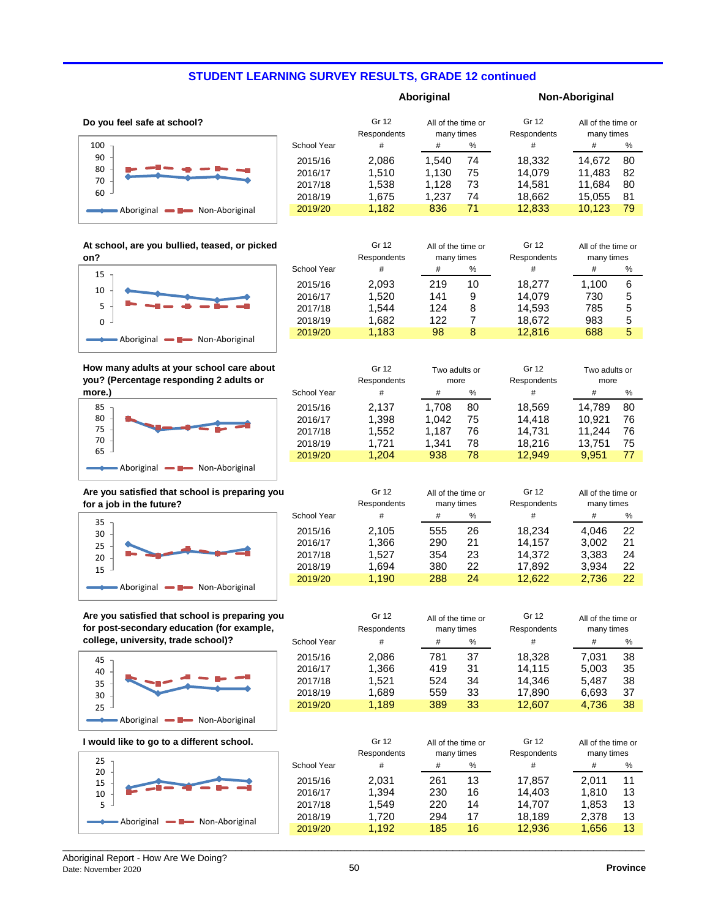## **STUDENT LEARNING SURVEY RESULTS, GRADE 12 continued**

#### **Do you feel safe at school?** Gr 12 Gr 12 All of the time or Gr 12 Respondents many times Respondents School Year #  $\frac{4}{100}$   $\frac{4}{100}$   $\frac{8}{100}$   $\frac{4}{100}$   $\frac{4}{100}$   $\frac{4}{100}$   $\frac{4}{100}$   $\frac{4}{100}$ 2015/16 2,086 1,540 74 18,332 14,672 80 2016/17 1,510 1,130 75 14,079 11,483 82 2017/18 1,538 1,128 73 14,581 11,684 80 2018/19 1,675 1,237 74 18,662 15,055 81 2019/20 1,182 836 71 12,833 10,123 79 All of the time or many times 60 70 80 90 100 Aboriginal **- B** Non-Aboriginal

## **At school, are you bullied, teased, or picked**



**How many adults at your school care about you? (Percentage responding 2 adults or more.)**



### **Are you satisfied that school is preparing you for a job in the future?**



**Are you satisfied that school is preparing you for post-secondary education (for example, college, university, trade school)?**



I would like to go to a different school.



|         | Gr 12<br>Respondents | Two adults or<br>more |    | Gr 12<br>Respondents | Two adults or<br>more |   |  |
|---------|----------------------|-----------------------|----|----------------------|-----------------------|---|--|
| 2019/20 | 1,183                | 98                    | 8  | 12,816               | 688                   | 5 |  |
| 2018/19 | 1,682                | 122                   | 7  | 18,672               | 983                   | 5 |  |
| 2017/18 | 1,544                | 124                   | 8  | 14,593               | 785                   | 5 |  |
| 2016/17 | 1,520                | 141                   | 9  | 14,079               | 730                   | 5 |  |
| 2015/16 | 2,093                | 219                   | 10 | 18,277               | 1,100                 | 6 |  |

Gr 12 All of the time or Gr 12 Respondents many times Respondents School Year #  $\frac{4}{100}$   $\frac{4}{100}$   $\frac{8}{100}$   $\frac{4}{100}$   $\frac{4}{100}$   $\frac{4}{100}$   $\frac{4}{100}$   $\frac{4}{100}$ 

**Aboriginal Non-Aboriginal**

many times

|             | Respondents | more  |    | Respondents | more   |    |
|-------------|-------------|-------|----|-------------|--------|----|
| School Year | #           | #     | %  | #           | #      | ℅  |
| 2015/16     | 2,137       | 1.708 | 80 | 18,569      | 14.789 | 80 |
| 2016/17     | 1,398       | 1.042 | 75 | 14,418      | 10.921 | 76 |
| 2017/18     | 1,552       | 1.187 | 76 | 14.731      | 11,244 | 76 |
| 2018/19     | 1,721       | 1,341 | 78 | 18.216      | 13.751 | 75 |
| 2019/20     | 1.204       | 938   | 78 | 12.949      | 9.951  | 77 |

|             | Gr 12<br>Respondents | All of the time or<br>many times |    | Gr 12<br>Respondents | All of the time or<br>many times |    |  |
|-------------|----------------------|----------------------------------|----|----------------------|----------------------------------|----|--|
| School Year | #                    | #                                | %  | #                    | #                                | %  |  |
| 2015/16     | 2,105                | 555                              | 26 | 18,234               | 4.046                            | 22 |  |
| 2016/17     | 1,366                | 290                              | 21 | 14.157               | 3,002                            | 21 |  |
| 2017/18     | 1.527                | 354                              | 23 | 14,372               | 3,383                            | 24 |  |
| 2018/19     | 1.694                | 380                              | 22 | 17,892               | 3,934                            | 22 |  |
| 2019/20     | 1.190                | 288                              | 24 | 12.622               | 2,736                            | 22 |  |

|             | Gr 12<br>Respondents | All of the time or<br>many times |    | Gr 12<br>Respondents | All of the time or<br>many times |    |
|-------------|----------------------|----------------------------------|----|----------------------|----------------------------------|----|
| School Year | #                    | #                                | %  | #                    | #                                | ℅  |
| 2015/16     | 2,086                | 781                              | 37 | 18,328               | 7,031                            | 38 |
| 2016/17     | 1,366                | 419                              | 31 | 14,115               | 5,003                            | 35 |
| 2017/18     | 1.521                | 524                              | 34 | 14.346               | 5.487                            | 38 |
| 2018/19     | 1,689                | 559                              | 33 | 17,890               | 6,693                            | 37 |
| 2019/20     | 1,189                | 389                              | 33 | 12,607               | 4,736                            | 38 |

|             | Gr 12<br>Respondents | All of the time or<br>many times |    | Gr 12<br>Respondents | All of the time or<br>many times |    |
|-------------|----------------------|----------------------------------|----|----------------------|----------------------------------|----|
| School Year | #                    | #                                | %  | #                    | #                                | %  |
| 2015/16     | 2,031                | 261                              | 13 | 17,857               | 2.011                            | 11 |
| 2016/17     | 1,394                | 230                              | 16 | 14,403               | 1.810                            | 13 |
| 2017/18     | 1,549                | 220                              | 14 | 14,707               | 1,853                            | 13 |
| 2018/19     | 1.720                | 294                              | 17 | 18,189               | 2,378                            | 13 |
| 2019/20     | 1,192                | 185                              | 16 | 12,936               | 1,656                            | 13 |
|             |                      |                                  |    |                      |                                  |    |

All of the time or many times

All of the time or many times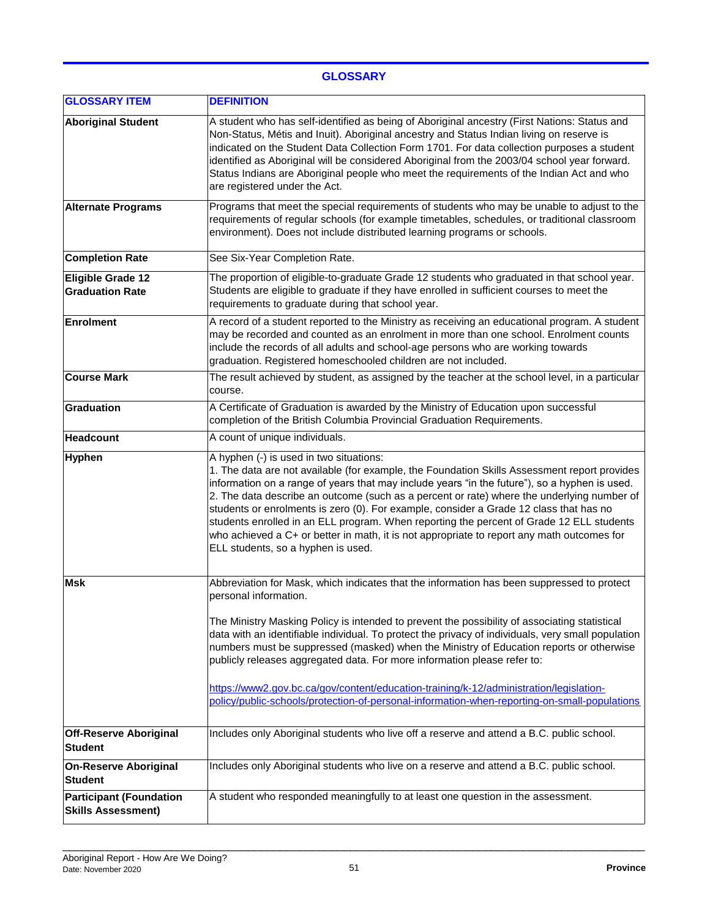## **GLOSSARY**

| <b>GLOSSARY ITEM</b>                                        | <b>DEFINITION</b>                                                                                                                                                                                                                                                                                                                                                                                                                                                                                                                                                                                                                                                |
|-------------------------------------------------------------|------------------------------------------------------------------------------------------------------------------------------------------------------------------------------------------------------------------------------------------------------------------------------------------------------------------------------------------------------------------------------------------------------------------------------------------------------------------------------------------------------------------------------------------------------------------------------------------------------------------------------------------------------------------|
| <b>Aboriginal Student</b>                                   | A student who has self-identified as being of Aboriginal ancestry (First Nations: Status and<br>Non-Status, Métis and Inuit). Aboriginal ancestry and Status Indian living on reserve is<br>indicated on the Student Data Collection Form 1701. For data collection purposes a student<br>identified as Aboriginal will be considered Aboriginal from the 2003/04 school year forward.<br>Status Indians are Aboriginal people who meet the requirements of the Indian Act and who<br>are registered under the Act.                                                                                                                                              |
| <b>Alternate Programs</b>                                   | Programs that meet the special requirements of students who may be unable to adjust to the<br>requirements of regular schools (for example timetables, schedules, or traditional classroom<br>environment). Does not include distributed learning programs or schools.                                                                                                                                                                                                                                                                                                                                                                                           |
| <b>Completion Rate</b>                                      | See Six-Year Completion Rate.                                                                                                                                                                                                                                                                                                                                                                                                                                                                                                                                                                                                                                    |
| <b>Eligible Grade 12</b><br><b>Graduation Rate</b>          | The proportion of eligible-to-graduate Grade 12 students who graduated in that school year.<br>Students are eligible to graduate if they have enrolled in sufficient courses to meet the<br>requirements to graduate during that school year.                                                                                                                                                                                                                                                                                                                                                                                                                    |
| <b>Enrolment</b>                                            | A record of a student reported to the Ministry as receiving an educational program. A student<br>may be recorded and counted as an enrolment in more than one school. Enrolment counts<br>include the records of all adults and school-age persons who are working towards<br>graduation. Registered homeschooled children are not included.                                                                                                                                                                                                                                                                                                                     |
| <b>Course Mark</b>                                          | The result achieved by student, as assigned by the teacher at the school level, in a particular<br>course.                                                                                                                                                                                                                                                                                                                                                                                                                                                                                                                                                       |
| Graduation                                                  | A Certificate of Graduation is awarded by the Ministry of Education upon successful<br>completion of the British Columbia Provincial Graduation Requirements.                                                                                                                                                                                                                                                                                                                                                                                                                                                                                                    |
| <b>Headcount</b>                                            | A count of unique individuals.                                                                                                                                                                                                                                                                                                                                                                                                                                                                                                                                                                                                                                   |
| <b>Hyphen</b>                                               | A hyphen (-) is used in two situations:<br>1. The data are not available (for example, the Foundation Skills Assessment report provides<br>information on a range of years that may include years "in the future"), so a hyphen is used.<br>2. The data describe an outcome (such as a percent or rate) where the underlying number of<br>students or enrolments is zero (0). For example, consider a Grade 12 class that has no<br>students enrolled in an ELL program. When reporting the percent of Grade 12 ELL students<br>who achieved a C+ or better in math, it is not appropriate to report any math outcomes for<br>ELL students, so a hyphen is used. |
| <b>Msk</b>                                                  | Abbreviation for Mask, which indicates that the information has been suppressed to protect<br>personal information.                                                                                                                                                                                                                                                                                                                                                                                                                                                                                                                                              |
|                                                             | The Ministry Masking Policy is intended to prevent the possibility of associating statistical<br>data with an identifiable individual. To protect the privacy of individuals, very small population<br>numbers must be suppressed (masked) when the Ministry of Education reports or otherwise<br>publicly releases aggregated data. For more information please refer to:                                                                                                                                                                                                                                                                                       |
|                                                             | https://www2.gov.bc.ca/gov/content/education-training/k-12/administration/legislation-<br>policy/public-schools/protection-of-personal-information-when-reporting-on-small-populations                                                                                                                                                                                                                                                                                                                                                                                                                                                                           |
| <b>Off-Reserve Aboriginal</b><br><b>Student</b>             | Includes only Aboriginal students who live off a reserve and attend a B.C. public school.                                                                                                                                                                                                                                                                                                                                                                                                                                                                                                                                                                        |
| <b>On-Reserve Aboriginal</b><br><b>Student</b>              | Includes only Aboriginal students who live on a reserve and attend a B.C. public school.                                                                                                                                                                                                                                                                                                                                                                                                                                                                                                                                                                         |
| <b>Participant (Foundation</b><br><b>Skills Assessment)</b> | A student who responded meaningfully to at least one question in the assessment.                                                                                                                                                                                                                                                                                                                                                                                                                                                                                                                                                                                 |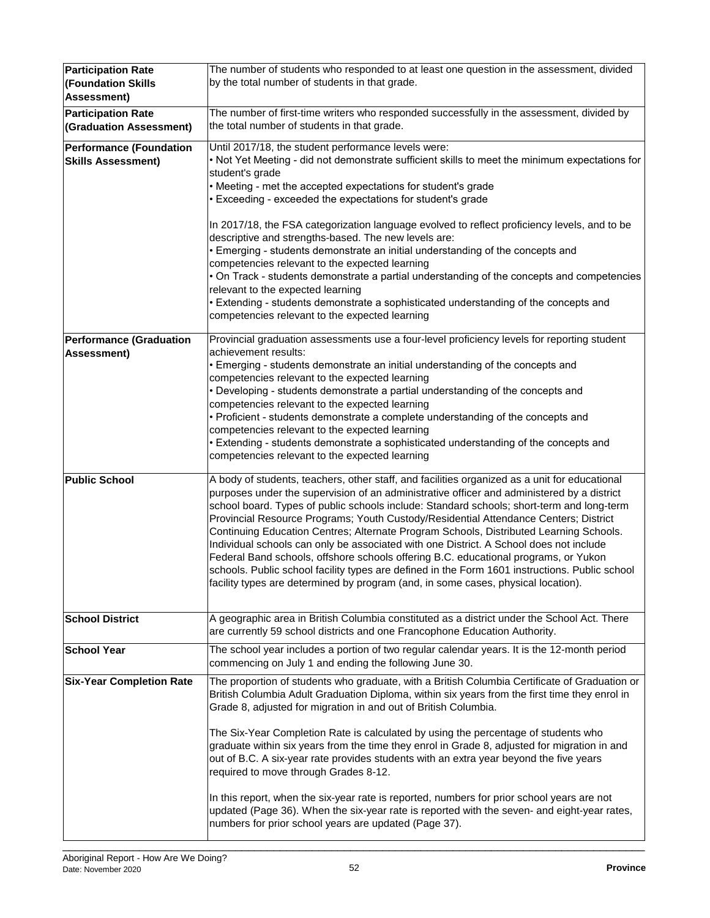| <b>Participation Rate</b><br>(Foundation Skills<br>Assessment) | The number of students who responded to at least one question in the assessment, divided<br>by the total number of students in that grade.                                                                                                                                                                                                                                                                                                                                                                                                                                                                                                                                                                                                                                                                                                                                        |
|----------------------------------------------------------------|-----------------------------------------------------------------------------------------------------------------------------------------------------------------------------------------------------------------------------------------------------------------------------------------------------------------------------------------------------------------------------------------------------------------------------------------------------------------------------------------------------------------------------------------------------------------------------------------------------------------------------------------------------------------------------------------------------------------------------------------------------------------------------------------------------------------------------------------------------------------------------------|
| <b>Participation Rate</b><br>(Graduation Assessment)           | The number of first-time writers who responded successfully in the assessment, divided by<br>the total number of students in that grade.                                                                                                                                                                                                                                                                                                                                                                                                                                                                                                                                                                                                                                                                                                                                          |
| <b>Performance (Foundation</b><br><b>Skills Assessment)</b>    | Until 2017/18, the student performance levels were:<br>• Not Yet Meeting - did not demonstrate sufficient skills to meet the minimum expectations for<br>student's grade<br>• Meeting - met the accepted expectations for student's grade<br>• Exceeding - exceeded the expectations for student's grade<br>In 2017/18, the FSA categorization language evolved to reflect proficiency levels, and to be<br>descriptive and strengths-based. The new levels are:<br>• Emerging - students demonstrate an initial understanding of the concepts and<br>competencies relevant to the expected learning<br>• On Track - students demonstrate a partial understanding of the concepts and competencies<br>relevant to the expected learning<br>• Extending - students demonstrate a sophisticated understanding of the concepts and<br>competencies relevant to the expected learning |
| <b>Performance (Graduation</b><br>Assessment)                  | Provincial graduation assessments use a four-level proficiency levels for reporting student<br>achievement results:<br>• Emerging - students demonstrate an initial understanding of the concepts and<br>competencies relevant to the expected learning<br>• Developing - students demonstrate a partial understanding of the concepts and<br>competencies relevant to the expected learning<br>• Proficient - students demonstrate a complete understanding of the concepts and<br>competencies relevant to the expected learning<br>• Extending - students demonstrate a sophisticated understanding of the concepts and<br>competencies relevant to the expected learning                                                                                                                                                                                                      |
| <b>Public School</b>                                           | A body of students, teachers, other staff, and facilities organized as a unit for educational<br>purposes under the supervision of an administrative officer and administered by a district<br>school board. Types of public schools include: Standard schools; short-term and long-term<br>Provincial Resource Programs; Youth Custody/Residential Attendance Centers; District<br>Continuing Education Centres; Alternate Program Schools, Distributed Learning Schools.<br>Individual schools can only be associated with one District. A School does not include<br>Federal Band schools, offshore schools offering B.C. educational programs, or Yukon<br>schools. Public school facility types are defined in the Form 1601 instructions. Public school<br>facility types are determined by program (and, in some cases, physical location).                                |
| <b>School District</b>                                         | A geographic area in British Columbia constituted as a district under the School Act. There<br>are currently 59 school districts and one Francophone Education Authority.                                                                                                                                                                                                                                                                                                                                                                                                                                                                                                                                                                                                                                                                                                         |
| <b>School Year</b>                                             | The school year includes a portion of two regular calendar years. It is the 12-month period<br>commencing on July 1 and ending the following June 30.                                                                                                                                                                                                                                                                                                                                                                                                                                                                                                                                                                                                                                                                                                                             |
| <b>Six-Year Completion Rate</b>                                | The proportion of students who graduate, with a British Columbia Certificate of Graduation or<br>British Columbia Adult Graduation Diploma, within six years from the first time they enrol in<br>Grade 8, adjusted for migration in and out of British Columbia.<br>The Six-Year Completion Rate is calculated by using the percentage of students who<br>graduate within six years from the time they enrol in Grade 8, adjusted for migration in and<br>out of B.C. A six-year rate provides students with an extra year beyond the five years<br>required to move through Grades 8-12.<br>In this report, when the six-year rate is reported, numbers for prior school years are not<br>updated (Page 36). When the six-year rate is reported with the seven- and eight-year rates,<br>numbers for prior school years are updated (Page 37).                                  |